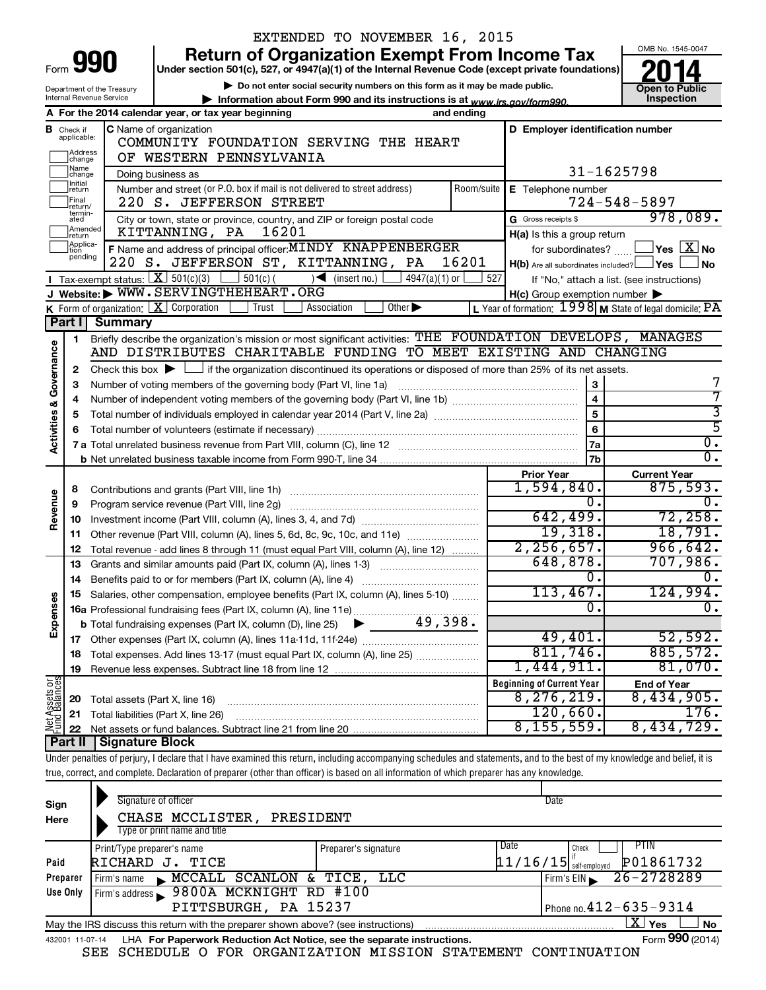|                                    |                               |                                | EXTENDED TO NOVEMBER 16, 2015                                                                                                                                              |                                        |                                                                      |                                                         |  |  |  |
|------------------------------------|-------------------------------|--------------------------------|----------------------------------------------------------------------------------------------------------------------------------------------------------------------------|----------------------------------------|----------------------------------------------------------------------|---------------------------------------------------------|--|--|--|
|                                    |                               |                                | <b>Return of Organization Exempt From Income Tax</b>                                                                                                                       |                                        |                                                                      | OMB No. 1545-0047                                       |  |  |  |
|                                    |                               | Form 990                       | Under section 501(c), 527, or 4947(a)(1) of the Internal Revenue Code (except private foundations)                                                                         |                                        |                                                                      |                                                         |  |  |  |
|                                    |                               | Department of the Treasury     | Do not enter social security numbers on this form as it may be made public.                                                                                                |                                        |                                                                      | <b>Open to Public</b>                                   |  |  |  |
|                                    |                               | Internal Revenue Service       | Information about Form 990 and its instructions is at www.irs.gov/form990.                                                                                                 |                                        |                                                                      | Inspection                                              |  |  |  |
|                                    |                               |                                | A For the 2014 calendar year, or tax year beginning                                                                                                                        | and ending                             |                                                                      |                                                         |  |  |  |
|                                    | <b>B</b> Check if applicable: |                                | <b>C</b> Name of organization                                                                                                                                              |                                        | D Employer identification number                                     |                                                         |  |  |  |
|                                    |                               |                                |                                                                                                                                                                            | COMMUNITY FOUNDATION SERVING THE HEART |                                                                      |                                                         |  |  |  |
|                                    | Address<br> change            |                                | OF WESTERN PENNSYLVANIA                                                                                                                                                    |                                        |                                                                      |                                                         |  |  |  |
|                                    | Name<br> change<br>Initial    |                                | Doing business as                                                                                                                                                          |                                        |                                                                      | 31-1625798                                              |  |  |  |
|                                    | return<br>Final               |                                | Number and street (or P.O. box if mail is not delivered to street address)                                                                                                 | Room/suite                             | E Telephone number                                                   |                                                         |  |  |  |
|                                    | return/<br>termin-            |                                | 220 S. JEFFERSON STREET                                                                                                                                                    | $724 - 548 - 5897$                     |                                                                      |                                                         |  |  |  |
|                                    | ated<br>Amended               |                                | City or town, state or province, country, and ZIP or foreign postal code                                                                                                   |                                        | G Gross receipts \$                                                  | 978,089.                                                |  |  |  |
|                                    | Ireturn<br>Applica-           |                                | 16201<br>KITTANNING, PA                                                                                                                                                    |                                        | H(a) Is this a group return                                          |                                                         |  |  |  |
|                                    | ltion<br>pending              |                                | F Name and address of principal officer: MINDY KNAPPENBERGER                                                                                                               |                                        | for subordinates?                                                    | $\sqrt{}$ Yes $\sqrt{X}$ No                             |  |  |  |
|                                    |                               |                                | 220 S. JEFFERSON ST, KITTANNING, PA                                                                                                                                        | 16201                                  | $H(b)$ Are all subordinates included? $\Box$ Yes $\Box$<br><b>No</b> |                                                         |  |  |  |
|                                    |                               |                                | Tax-exempt status: $X \ 501(c)(3) \ 501(c)$ (insert no.)<br>$4947(a)(1)$ or<br>J Website: WWW.SERVINGTHEHEART.ORG                                                          | 527                                    |                                                                      | If "No," attach a list. (see instructions)              |  |  |  |
|                                    |                               |                                | Other $\blacktriangleright$<br>Trust                                                                                                                                       |                                        | $H(c)$ Group exemption number $\blacktriangleright$                  | L Year of formation: 1998 M State of legal domicile: PA |  |  |  |
|                                    | Part I                        | <b>Summary</b>                 | <b>K</b> Form of organization: $\boxed{\mathbf{X}}$ Corporation<br>Association                                                                                             |                                        |                                                                      |                                                         |  |  |  |
|                                    |                               |                                | Briefly describe the organization's mission or most significant activities: THE FOUNDATION DEVELOPS, MANAGES                                                               |                                        |                                                                      |                                                         |  |  |  |
|                                    | 1                             |                                | AND DISTRIBUTES CHARITABLE FUNDING TO MEET EXISTING AND CHANGING                                                                                                           |                                        |                                                                      |                                                         |  |  |  |
| <b>Activities &amp; Governance</b> |                               |                                |                                                                                                                                                                            |                                        |                                                                      |                                                         |  |  |  |
|                                    | 2                             |                                | Check this box $\blacktriangleright$ $\Box$ if the organization discontinued its operations or disposed of more than 25% of its net assets.                                |                                        | 3                                                                    |                                                         |  |  |  |
|                                    | з                             |                                | Number of voting members of the governing body (Part VI, line 1a)                                                                                                          |                                        | $\overline{\mathbf{4}}$                                              |                                                         |  |  |  |
|                                    | 4<br>5                        |                                |                                                                                                                                                                            |                                        | 5                                                                    | 3                                                       |  |  |  |
|                                    |                               |                                | Total number of volunteers (estimate if necessary)                                                                                                                         |                                        | 6                                                                    | $\overline{5}$                                          |  |  |  |
|                                    |                               |                                |                                                                                                                                                                            |                                        | 7a                                                                   | $\overline{0}$ .                                        |  |  |  |
|                                    |                               |                                |                                                                                                                                                                            |                                        | 7b                                                                   | $\overline{0}$ .                                        |  |  |  |
|                                    |                               |                                |                                                                                                                                                                            |                                        | <b>Prior Year</b>                                                    | <b>Current Year</b>                                     |  |  |  |
|                                    | 8                             |                                | Contributions and grants (Part VIII, line 1h)                                                                                                                              |                                        | 1,594,840.                                                           | 875,593.                                                |  |  |  |
| Revenue                            | 9                             |                                | Program service revenue (Part VIII, line 2g)                                                                                                                               |                                        | 0.                                                                   | $\overline{0}$ .                                        |  |  |  |
|                                    | 10                            |                                |                                                                                                                                                                            |                                        | 642,499.                                                             | 72,258.                                                 |  |  |  |
|                                    | 11                            |                                | Other revenue (Part VIII, column (A), lines 5, 6d, 8c, 9c, 10c, and 11e)                                                                                                   |                                        | 19,318.                                                              | 18,791.                                                 |  |  |  |
|                                    | 12                            |                                | Total revenue - add lines 8 through 11 (must equal Part VIII, column (A), line 12)                                                                                         |                                        | 2, 256, 657.                                                         | 966,642.                                                |  |  |  |
|                                    | 13                            |                                | Grants and similar amounts paid (Part IX, column (A), lines 1-3)                                                                                                           |                                        | 648,878.                                                             | 707,986.                                                |  |  |  |
|                                    | 14                            |                                |                                                                                                                                                                            |                                        | 0.                                                                   | 0.                                                      |  |  |  |
|                                    |                               |                                | Salaries, other compensation, employee benefits (Part IX, column (A), lines 5-10)                                                                                          |                                        | 113,467.                                                             | 124,994.                                                |  |  |  |
|                                    |                               |                                |                                                                                                                                                                            |                                        | σ.                                                                   | $\overline{0}$ .                                        |  |  |  |
| Expenses                           |                               |                                |                                                                                                                                                                            |                                        |                                                                      |                                                         |  |  |  |
|                                    |                               |                                |                                                                                                                                                                            |                                        | 49,401.                                                              | 52,592.                                                 |  |  |  |
|                                    | 18                            |                                | Total expenses. Add lines 13-17 (must equal Part IX, column (A), line 25)                                                                                                  |                                        | 811,746.                                                             | 885,572.                                                |  |  |  |
|                                    | 19                            |                                |                                                                                                                                                                            |                                        | 1,444,911.                                                           | 81,070.                                                 |  |  |  |
| Net Assets or<br>Fund Balances     |                               |                                |                                                                                                                                                                            |                                        | <b>Beginning of Current Year</b>                                     | <b>End of Year</b>                                      |  |  |  |
|                                    | 20                            | Total assets (Part X, line 16) |                                                                                                                                                                            |                                        | 8, 276, 219.                                                         | 8,434,905.                                              |  |  |  |
|                                    | 21                            |                                | Total liabilities (Part X, line 26)                                                                                                                                        |                                        | 120,660.                                                             | 176.                                                    |  |  |  |
|                                    | 22                            |                                |                                                                                                                                                                            |                                        | 8, 155, 559.                                                         | 8,434,729.                                              |  |  |  |
|                                    | Part II                       | Signature Block                |                                                                                                                                                                            |                                        |                                                                      |                                                         |  |  |  |
|                                    |                               |                                | Under penalties of perjury, I declare that I have examined this return, including accompanying schedules and statements, and to the best of my knowledge and belief, it is |                                        |                                                                      |                                                         |  |  |  |
|                                    |                               |                                | true, correct, and complete. Declaration of preparer (other than officer) is based on all information of which preparer has any knowledge.                                 |                                        |                                                                      |                                                         |  |  |  |
|                                    |                               |                                |                                                                                                                                                                            |                                        |                                                                      |                                                         |  |  |  |
| Sign                               |                               |                                | Signature of officer                                                                                                                                                       |                                        | Date                                                                 |                                                         |  |  |  |
| Here                               |                               |                                | CHASE MCCLISTER,<br>PRESIDENT                                                                                                                                              |                                        |                                                                      |                                                         |  |  |  |
|                                    |                               |                                | Type or print name and title                                                                                                                                               |                                        |                                                                      |                                                         |  |  |  |

|          | ו γρυ υι μππι παπιυ απα τιτυ                                                      |                      |                          |                                    |
|----------|-----------------------------------------------------------------------------------|----------------------|--------------------------|------------------------------------|
|          | Print/Type preparer's name                                                        | Preparer's signature | Date                     | PIIN<br>Check                      |
| Paid     | RICHARD J. TICE                                                                   |                      | $11/16/15$ self-employed | P01861732                          |
| Preparer | MCCALL SCANLON & TICE, LLC<br>Firm's name                                         |                      |                          | $1$ Firm's EIN $\geq 26 - 2728289$ |
| Use Only | Firm's address   9800A MCKNIGHT RD #100                                           |                      |                          |                                    |
|          | PITTSBURGH, PA 15237                                                              |                      |                          | Phone no. $412 - 635 - 9314$       |
|          | May the IRS discuss this return with the preparer shown above? (see instructions) |                      |                          | Yes<br>No                          |

|  | 432001 11-07-14 LHA For Paperwork Reduction Act Notice, see the separate instructions. |  | Form 990 (2014) |
|--|----------------------------------------------------------------------------------------|--|-----------------|
|  |                                                                                        |  |                 |

SEE SCHEDULE O FOR ORGANIZATION MISSION STATEMENT CONTINUATION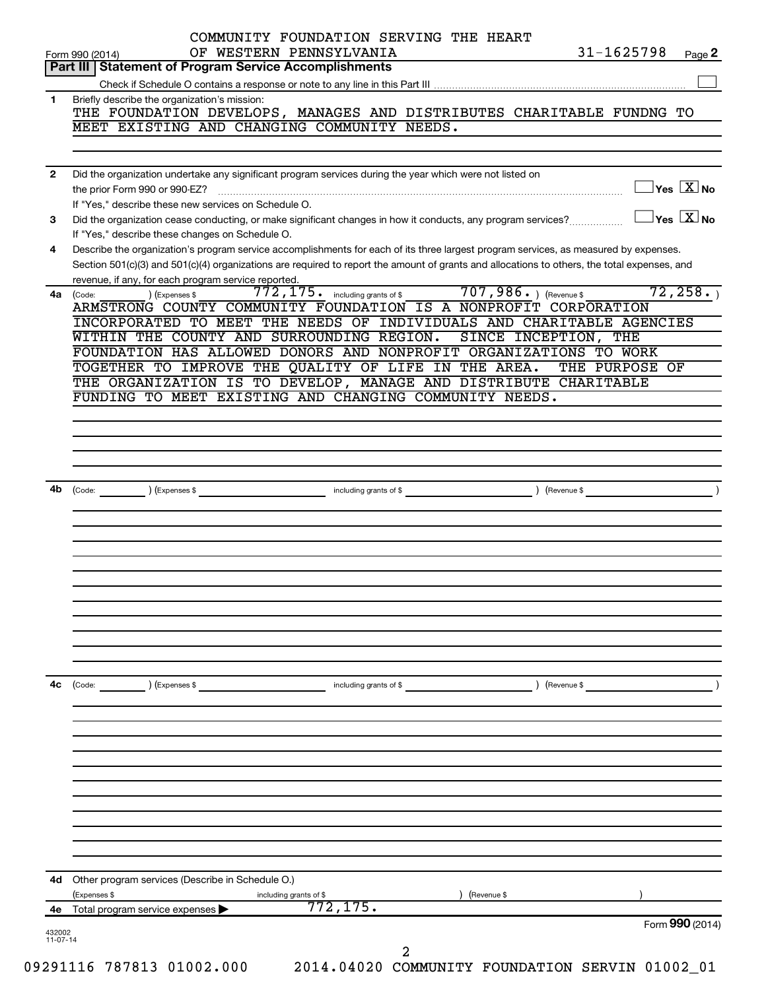|              |                                                                                                                                                                                                                                                                                      |                                     |                        | Form 990 (2014)                         |
|--------------|--------------------------------------------------------------------------------------------------------------------------------------------------------------------------------------------------------------------------------------------------------------------------------------|-------------------------------------|------------------------|-----------------------------------------|
| 4е           | (Expenses \$<br>Total program service expenses >                                                                                                                                                                                                                                     | including grants of \$<br>772, 175. | (Revenue \$            |                                         |
|              | 4d Other program services (Describe in Schedule O.)                                                                                                                                                                                                                                  |                                     |                        |                                         |
|              |                                                                                                                                                                                                                                                                                      |                                     |                        |                                         |
|              |                                                                                                                                                                                                                                                                                      |                                     |                        |                                         |
|              |                                                                                                                                                                                                                                                                                      |                                     |                        |                                         |
| 4c           | (Code: ) (Expenses \$                                                                                                                                                                                                                                                                | including grants of \$              | Revenue \$             |                                         |
|              |                                                                                                                                                                                                                                                                                      |                                     |                        |                                         |
|              |                                                                                                                                                                                                                                                                                      |                                     |                        |                                         |
|              |                                                                                                                                                                                                                                                                                      |                                     |                        |                                         |
|              |                                                                                                                                                                                                                                                                                      |                                     |                        |                                         |
| 4b           |                                                                                                                                                                                                                                                                                      |                                     |                        |                                         |
|              |                                                                                                                                                                                                                                                                                      |                                     |                        |                                         |
|              | FUNDING TO MEET EXISTING AND CHANGING COMMUNITY NEEDS.                                                                                                                                                                                                                               |                                     |                        |                                         |
|              | FOUNDATION HAS ALLOWED DONORS AND NONPROFIT ORGANIZATIONS TO WORK<br>TOGETHER TO IMPROVE THE QUALITY OF LIFE IN THE AREA.<br>THE ORGANIZATION IS TO DEVELOP, MANAGE AND DISTRIBUTE CHARITABLE                                                                                        |                                     |                        | THE PURPOSE OF                          |
|              | INCORPORATED TO MEET THE NEEDS OF INDIVIDUALS AND CHARITABLE AGENCIES<br>WITHIN THE COUNTY AND SURROUNDING REGION.                                                                                                                                                                   |                                     | SINCE INCEPTION, THE   |                                         |
|              | revenue, if any, for each program service reported.<br>) (Expenses \$<br>4a (Code:<br>ARMSTRONG COUNTY COMMUNITY FOUNDATION IS A NONPROFIT CORPORATION                                                                                                                               | 772, 175. including grants of \$    | $707,986.$ (Revenue \$ | 72, 258.                                |
| 4            | Describe the organization's program service accomplishments for each of its three largest program services, as measured by expenses.<br>Section 501(c)(3) and 501(c)(4) organizations are required to report the amount of grants and allocations to others, the total expenses, and |                                     |                        |                                         |
| 3            | If "Yes," describe these new services on Schedule O.<br>Did the organization cease conducting, or make significant changes in how it conducts, any program services?<br>If "Yes," describe these changes on Schedule O.                                                              |                                     |                        | $\Box$ Yes $\Box X$ No                  |
| $\mathbf{2}$ | Did the organization undertake any significant program services during the year which were not listed on                                                                                                                                                                             |                                     |                        | $\Box$ Yes $[\overline{\mathrm{X}}]$ No |
|              | MEET EXISTING AND CHANGING COMMUNITY NEEDS.                                                                                                                                                                                                                                          |                                     |                        |                                         |
| 1            | Briefly describe the organization's mission:<br>THE FOUNDATION DEVELOPS, MANAGES AND DISTRIBUTES CHARITABLE FUNDNG TO                                                                                                                                                                |                                     |                        |                                         |
|              |                                                                                                                                                                                                                                                                                      |                                     |                        |                                         |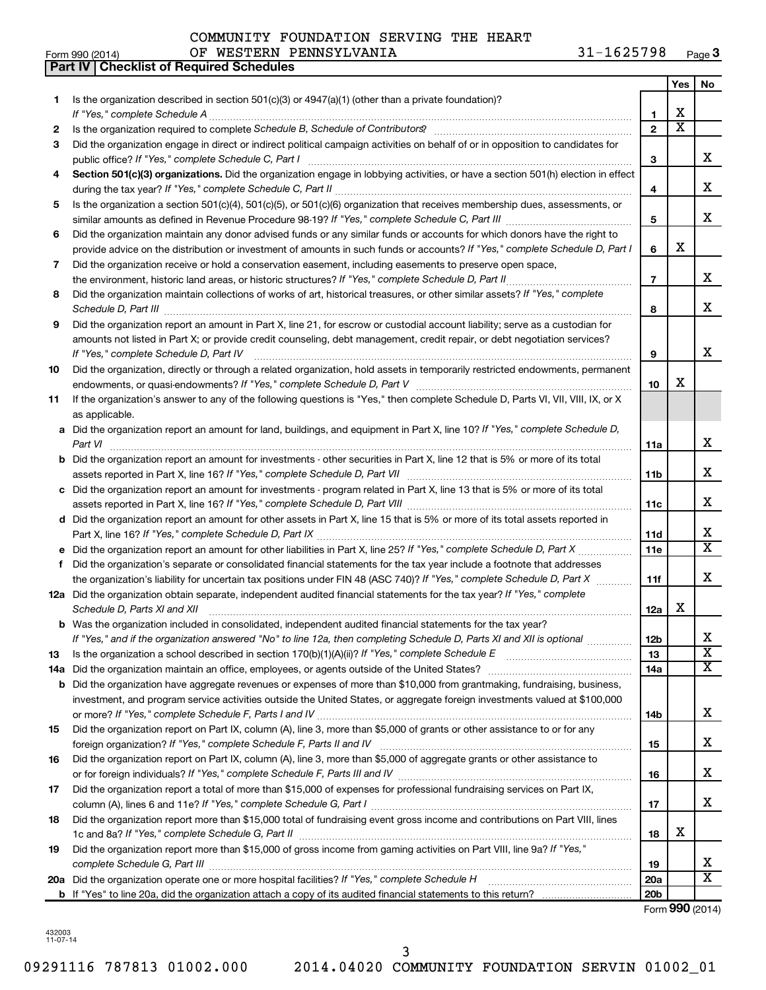|  | COMMUNITY FOUNDATION SERVING THE HEART |  |                |
|--|----------------------------------------|--|----------------|
|  | OF WESTERN PENNSYLVANIA                |  | $31 - 1625798$ |

|    | Part IV   Checklist of Required Schedules                                                                                                                                                                                                                                                                                                                             |                 |                       |                              |
|----|-----------------------------------------------------------------------------------------------------------------------------------------------------------------------------------------------------------------------------------------------------------------------------------------------------------------------------------------------------------------------|-----------------|-----------------------|------------------------------|
|    |                                                                                                                                                                                                                                                                                                                                                                       |                 | Yes                   | No                           |
| 1. | Is the organization described in section 501(c)(3) or $4947(a)(1)$ (other than a private foundation)?                                                                                                                                                                                                                                                                 |                 |                       |                              |
|    |                                                                                                                                                                                                                                                                                                                                                                       | 1               | х                     |                              |
| 2  | Is the organization required to complete Schedule B, Schedule of Contributors? [111] [12] the organization required to complete Schedule B, Schedule of Contributors? [11] [12] the organization required to complete $\mathbb{R}$                                                                                                                                    | $\overline{2}$  | $\overline{\text{x}}$ |                              |
| З  | Did the organization engage in direct or indirect political campaign activities on behalf of or in opposition to candidates for                                                                                                                                                                                                                                       |                 |                       |                              |
|    |                                                                                                                                                                                                                                                                                                                                                                       | 3               |                       | x                            |
| 4  | Section 501(c)(3) organizations. Did the organization engage in lobbying activities, or have a section 501(h) election in effect                                                                                                                                                                                                                                      |                 |                       |                              |
|    |                                                                                                                                                                                                                                                                                                                                                                       | 4               |                       | x                            |
|    |                                                                                                                                                                                                                                                                                                                                                                       |                 |                       |                              |
| 5  | Is the organization a section 501(c)(4), 501(c)(5), or 501(c)(6) organization that receives membership dues, assessments, or                                                                                                                                                                                                                                          |                 |                       | x                            |
|    |                                                                                                                                                                                                                                                                                                                                                                       | 5               |                       |                              |
| 6  | Did the organization maintain any donor advised funds or any similar funds or accounts for which donors have the right to                                                                                                                                                                                                                                             |                 |                       |                              |
|    | provide advice on the distribution or investment of amounts in such funds or accounts? If "Yes," complete Schedule D, Part I                                                                                                                                                                                                                                          | 6               | х                     |                              |
| 7  | Did the organization receive or hold a conservation easement, including easements to preserve open space,                                                                                                                                                                                                                                                             |                 |                       |                              |
|    | the environment, historic land areas, or historic structures? If "Yes," complete Schedule D, Part II                                                                                                                                                                                                                                                                  | $\overline{7}$  |                       | x                            |
| 8  | Did the organization maintain collections of works of art, historical treasures, or other similar assets? If "Yes," complete                                                                                                                                                                                                                                          | 8               |                       | x                            |
| 9  | Schedule D, Part III <b>Marting Community Contract Contract Contract Contract Contract Contract Contract Contract Contract Contract Contract Contract Contract Contract Contract Contract Contract Contract Contract Contract Co</b><br>Did the organization report an amount in Part X, line 21, for escrow or custodial account liability; serve as a custodian for |                 |                       |                              |
|    | amounts not listed in Part X; or provide credit counseling, debt management, credit repair, or debt negotiation services?                                                                                                                                                                                                                                             |                 |                       |                              |
|    |                                                                                                                                                                                                                                                                                                                                                                       |                 |                       | x                            |
|    | If "Yes," complete Schedule D, Part IV                                                                                                                                                                                                                                                                                                                                | 9               |                       |                              |
| 10 | Did the organization, directly or through a related organization, hold assets in temporarily restricted endowments, permanent                                                                                                                                                                                                                                         |                 |                       |                              |
|    |                                                                                                                                                                                                                                                                                                                                                                       | 10              | х                     |                              |
| 11 | If the organization's answer to any of the following questions is "Yes," then complete Schedule D, Parts VI, VII, VIII, IX, or X                                                                                                                                                                                                                                      |                 |                       |                              |
|    | as applicable.                                                                                                                                                                                                                                                                                                                                                        |                 |                       |                              |
|    | a Did the organization report an amount for land, buildings, and equipment in Part X, line 10? If "Yes," complete Schedule D,                                                                                                                                                                                                                                         |                 |                       |                              |
|    | Part VI                                                                                                                                                                                                                                                                                                                                                               | 11a             |                       | x                            |
|    | <b>b</b> Did the organization report an amount for investments - other securities in Part X, line 12 that is 5% or more of its total                                                                                                                                                                                                                                  | 11b             |                       | x                            |
|    |                                                                                                                                                                                                                                                                                                                                                                       |                 |                       |                              |
|    | c Did the organization report an amount for investments - program related in Part X, line 13 that is 5% or more of its total                                                                                                                                                                                                                                          |                 |                       | x                            |
|    |                                                                                                                                                                                                                                                                                                                                                                       | 11c             |                       |                              |
|    | d Did the organization report an amount for other assets in Part X, line 15 that is 5% or more of its total assets reported in                                                                                                                                                                                                                                        |                 |                       |                              |
|    |                                                                                                                                                                                                                                                                                                                                                                       | 11d             |                       | x<br>$\overline{\mathtt{x}}$ |
|    | e Did the organization report an amount for other liabilities in Part X, line 25? If "Yes," complete Schedule D, Part X                                                                                                                                                                                                                                               | 11e             |                       |                              |
| f  | Did the organization's separate or consolidated financial statements for the tax year include a footnote that addresses                                                                                                                                                                                                                                               |                 |                       |                              |
|    | the organization's liability for uncertain tax positions under FIN 48 (ASC 740)? If "Yes," complete Schedule D, Part X                                                                                                                                                                                                                                                | 11f             |                       | x                            |
|    | 12a Did the organization obtain separate, independent audited financial statements for the tax year? If "Yes," complete                                                                                                                                                                                                                                               |                 |                       |                              |
|    | Schedule D, Parts XI and XII <b>continuum continuum continuum continuum continuum continuum continuum continuum</b> continuum continuum continuum continuum continuum continuum continuum continuum continuum continuum continuum c                                                                                                                                   | 12a             | х                     |                              |
|    | b Was the organization included in consolidated, independent audited financial statements for the tax year?                                                                                                                                                                                                                                                           |                 |                       |                              |
|    | If "Yes," and if the organization answered "No" to line 12a, then completing Schedule D, Parts XI and XII is optional                                                                                                                                                                                                                                                 | 12 <sub>b</sub> |                       | х                            |
| 13 |                                                                                                                                                                                                                                                                                                                                                                       | 13              |                       | $\overline{\text{X}}$        |
|    | 14a Did the organization maintain an office, employees, or agents outside of the United States?                                                                                                                                                                                                                                                                       | 14a             |                       | $\overline{\mathtt{x}}$      |
|    | <b>b</b> Did the organization have aggregate revenues or expenses of more than \$10,000 from grantmaking, fundraising, business,                                                                                                                                                                                                                                      |                 |                       |                              |
|    | investment, and program service activities outside the United States, or aggregate foreign investments valued at \$100,000                                                                                                                                                                                                                                            |                 |                       |                              |
|    |                                                                                                                                                                                                                                                                                                                                                                       | 14b             |                       | x                            |
| 15 | Did the organization report on Part IX, column (A), line 3, more than \$5,000 of grants or other assistance to or for any                                                                                                                                                                                                                                             |                 |                       |                              |
|    |                                                                                                                                                                                                                                                                                                                                                                       | 15              |                       | x                            |
| 16 | Did the organization report on Part IX, column (A), line 3, more than \$5,000 of aggregate grants or other assistance to                                                                                                                                                                                                                                              |                 |                       |                              |
|    |                                                                                                                                                                                                                                                                                                                                                                       | 16              |                       | x                            |
| 17 | Did the organization report a total of more than \$15,000 of expenses for professional fundraising services on Part IX,                                                                                                                                                                                                                                               |                 |                       |                              |
|    |                                                                                                                                                                                                                                                                                                                                                                       | 17              |                       | x                            |
| 18 | Did the organization report more than \$15,000 total of fundraising event gross income and contributions on Part VIII, lines                                                                                                                                                                                                                                          |                 |                       |                              |
|    |                                                                                                                                                                                                                                                                                                                                                                       | 18              | х                     |                              |
| 19 | Did the organization report more than \$15,000 of gross income from gaming activities on Part VIII, line 9a? If "Yes,"                                                                                                                                                                                                                                                |                 |                       |                              |
|    |                                                                                                                                                                                                                                                                                                                                                                       | 19              |                       | x                            |
|    | 20a Did the organization operate one or more hospital facilities? If "Yes," complete Schedule H                                                                                                                                                                                                                                                                       | <b>20a</b>      |                       | $\overline{\text{X}}$        |
|    |                                                                                                                                                                                                                                                                                                                                                                       | 20 <sub>b</sub> |                       |                              |
|    |                                                                                                                                                                                                                                                                                                                                                                       |                 |                       |                              |

Form (2014) **990**

432003 11-07-14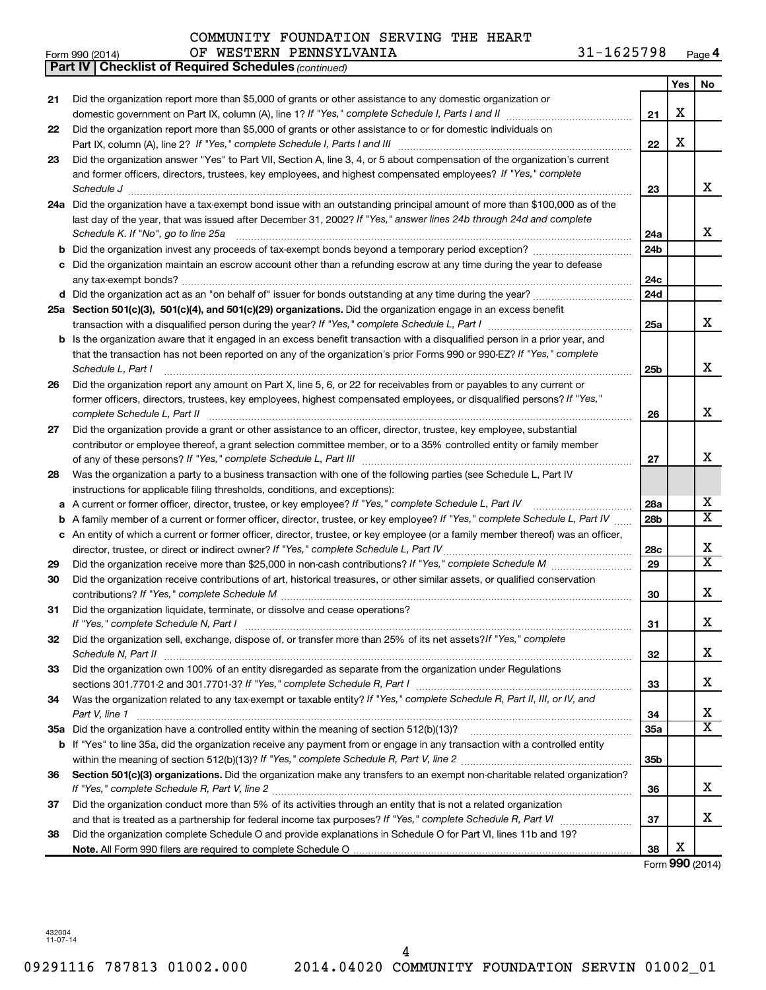|     | OF WESTERN PENNSYLVANIA<br>Form 990 (2014)                                                                                        | 31-1625798      |     | Page 4                  |
|-----|-----------------------------------------------------------------------------------------------------------------------------------|-----------------|-----|-------------------------|
|     | <b>Part IV   Checklist of Required Schedules (continued)</b>                                                                      |                 |     |                         |
|     |                                                                                                                                   |                 | Yes | No                      |
| 21  | Did the organization report more than \$5,000 of grants or other assistance to any domestic organization or                       |                 |     |                         |
|     |                                                                                                                                   | 21              | X   |                         |
| 22  | Did the organization report more than \$5,000 of grants or other assistance to or for domestic individuals on                     |                 |     |                         |
|     |                                                                                                                                   | 22              | X   |                         |
| 23  | Did the organization answer "Yes" to Part VII, Section A, line 3, 4, or 5 about compensation of the organization's current        |                 |     |                         |
|     | and former officers, directors, trustees, key employees, and highest compensated employees? If "Yes," complete                    |                 |     |                         |
|     | Schedule J                                                                                                                        | 23              |     | X                       |
| 24a | Did the organization have a tax-exempt bond issue with an outstanding principal amount of more than \$100,000 as of the           |                 |     |                         |
|     | last day of the year, that was issued after December 31, 2002? If "Yes," answer lines 24b through 24d and complete                |                 |     |                         |
|     | Schedule K. If "No", go to line 25a                                                                                               | 24a             |     | x                       |
| b   |                                                                                                                                   | 24 <sub>b</sub> |     |                         |
| с   | Did the organization maintain an escrow account other than a refunding escrow at any time during the year to defease              |                 |     |                         |
|     | any tax-exempt bonds?                                                                                                             | 24c             |     |                         |
|     |                                                                                                                                   | 24d             |     |                         |
|     | 25a Section 501(c)(3), 501(c)(4), and 501(c)(29) organizations. Did the organization engage in an excess benefit                  |                 |     |                         |
|     |                                                                                                                                   | 25a             |     | x                       |
| b   | Is the organization aware that it engaged in an excess benefit transaction with a disqualified person in a prior year, and        |                 |     |                         |
|     | that the transaction has not been reported on any of the organization's prior Forms 990 or 990-EZ? If "Yes," complete             |                 |     |                         |
|     | Schedule L, Part I                                                                                                                | 25 <sub>b</sub> |     | X                       |
| 26  | Did the organization report any amount on Part X, line 5, 6, or 22 for receivables from or payables to any current or             |                 |     |                         |
|     | former officers, directors, trustees, key employees, highest compensated employees, or disqualified persons? If "Yes,"            |                 |     |                         |
|     | complete Schedule L, Part II                                                                                                      | 26              |     | X                       |
| 27  | Did the organization provide a grant or other assistance to an officer, director, trustee, key employee, substantial              |                 |     |                         |
|     | contributor or employee thereof, a grant selection committee member, or to a 35% controlled entity or family member               |                 |     |                         |
|     |                                                                                                                                   | 27              |     | X                       |
| 28  | Was the organization a party to a business transaction with one of the following parties (see Schedule L, Part IV                 |                 |     |                         |
|     | instructions for applicable filing thresholds, conditions, and exceptions):                                                       |                 |     |                         |
| а   | A current or former officer, director, trustee, or key employee? If "Yes," complete Schedule L, Part IV                           | 28a             |     | X                       |
| b   | A family member of a current or former officer, director, trustee, or key employee? If "Yes," complete Schedule L, Part IV        | 28 <sub>b</sub> |     | $\overline{\texttt{X}}$ |
|     | c An entity of which a current or former officer, director, trustee, or key employee (or a family member thereof) was an officer, |                 |     |                         |
|     | director, trustee, or direct or indirect owner? If "Yes," complete Schedule L, Part IV                                            | 28c             |     | X                       |
| 29  |                                                                                                                                   | 29              |     | $\overline{\texttt{X}}$ |
| 30  | Did the organization receive contributions of art, historical treasures, or other similar assets, or qualified conservation       |                 |     |                         |
|     |                                                                                                                                   | 30              |     | X                       |
| 31  | Did the organization liquidate, terminate, or dissolve and cease operations?                                                      |                 |     |                         |
|     | If "Yes," complete Schedule N, Part I                                                                                             | 31              |     | X                       |
| 32  | Did the organization sell, exchange, dispose of, or transfer more than 25% of its net assets? If "Yes," complete                  |                 |     |                         |
|     |                                                                                                                                   | 32              |     | x                       |
| 33  | Did the organization own 100% of an entity disregarded as separate from the organization under Regulations                        |                 |     |                         |
|     |                                                                                                                                   | 33              |     | x                       |
| 34  | Was the organization related to any tax-exempt or taxable entity? If "Yes," complete Schedule R, Part II, III, or IV, and         |                 |     |                         |
|     | Part V, line 1                                                                                                                    | 34              |     | x                       |
|     |                                                                                                                                   | 35a             |     | $\overline{\text{X}}$   |
|     | b If "Yes" to line 35a, did the organization receive any payment from or engage in any transaction with a controlled entity       |                 |     |                         |
|     | within the meaning of section 512(b)(13)? If "Yes," complete Schedule R, Part V, line 2                                           | 35 <sub>b</sub> |     |                         |

Section 501(c)(3) organizations. Did the organization make any transfers to an exempt non-charitable related organization?

*If "Yes," complete Schedule R, Part V, line 2* ~~~~~~~~~~~~~~~~~~~~~~~~~~~~~~~~~~~~~~~~

Did the organization conduct more than 5% of its activities through an entity that is not a related organization

Did the organization complete Schedule O and provide explanations in Schedule O for Part VI, lines 11b and 19?

**Note.**  All Form 990 filers are required to complete Schedule O

and that is treated as a partnership for federal income tax purposes? If "Yes," complete Schedule R, Part VI medi

**36**

**37**

**38**

**36**

**37**

**38**

Form (2014) **990**

X

X

X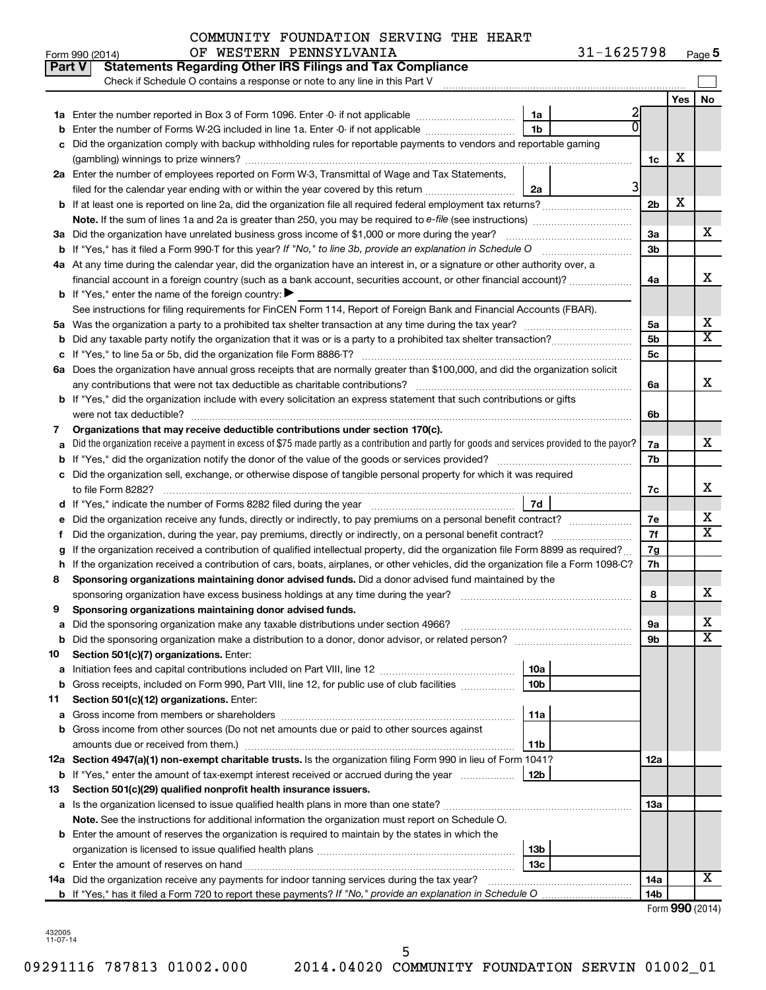### Form 990 (2014) OF WESTERN PENNSYLVANIA 31-1625798 <sub>Page</sub> COMMUNITY FOUNDATION SERVING THE HEART

|    | Part V<br><b>Statements Regarding Other IRS Filings and Tax Compliance</b><br>Check if Schedule O contains a response or note to any line in this Part V                                                                                                               |                 |            |                         |  |  |  |  |  |  |
|----|------------------------------------------------------------------------------------------------------------------------------------------------------------------------------------------------------------------------------------------------------------------------|-----------------|------------|-------------------------|--|--|--|--|--|--|
|    |                                                                                                                                                                                                                                                                        |                 | <b>Yes</b> | No                      |  |  |  |  |  |  |
|    | 1a                                                                                                                                                                                                                                                                     | 2               |            |                         |  |  |  |  |  |  |
|    | 1 <sub>b</sub><br>Enter the number of Forms W-2G included in line 1a. Enter -0- if not applicable                                                                                                                                                                      |                 |            |                         |  |  |  |  |  |  |
|    | Did the organization comply with backup withholding rules for reportable payments to vendors and reportable gaming                                                                                                                                                     |                 |            |                         |  |  |  |  |  |  |
|    |                                                                                                                                                                                                                                                                        |                 |            |                         |  |  |  |  |  |  |
|    | 2a Enter the number of employees reported on Form W-3, Transmittal of Wage and Tax Statements,                                                                                                                                                                         |                 |            |                         |  |  |  |  |  |  |
|    | 3<br>filed for the calendar year ending with or within the year covered by this return<br>2a                                                                                                                                                                           |                 |            |                         |  |  |  |  |  |  |
|    | <b>b</b> If at least one is reported on line 2a, did the organization file all required federal employment tax returns?                                                                                                                                                |                 |            |                         |  |  |  |  |  |  |
|    |                                                                                                                                                                                                                                                                        |                 |            |                         |  |  |  |  |  |  |
|    | 3a Did the organization have unrelated business gross income of \$1,000 or more during the year?                                                                                                                                                                       | За              |            | х                       |  |  |  |  |  |  |
|    | <b>b</b> If "Yes," has it filed a Form 990-T for this year? If "No," to line 3b, provide an explanation in Schedule O                                                                                                                                                  |                 |            |                         |  |  |  |  |  |  |
|    | 4a At any time during the calendar year, did the organization have an interest in, or a signature or other authority over, a                                                                                                                                           |                 |            |                         |  |  |  |  |  |  |
|    | financial account in a foreign country (such as a bank account, securities account, or other financial account)?                                                                                                                                                       | 4a              |            | X                       |  |  |  |  |  |  |
|    | <b>b</b> If "Yes," enter the name of the foreign country: $\blacktriangleright$                                                                                                                                                                                        |                 |            |                         |  |  |  |  |  |  |
|    | See instructions for filing requirements for FinCEN Form 114, Report of Foreign Bank and Financial Accounts (FBAR).                                                                                                                                                    |                 |            |                         |  |  |  |  |  |  |
|    |                                                                                                                                                                                                                                                                        |                 |            |                         |  |  |  |  |  |  |
|    |                                                                                                                                                                                                                                                                        |                 |            |                         |  |  |  |  |  |  |
|    |                                                                                                                                                                                                                                                                        | 5с              |            |                         |  |  |  |  |  |  |
|    | 6a Does the organization have annual gross receipts that are normally greater than \$100,000, and did the organization solicit                                                                                                                                         |                 |            |                         |  |  |  |  |  |  |
|    |                                                                                                                                                                                                                                                                        | 6a              |            | х                       |  |  |  |  |  |  |
|    | b If "Yes," did the organization include with every solicitation an express statement that such contributions or gifts                                                                                                                                                 |                 |            |                         |  |  |  |  |  |  |
|    | were not tax deductible?                                                                                                                                                                                                                                               | 6b              |            |                         |  |  |  |  |  |  |
| 7  | Organizations that may receive deductible contributions under section 170(c).                                                                                                                                                                                          | 7a              |            | x                       |  |  |  |  |  |  |
|    | Did the organization receive a payment in excess of \$75 made partly as a contribution and partly for goods and services provided to the payor?                                                                                                                        |                 |            |                         |  |  |  |  |  |  |
|    |                                                                                                                                                                                                                                                                        |                 |            |                         |  |  |  |  |  |  |
| с  | Did the organization sell, exchange, or otherwise dispose of tangible personal property for which it was required                                                                                                                                                      |                 |            | x                       |  |  |  |  |  |  |
|    | 7d                                                                                                                                                                                                                                                                     | 7c              |            |                         |  |  |  |  |  |  |
|    |                                                                                                                                                                                                                                                                        | 7е              |            | х                       |  |  |  |  |  |  |
| t  |                                                                                                                                                                                                                                                                        |                 |            |                         |  |  |  |  |  |  |
|    | Did the organization, during the year, pay premiums, directly or indirectly, on a personal benefit contract?                                                                                                                                                           |                 |            |                         |  |  |  |  |  |  |
| h  | If the organization received a contribution of qualified intellectual property, did the organization file Form 8899 as required?<br>If the organization received a contribution of cars, boats, airplanes, or other vehicles, did the organization file a Form 1098-C? |                 |            |                         |  |  |  |  |  |  |
| 8  | Sponsoring organizations maintaining donor advised funds. Did a donor advised fund maintained by the                                                                                                                                                                   | 7h              |            |                         |  |  |  |  |  |  |
|    |                                                                                                                                                                                                                                                                        | 8               |            | х                       |  |  |  |  |  |  |
| 9  | Sponsoring organizations maintaining donor advised funds.                                                                                                                                                                                                              |                 |            |                         |  |  |  |  |  |  |
|    |                                                                                                                                                                                                                                                                        | эа              |            | Χ                       |  |  |  |  |  |  |
|    | <b>b</b> Did the sponsoring organization make a distribution to a donor, donor advisor, or related person?                                                                                                                                                             | 9b              |            | $\overline{\textbf{x}}$ |  |  |  |  |  |  |
| 10 | Section 501(c)(7) organizations. Enter:                                                                                                                                                                                                                                |                 |            |                         |  |  |  |  |  |  |
| а  | 10a                                                                                                                                                                                                                                                                    |                 |            |                         |  |  |  |  |  |  |
|    | 10 <sub>b</sub><br>b Gross receipts, included on Form 990, Part VIII, line 12, for public use of club facilities                                                                                                                                                       |                 |            |                         |  |  |  |  |  |  |
| 11 | Section 501(c)(12) organizations. Enter:                                                                                                                                                                                                                               |                 |            |                         |  |  |  |  |  |  |
| а  | 11a                                                                                                                                                                                                                                                                    |                 |            |                         |  |  |  |  |  |  |
|    | b Gross income from other sources (Do not net amounts due or paid to other sources against                                                                                                                                                                             |                 |            |                         |  |  |  |  |  |  |
|    | amounts due or received from them.)<br>11b                                                                                                                                                                                                                             |                 |            |                         |  |  |  |  |  |  |
|    | 12a Section 4947(a)(1) non-exempt charitable trusts. Is the organization filing Form 990 in lieu of Form 1041?                                                                                                                                                         | 12a             |            |                         |  |  |  |  |  |  |
|    | b If "Yes," enter the amount of tax-exempt interest received or accrued during the year<br>12b                                                                                                                                                                         |                 |            |                         |  |  |  |  |  |  |
| 13 | Section 501(c)(29) qualified nonprofit health insurance issuers.                                                                                                                                                                                                       |                 |            |                         |  |  |  |  |  |  |
|    | a Is the organization licensed to issue qualified health plans in more than one state?                                                                                                                                                                                 | 13a             |            |                         |  |  |  |  |  |  |
|    | Note. See the instructions for additional information the organization must report on Schedule O.                                                                                                                                                                      |                 |            |                         |  |  |  |  |  |  |
|    | <b>b</b> Enter the amount of reserves the organization is required to maintain by the states in which the                                                                                                                                                              |                 |            |                         |  |  |  |  |  |  |
|    | 13b                                                                                                                                                                                                                                                                    |                 |            |                         |  |  |  |  |  |  |
|    | 13 <sub>c</sub>                                                                                                                                                                                                                                                        |                 |            | х                       |  |  |  |  |  |  |
|    | 14a Did the organization receive any payments for indoor tanning services during the tax year?                                                                                                                                                                         | 14a             |            |                         |  |  |  |  |  |  |
|    |                                                                                                                                                                                                                                                                        | 14 <sub>b</sub> |            |                         |  |  |  |  |  |  |

432005 11-07-14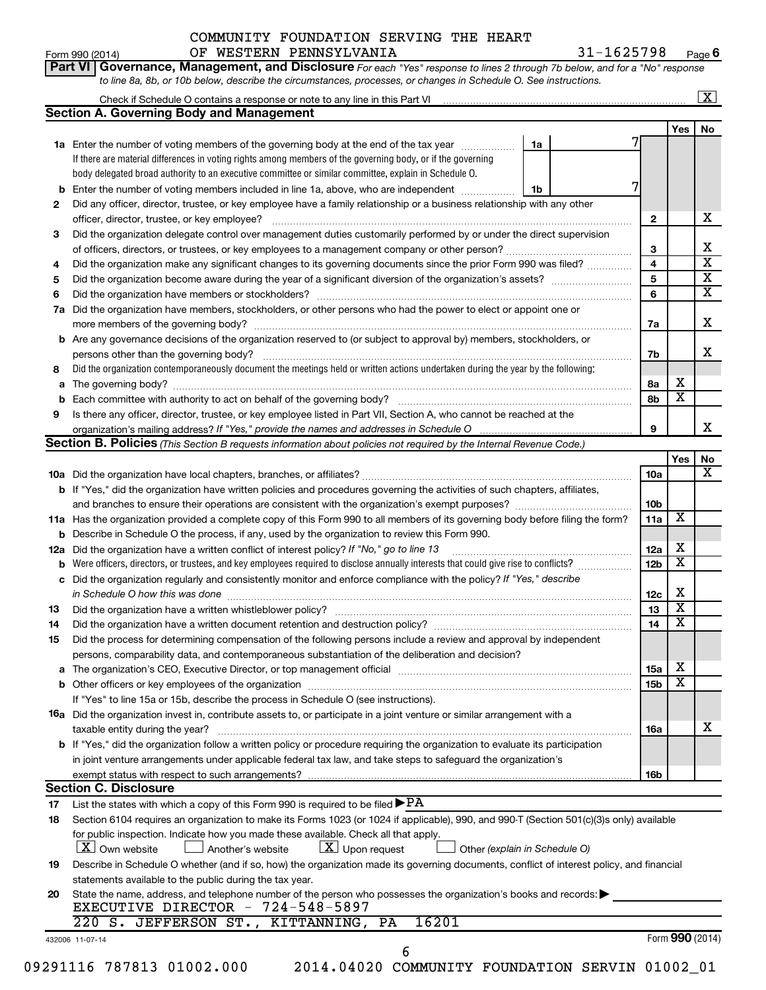|    | OF WESTERN PENNSYLVANIA<br>Form 990 (2014)                                                                                                                                    |    | 31-1625798 |  |                 |     | Page 6                       |  |  |  |
|----|-------------------------------------------------------------------------------------------------------------------------------------------------------------------------------|----|------------|--|-----------------|-----|------------------------------|--|--|--|
|    | Part VI Governance, Management, and Disclosure For each "Yes" response to lines 2 through 7b below, and for a "No" response                                                   |    |            |  |                 |     |                              |  |  |  |
|    | to line 8a, 8b, or 10b below, describe the circumstances, processes, or changes in Schedule O. See instructions.                                                              |    |            |  |                 |     |                              |  |  |  |
|    |                                                                                                                                                                               |    |            |  |                 |     | $\boxed{\textbf{X}}$         |  |  |  |
|    | <b>Section A. Governing Body and Management</b>                                                                                                                               |    |            |  |                 |     |                              |  |  |  |
|    |                                                                                                                                                                               |    |            |  |                 | Yes | No.                          |  |  |  |
|    | 1a Enter the number of voting members of the governing body at the end of the tax year                                                                                        | 1a |            |  |                 |     |                              |  |  |  |
|    | If there are material differences in voting rights among members of the governing body, or if the governing                                                                   |    |            |  |                 |     |                              |  |  |  |
|    | body delegated broad authority to an executive committee or similar committee, explain in Schedule O.                                                                         |    |            |  |                 |     |                              |  |  |  |
|    | <b>b</b> Enter the number of voting members included in line 1a, above, who are independent <i>manumum</i>                                                                    | 1b |            |  |                 |     |                              |  |  |  |
| 2  | Did any officer, director, trustee, or key employee have a family relationship or a business relationship with any other                                                      |    |            |  |                 |     |                              |  |  |  |
|    | officer, director, trustee, or key employee?                                                                                                                                  |    |            |  | 2               |     | х                            |  |  |  |
| З  | Did the organization delegate control over management duties customarily performed by or under the direct supervision                                                         |    |            |  |                 |     |                              |  |  |  |
|    | of officers, directors, or trustees, or key employees to a management company or other person?                                                                                |    |            |  | 3<br>4          |     | х<br>$\overline{\textbf{x}}$ |  |  |  |
| 4  | Did the organization make any significant changes to its governing documents since the prior Form 990 was filed?                                                              |    |            |  |                 |     |                              |  |  |  |
| 5  |                                                                                                                                                                               |    |            |  |                 |     |                              |  |  |  |
| 6  |                                                                                                                                                                               |    |            |  |                 |     |                              |  |  |  |
| 7a | Did the organization have members, stockholders, or other persons who had the power to elect or appoint one or                                                                |    |            |  |                 |     |                              |  |  |  |
|    |                                                                                                                                                                               |    |            |  |                 |     |                              |  |  |  |
|    | <b>b</b> Are any governance decisions of the organization reserved to (or subject to approval by) members, stockholders, or                                                   |    |            |  |                 |     |                              |  |  |  |
|    | persons other than the governing body?                                                                                                                                        |    |            |  | 7b              |     | х                            |  |  |  |
| 8  | Did the organization contemporaneously document the meetings held or written actions undertaken during the year by the following:                                             |    |            |  |                 |     |                              |  |  |  |
| a  |                                                                                                                                                                               |    |            |  | 8а              | х   |                              |  |  |  |
| b  |                                                                                                                                                                               |    |            |  | 8b              | х   |                              |  |  |  |
| 9  | Is there any officer, director, trustee, or key employee listed in Part VII, Section A, who cannot be reached at the                                                          |    |            |  |                 |     |                              |  |  |  |
|    |                                                                                                                                                                               |    |            |  | 9               |     | x                            |  |  |  |
|    | Section B. Policies (This Section B requests information about policies not required by the Internal Revenue Code.)                                                           |    |            |  |                 |     |                              |  |  |  |
|    |                                                                                                                                                                               |    |            |  | 10a             | Yes | No<br>X                      |  |  |  |
|    | b If "Yes," did the organization have written policies and procedures governing the activities of such chapters, affiliates,                                                  |    |            |  |                 |     |                              |  |  |  |
|    |                                                                                                                                                                               |    |            |  | 10 <sub>b</sub> |     |                              |  |  |  |
|    | 11a Has the organization provided a complete copy of this Form 990 to all members of its governing body before filing the form?                                               |    |            |  |                 |     |                              |  |  |  |
|    | <b>b</b> Describe in Schedule O the process, if any, used by the organization to review this Form 990.                                                                        |    |            |  |                 |     |                              |  |  |  |
|    | 12a Did the organization have a written conflict of interest policy? If "No," go to line 13                                                                                   |    |            |  |                 |     |                              |  |  |  |
|    | <b>b</b> Were officers, directors, or trustees, and key employees required to disclose annually interests that could give rise to conflicts?                                  |    |            |  |                 |     |                              |  |  |  |
|    | c Did the organization regularly and consistently monitor and enforce compliance with the policy? If "Yes," describe                                                          |    |            |  | 12 <sub>b</sub> | X   |                              |  |  |  |
|    | in Schedule O how this was done                                                                                                                                               |    |            |  | 12c             | х   |                              |  |  |  |
| 13 | Did the organization have a written whistleblower policy?                                                                                                                     |    |            |  | 13              | x   |                              |  |  |  |
| 14 | Did the organization have a written document retention and destruction policy? [11] manufaction in the organization have a written document retention and destruction policy? |    |            |  | 14              | х   |                              |  |  |  |
| 15 | Did the process for determining compensation of the following persons include a review and approval by independent                                                            |    |            |  |                 |     |                              |  |  |  |
|    | persons, comparability data, and contemporaneous substantiation of the deliberation and decision?                                                                             |    |            |  |                 |     |                              |  |  |  |
|    |                                                                                                                                                                               |    |            |  | <b>15a</b>      | х   |                              |  |  |  |
|    |                                                                                                                                                                               |    |            |  | 15 <sub>b</sub> | X   |                              |  |  |  |
|    | If "Yes" to line 15a or 15b, describe the process in Schedule O (see instructions).                                                                                           |    |            |  |                 |     |                              |  |  |  |
|    | 16a Did the organization invest in, contribute assets to, or participate in a joint venture or similar arrangement with a                                                     |    |            |  |                 |     |                              |  |  |  |
|    | taxable entity during the year?                                                                                                                                               |    |            |  | <b>16a</b>      |     | х                            |  |  |  |
|    | <b>b</b> If "Yes," did the organization follow a written policy or procedure requiring the organization to evaluate its participation                                         |    |            |  |                 |     |                              |  |  |  |
|    | in joint venture arrangements under applicable federal tax law, and take steps to safeguard the organization's                                                                |    |            |  |                 |     |                              |  |  |  |
|    | exempt status with respect to such arrangements?                                                                                                                              |    |            |  | 16 <sub>b</sub> |     |                              |  |  |  |
|    | <b>Section C. Disclosure</b>                                                                                                                                                  |    |            |  |                 |     |                              |  |  |  |
| 17 | List the states with which a copy of this Form 990 is required to be filed $\blacktriangleright$ PA                                                                           |    |            |  |                 |     |                              |  |  |  |
| 18 | Section 6104 requires an organization to make its Forms 1023 (or 1024 if applicable), 990, and 990-T (Section 501(c)(3)s only) available                                      |    |            |  |                 |     |                              |  |  |  |
|    | for public inspection. Indicate how you made these available. Check all that apply.                                                                                           |    |            |  |                 |     |                              |  |  |  |
|    | X Own website<br>$\lfloor \underline{X} \rfloor$ Upon request<br>Another's website<br>Other (explain in Schedule O)                                                           |    |            |  |                 |     |                              |  |  |  |
| 19 | Describe in Schedule O whether (and if so, how) the organization made its governing documents, conflict of interest policy, and financial                                     |    |            |  |                 |     |                              |  |  |  |
|    | statements available to the public during the tax year.                                                                                                                       |    |            |  |                 |     |                              |  |  |  |
| 20 | State the name, address, and telephone number of the person who possesses the organization's books and records:                                                               |    |            |  |                 |     |                              |  |  |  |
|    | EXECUTIVE DIRECTOR - 724-548-5897                                                                                                                                             |    |            |  |                 |     |                              |  |  |  |
|    | 16201<br>220 S. JEFFERSON ST., KITTANNING, PA                                                                                                                                 |    |            |  |                 |     |                              |  |  |  |
|    | 432006 11-07-14<br>6                                                                                                                                                          |    |            |  |                 |     | Form 990 (2014)              |  |  |  |
|    |                                                                                                                                                                               |    |            |  |                 |     |                              |  |  |  |

<sup>09291116 787813 01002.000 2014.04020</sup> COMMUNITY FOUNDATION SERVIN 01002\_01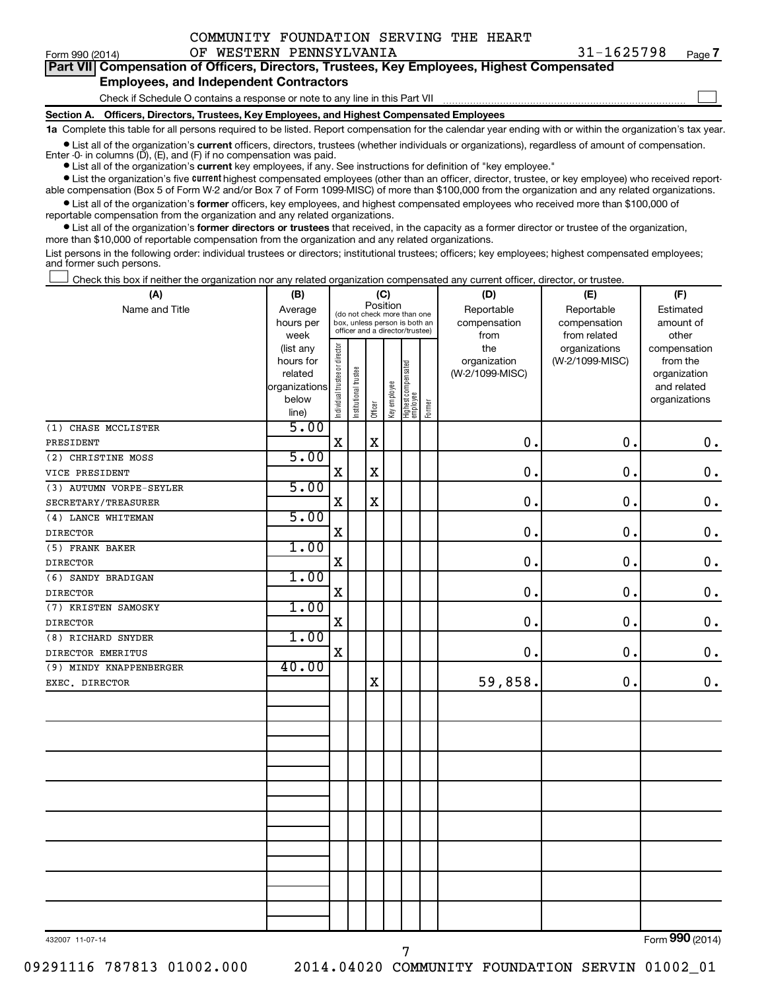$\Box$ 

| Form 990 (2014) |                                               |  | OF WESTERN PENNSYLVANIA | $31 - 1625798$                                                                             | Page |
|-----------------|-----------------------------------------------|--|-------------------------|--------------------------------------------------------------------------------------------|------|
|                 |                                               |  |                         | Part VII Compensation of Officers, Directors, Trustees, Key Employees, Highest Compensated |      |
|                 | <b>Employees, and Independent Contractors</b> |  |                         |                                                                                            |      |

## Check if Schedule O contains a response or note to any line in this Part VII

**Section A. Officers, Directors, Trustees, Key Employees, and Highest Compensated Employees**

**1a**  Complete this table for all persons required to be listed. Report compensation for the calendar year ending with or within the organization's tax year.

**•** List all of the organization's current officers, directors, trustees (whether individuals or organizations), regardless of amount of compensation.

Enter -0- in columns  $(D)$ ,  $(E)$ , and  $(F)$  if no compensation was paid.

**•** List all of the organization's **current** key employees, if any. See instructions for definition of "key employee."

**•** List the organization's five current highest compensated employees (other than an officer, director, trustee, or key employee) who received reportable compensation (Box 5 of Form W-2 and/or Box 7 of Form 1099-MISC) of more than \$100,000 from the organization and any related organizations.

**•** List all of the organization's former officers, key employees, and highest compensated employees who received more than \$100,000 of reportable compensation from the organization and any related organizations.

**•** List all of the organization's former directors or trustees that received, in the capacity as a former director or trustee of the organization, more than \$10,000 of reportable compensation from the organization and any related organizations.

List persons in the following order: individual trustees or directors; institutional trustees; officers; key employees; highest compensated employees; and former such persons.

|  |  |  | Check this box if neither the organization nor any related organization compensated any current officer, director, or trustee. |  |  |
|--|--|--|--------------------------------------------------------------------------------------------------------------------------------|--|--|
|  |  |  |                                                                                                                                |  |  |

| (A)                     | (B)                    | (C)                                     |                                                                  |         |              |                                   |        | (D)                 | (E)                              | (F)                      |  |  |
|-------------------------|------------------------|-----------------------------------------|------------------------------------------------------------------|---------|--------------|-----------------------------------|--------|---------------------|----------------------------------|--------------------------|--|--|
| Name and Title          | Average                | Position<br>(do not check more than one |                                                                  |         |              |                                   |        | Reportable          | Reportable                       | Estimated                |  |  |
|                         | hours per              |                                         | box, unless person is both an<br>officer and a director/trustee) |         |              |                                   |        | compensation        | compensation                     | amount of                |  |  |
|                         | week                   |                                         |                                                                  |         |              |                                   |        | from                | from related                     | other                    |  |  |
|                         | (list any<br>hours for |                                         |                                                                  |         |              |                                   |        | the<br>organization | organizations<br>(W-2/1099-MISC) | compensation<br>from the |  |  |
|                         | related                |                                         |                                                                  |         |              |                                   |        | (W-2/1099-MISC)     |                                  | organization             |  |  |
|                         | organizations          |                                         |                                                                  |         |              |                                   |        |                     |                                  | and related              |  |  |
|                         | below                  | Individual trustee or director          | Institutional trustee                                            |         | Key employee |                                   |        |                     |                                  | organizations            |  |  |
|                         | line)                  |                                         |                                                                  | Officer |              | Highest compensated<br>  employee | Former |                     |                                  |                          |  |  |
| (1) CHASE MCCLISTER     | 5.00                   |                                         |                                                                  |         |              |                                   |        |                     |                                  |                          |  |  |
| PRESIDENT               |                        | $\mathbf X$                             |                                                                  | $\rm X$ |              |                                   |        | $\mathbf 0$ .       | 0.                               | $\mathbf 0$ .            |  |  |
| (2) CHRISTINE MOSS      | 5.00                   |                                         |                                                                  |         |              |                                   |        |                     |                                  |                          |  |  |
| VICE PRESIDENT          |                        | $\mathbf X$                             |                                                                  | X       |              |                                   |        | $\mathbf 0$ .       | 0.                               | $\mathbf 0$ .            |  |  |
| (3) AUTUMN VORPE-SEYLER | 5.00                   |                                         |                                                                  |         |              |                                   |        |                     |                                  |                          |  |  |
| SECRETARY/TREASURER     |                        | $\mathbf X$                             |                                                                  | $\rm X$ |              |                                   |        | $\mathbf 0$ .       | $\mathbf 0$ .                    | $\mathbf 0$ .            |  |  |
| (4) LANCE WHITEMAN      | 5.00                   |                                         |                                                                  |         |              |                                   |        |                     |                                  |                          |  |  |
| <b>DIRECTOR</b>         |                        | $\mathbf X$                             |                                                                  |         |              |                                   |        | $\mathbf 0$ .       | 0.                               | $\mathbf 0$ .            |  |  |
| (5) FRANK BAKER         | 1.00                   |                                         |                                                                  |         |              |                                   |        |                     |                                  |                          |  |  |
| <b>DIRECTOR</b>         |                        | $\mathbf X$                             |                                                                  |         |              |                                   |        | $\mathbf 0$ .       | 0.                               | $\boldsymbol{0}$ .       |  |  |
| (6) SANDY BRADIGAN      | 1.00                   |                                         |                                                                  |         |              |                                   |        |                     |                                  |                          |  |  |
| <b>DIRECTOR</b>         |                        | $\mathbf X$                             |                                                                  |         |              |                                   |        | $\mathbf 0$ .       | 0.                               | $\mathbf 0$ .            |  |  |
| (7) KRISTEN SAMOSKY     | 1.00                   |                                         |                                                                  |         |              |                                   |        |                     |                                  |                          |  |  |
| <b>DIRECTOR</b>         |                        | $\mathbf X$                             |                                                                  |         |              |                                   |        | $\mathbf 0$ .       | $\mathbf 0$ .                    | $\mathbf 0$ .            |  |  |
| (8) RICHARD SNYDER      | 1.00                   |                                         |                                                                  |         |              |                                   |        |                     |                                  |                          |  |  |
| DIRECTOR EMERITUS       |                        | $\mathbf X$                             |                                                                  |         |              |                                   |        | $\mathbf 0$ .       | 0.                               | $\mathbf 0$ .            |  |  |
| (9) MINDY KNAPPENBERGER | 40.00                  |                                         |                                                                  |         |              |                                   |        |                     |                                  |                          |  |  |
| EXEC. DIRECTOR          |                        |                                         |                                                                  | $\rm X$ |              |                                   |        | 59,858.             | 0.                               | $\mathbf 0$ .            |  |  |
|                         |                        |                                         |                                                                  |         |              |                                   |        |                     |                                  |                          |  |  |
|                         |                        |                                         |                                                                  |         |              |                                   |        |                     |                                  |                          |  |  |
|                         |                        |                                         |                                                                  |         |              |                                   |        |                     |                                  |                          |  |  |
|                         |                        |                                         |                                                                  |         |              |                                   |        |                     |                                  |                          |  |  |
|                         |                        |                                         |                                                                  |         |              |                                   |        |                     |                                  |                          |  |  |
|                         |                        |                                         |                                                                  |         |              |                                   |        |                     |                                  |                          |  |  |
|                         |                        |                                         |                                                                  |         |              |                                   |        |                     |                                  |                          |  |  |
|                         |                        |                                         |                                                                  |         |              |                                   |        |                     |                                  |                          |  |  |
|                         |                        |                                         |                                                                  |         |              |                                   |        |                     |                                  |                          |  |  |
|                         |                        |                                         |                                                                  |         |              |                                   |        |                     |                                  |                          |  |  |
|                         |                        |                                         |                                                                  |         |              |                                   |        |                     |                                  |                          |  |  |
|                         |                        |                                         |                                                                  |         |              |                                   |        |                     |                                  |                          |  |  |
|                         |                        |                                         |                                                                  |         |              |                                   |        |                     |                                  |                          |  |  |
|                         |                        |                                         |                                                                  |         |              |                                   |        |                     |                                  |                          |  |  |
|                         |                        |                                         |                                                                  |         |              |                                   |        |                     |                                  |                          |  |  |
|                         |                        |                                         |                                                                  |         |              |                                   |        |                     |                                  |                          |  |  |

7

432007 11-07-14

Form (2014) **990**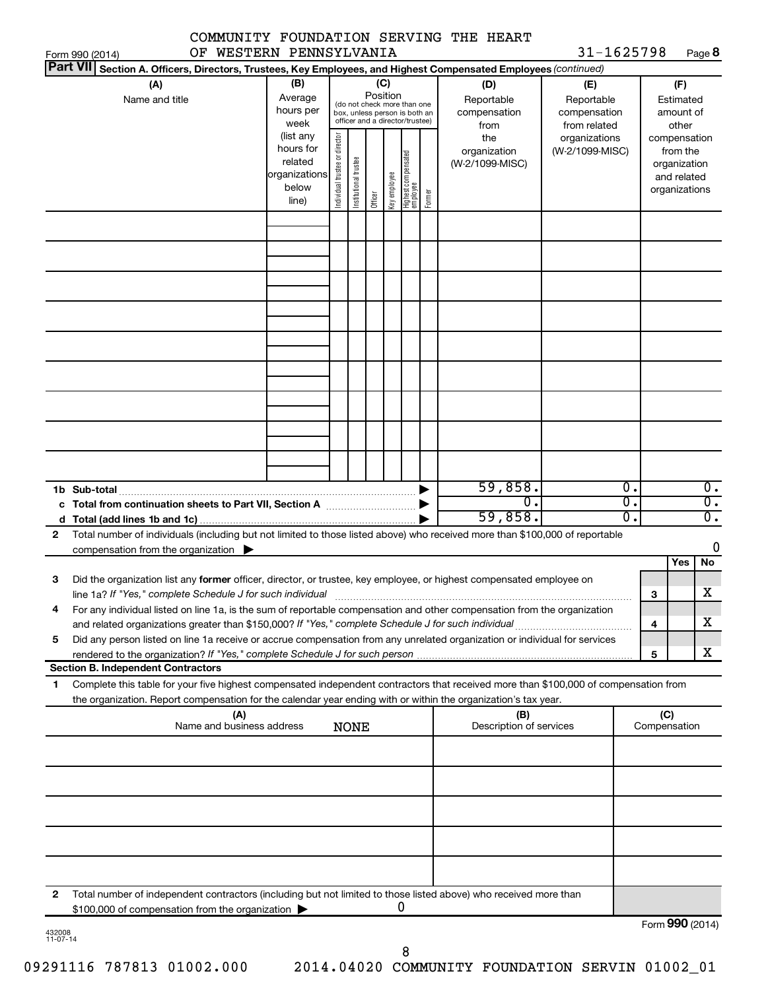|                                                                                                                                                                                         |                                                                      |                                |                       |                 |                                                                                                 |        | COMMUNITY FOUNDATION SERVING THE HEART    |                                                   |              |                                                                          |
|-----------------------------------------------------------------------------------------------------------------------------------------------------------------------------------------|----------------------------------------------------------------------|--------------------------------|-----------------------|-----------------|-------------------------------------------------------------------------------------------------|--------|-------------------------------------------|---------------------------------------------------|--------------|--------------------------------------------------------------------------|
| Form 990 (2014)<br><b>Part VII</b>                                                                                                                                                      | OF WESTERN PENNSYLVANIA                                              |                                |                       |                 |                                                                                                 |        |                                           | 31-1625798                                        |              | Page 8                                                                   |
| Section A. Officers, Directors, Trustees, Key Employees, and Highest Compensated Employees (continued)                                                                                  |                                                                      |                                |                       |                 |                                                                                                 |        |                                           |                                                   |              |                                                                          |
| (A)<br>Name and title                                                                                                                                                                   | (B)<br>Average<br>hours per<br>week                                  |                                |                       | (C)<br>Position | (do not check more than one<br>box, unless person is both an<br>officer and a director/trustee) |        | (D)<br>Reportable<br>compensation<br>from | (E)<br>Reportable<br>compensation<br>from related |              | (F)<br>Estimated<br>amount of<br>other                                   |
|                                                                                                                                                                                         | (list any<br>hours for<br>related<br>organizations<br>below<br>line) | Individual trustee or director | Institutional trustee | Officer         | Highest compensated<br>employee<br>key employee                                                 | Former | the<br>organization<br>(W-2/1099-MISC)    | organizations<br>(W-2/1099-MISC)                  |              | compensation<br>from the<br>organization<br>and related<br>organizations |
|                                                                                                                                                                                         |                                                                      |                                |                       |                 |                                                                                                 |        |                                           |                                                   |              |                                                                          |
|                                                                                                                                                                                         |                                                                      |                                |                       |                 |                                                                                                 |        |                                           |                                                   |              |                                                                          |
|                                                                                                                                                                                         |                                                                      |                                |                       |                 |                                                                                                 |        |                                           |                                                   |              |                                                                          |
|                                                                                                                                                                                         |                                                                      |                                |                       |                 |                                                                                                 |        |                                           |                                                   |              |                                                                          |
|                                                                                                                                                                                         |                                                                      |                                |                       |                 |                                                                                                 |        |                                           |                                                   |              |                                                                          |
|                                                                                                                                                                                         |                                                                      |                                |                       |                 |                                                                                                 |        |                                           |                                                   |              |                                                                          |
|                                                                                                                                                                                         |                                                                      |                                |                       |                 |                                                                                                 |        |                                           |                                                   |              |                                                                          |
|                                                                                                                                                                                         |                                                                      |                                |                       |                 |                                                                                                 |        | 59,858.                                   | $\overline{0}$ .                                  |              | $\overline{0}$ .                                                         |
| 1b Sub-total                                                                                                                                                                            |                                                                      |                                |                       |                 |                                                                                                 |        | σ.<br>59,858.                             | $\overline{0}$ .<br>σ.                            |              | $\overline{0}$ .<br>$\overline{0}$ .                                     |
| d<br>Total number of individuals (including but not limited to those listed above) who received more than \$100,000 of reportable<br>$\mathbf{2}$                                       |                                                                      |                                |                       |                 |                                                                                                 |        |                                           |                                                   |              |                                                                          |
| compensation from the organization $\blacktriangleright$                                                                                                                                |                                                                      |                                |                       |                 |                                                                                                 |        |                                           |                                                   |              | 0                                                                        |
|                                                                                                                                                                                         |                                                                      |                                |                       |                 |                                                                                                 |        |                                           |                                                   |              | No<br>Yes                                                                |
| Did the organization list any former officer, director, or trustee, key employee, or highest compensated employee on<br>з<br>line 1a? If "Yes," complete Schedule J for such individual |                                                                      |                                |                       |                 |                                                                                                 |        |                                           |                                                   | З            | X                                                                        |
| For any individual listed on line 1a, is the sum of reportable compensation and other compensation from the organization<br>4                                                           |                                                                      |                                |                       |                 |                                                                                                 |        |                                           |                                                   | 4            | x                                                                        |
| Did any person listed on line 1a receive or accrue compensation from any unrelated organization or individual for services<br>5                                                         |                                                                      |                                |                       |                 |                                                                                                 |        |                                           |                                                   |              |                                                                          |
| <b>Section B. Independent Contractors</b>                                                                                                                                               |                                                                      |                                |                       |                 |                                                                                                 |        |                                           |                                                   | 5            | x                                                                        |
| Complete this table for your five highest compensated independent contractors that received more than \$100,000 of compensation from<br>1                                               |                                                                      |                                |                       |                 |                                                                                                 |        |                                           |                                                   |              |                                                                          |
| the organization. Report compensation for the calendar year ending with or within the organization's tax year.                                                                          | (A)                                                                  |                                |                       |                 |                                                                                                 |        | (B)                                       |                                                   | (C)          |                                                                          |
|                                                                                                                                                                                         | Name and business address                                            |                                | <b>NONE</b>           |                 |                                                                                                 |        | Description of services                   |                                                   | Compensation |                                                                          |
|                                                                                                                                                                                         |                                                                      |                                |                       |                 |                                                                                                 |        |                                           |                                                   |              |                                                                          |
|                                                                                                                                                                                         |                                                                      |                                |                       |                 |                                                                                                 |        |                                           |                                                   |              |                                                                          |
|                                                                                                                                                                                         |                                                                      |                                |                       |                 |                                                                                                 |        |                                           |                                                   |              |                                                                          |
|                                                                                                                                                                                         |                                                                      |                                |                       |                 |                                                                                                 |        |                                           |                                                   |              |                                                                          |
| Total number of independent contractors (including but not limited to those listed above) who received more than<br>2<br>\$100,000 of compensation from the organization                |                                                                      |                                |                       |                 | 0                                                                                               |        |                                           |                                                   |              |                                                                          |
|                                                                                                                                                                                         |                                                                      |                                |                       |                 |                                                                                                 |        |                                           |                                                   |              | Form 990 (2014)                                                          |

8

432008 11-07-14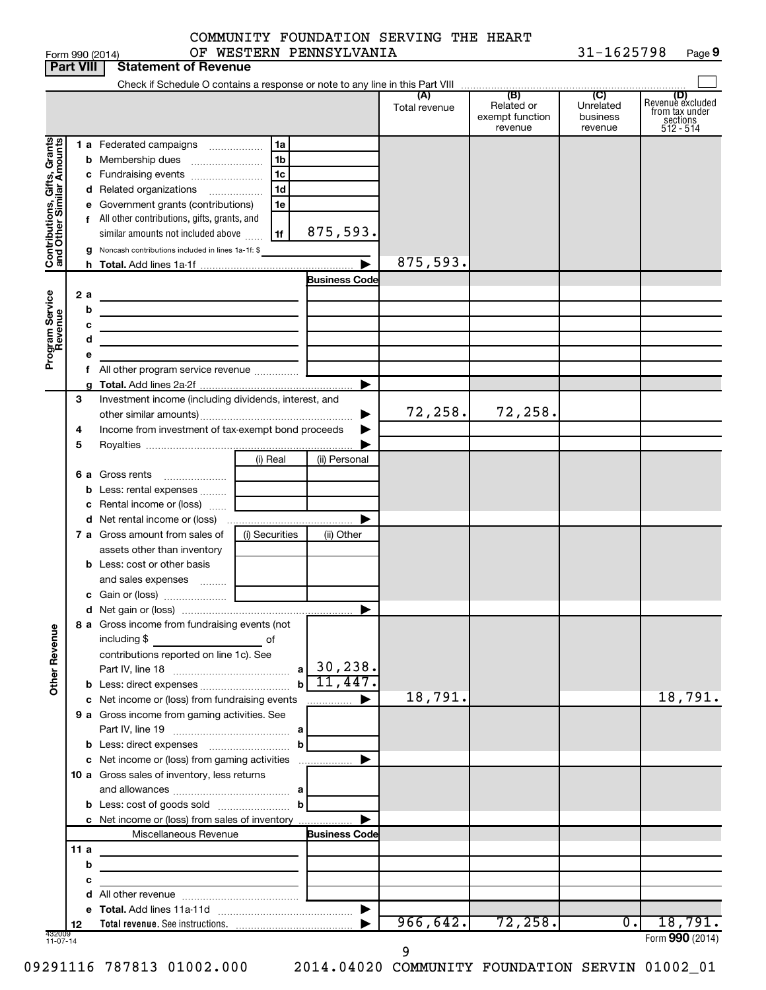|                 |    | COMMUNITY FOUNDATION SERVING THE HEART |  |            |        |
|-----------------|----|----------------------------------------|--|------------|--------|
| Form 990 (2014) | OF | WESTERN PENNSYLVANIA                   |  | 31-1625798 | Page 9 |

|                              | <b>Part VIII</b> | <b>Statement of Revenue</b>                                                   |                                |                       |                      |                                                 |                                         |                                                                    |
|------------------------------|------------------|-------------------------------------------------------------------------------|--------------------------------|-----------------------|----------------------|-------------------------------------------------|-----------------------------------------|--------------------------------------------------------------------|
|                              |                  | Check if Schedule O contains a response or note to any line in this Part VIII |                                |                       |                      |                                                 |                                         |                                                                    |
|                              |                  |                                                                               |                                |                       | (A)<br>Total revenue | (B)<br>Related or<br>exempt function<br>revenue | (C)<br>Unrelated<br>business<br>revenue | (D)<br>Revenue excluded<br>from tax under<br>sections<br>512 - 514 |
|                              |                  | <b>1 a</b> Federated campaigns                                                | 1a<br>.                        |                       |                      |                                                 |                                         |                                                                    |
| Contributions, Gifts, Grants |                  | <b>b</b> Membership dues                                                      | 1b                             |                       |                      |                                                 |                                         |                                                                    |
|                              |                  | c Fundraising events                                                          | 1c                             |                       |                      |                                                 |                                         |                                                                    |
|                              |                  | d Related organizations                                                       | 1d<br>$\overline{\phantom{a}}$ |                       |                      |                                                 |                                         |                                                                    |
|                              | е                | Government grants (contributions)                                             | 1е                             |                       |                      |                                                 |                                         |                                                                    |
|                              |                  | f All other contributions, gifts, grants, and                                 |                                |                       |                      |                                                 |                                         |                                                                    |
|                              |                  | similar amounts not included above                                            | 1f                             | 875,593.              |                      |                                                 |                                         |                                                                    |
|                              | g                | Noncash contributions included in lines 1a-1f: \$                             |                                |                       |                      |                                                 |                                         |                                                                    |
|                              |                  |                                                                               |                                |                       | 875,593.             |                                                 |                                         |                                                                    |
|                              |                  |                                                                               |                                | <b>Business Code</b>  |                      |                                                 |                                         |                                                                    |
|                              | 2 a              |                                                                               |                                |                       |                      |                                                 |                                         |                                                                    |
|                              | b                | the control of the control of the control of the control of the control of    |                                |                       |                      |                                                 |                                         |                                                                    |
|                              | с                | the control of the control of the control of the control of the control of    |                                |                       |                      |                                                 |                                         |                                                                    |
|                              | d                | the control of the control of the control of the control of the control of    |                                |                       |                      |                                                 |                                         |                                                                    |
| Program Service<br>Revenue   |                  |                                                                               |                                |                       |                      |                                                 |                                         |                                                                    |
|                              |                  |                                                                               |                                |                       |                      |                                                 |                                         |                                                                    |
|                              |                  |                                                                               |                                | ▶                     |                      |                                                 |                                         |                                                                    |
|                              | 3                | Investment income (including dividends, interest, and                         |                                |                       | 72,258.              | 72,258.                                         |                                         |                                                                    |
|                              |                  |                                                                               |                                |                       |                      |                                                 |                                         |                                                                    |
|                              | 4                | Income from investment of tax-exempt bond proceeds                            |                                |                       |                      |                                                 |                                         |                                                                    |
|                              | 5                |                                                                               |                                |                       |                      |                                                 |                                         |                                                                    |
|                              |                  |                                                                               | (i) Real                       | (ii) Personal         |                      |                                                 |                                         |                                                                    |
|                              | 6а               | Gross rents                                                                   |                                |                       |                      |                                                 |                                         |                                                                    |
|                              | b                | Less: rental expenses<br>c Rental income or (loss)                            |                                |                       |                      |                                                 |                                         |                                                                    |
|                              |                  |                                                                               |                                |                       |                      |                                                 |                                         |                                                                    |
|                              |                  | 7 a Gross amount from sales of                                                | (i) Securities                 | (ii) Other            |                      |                                                 |                                         |                                                                    |
|                              |                  | assets other than inventory                                                   |                                |                       |                      |                                                 |                                         |                                                                    |
|                              |                  | <b>b</b> Less: cost or other basis                                            |                                |                       |                      |                                                 |                                         |                                                                    |
|                              |                  | and sales expenses                                                            |                                |                       |                      |                                                 |                                         |                                                                    |
|                              |                  |                                                                               |                                |                       |                      |                                                 |                                         |                                                                    |
|                              |                  |                                                                               |                                |                       |                      |                                                 |                                         |                                                                    |
|                              |                  | 8 a Gross income from fundraising events (not                                 |                                |                       |                      |                                                 |                                         |                                                                    |
| <b>Other Revenue</b>         |                  | including \$                                                                  |                                |                       |                      |                                                 |                                         |                                                                    |
|                              |                  | contributions reported on line 1c). See                                       |                                |                       |                      |                                                 |                                         |                                                                    |
|                              |                  |                                                                               | a                              | 30, 238.              |                      |                                                 |                                         |                                                                    |
|                              |                  |                                                                               | $\mathbf{b}$                   | 11,447.               |                      |                                                 |                                         |                                                                    |
|                              |                  | c Net income or (loss) from fundraising events                                |                                |                       | 18,791.              |                                                 |                                         | 18,791.                                                            |
|                              |                  | 9 a Gross income from gaming activities. See                                  |                                |                       |                      |                                                 |                                         |                                                                    |
|                              |                  |                                                                               |                                |                       |                      |                                                 |                                         |                                                                    |
|                              |                  | <b>b</b> Less: direct expenses <b>manually contained</b>                      | b                              |                       |                      |                                                 |                                         |                                                                    |
|                              |                  |                                                                               |                                |                       |                      |                                                 |                                         |                                                                    |
|                              |                  | 10 a Gross sales of inventory, less returns                                   |                                |                       |                      |                                                 |                                         |                                                                    |
|                              |                  |                                                                               |                                |                       |                      |                                                 |                                         |                                                                    |
|                              |                  |                                                                               |                                |                       |                      |                                                 |                                         |                                                                    |
|                              |                  | c Net income or (loss) from sales of inventory                                |                                |                       |                      |                                                 |                                         |                                                                    |
|                              |                  | Miscellaneous Revenue                                                         |                                | <b>Business Code</b>  |                      |                                                 |                                         |                                                                    |
|                              | 11 a             | <u> 1989 - Johann Stein, mars an de Brasilia (b. 1989)</u>                    |                                |                       |                      |                                                 |                                         |                                                                    |
|                              | b                | <u> 1980 - Johann Barbara, martxa alemaniar a</u>                             |                                |                       |                      |                                                 |                                         |                                                                    |
|                              | с                | the control of the control of the control of the control of                   |                                |                       |                      |                                                 |                                         |                                                                    |
|                              | d                |                                                                               |                                | $\blacktriangleright$ |                      |                                                 |                                         |                                                                    |
|                              | 12               |                                                                               |                                |                       | 966, 642.            | 72, 258.                                        | $\overline{0}$ .                        | 18,791.                                                            |
| 432009<br>$11-07-14$         |                  |                                                                               |                                |                       |                      |                                                 |                                         | Form 990 (2014)                                                    |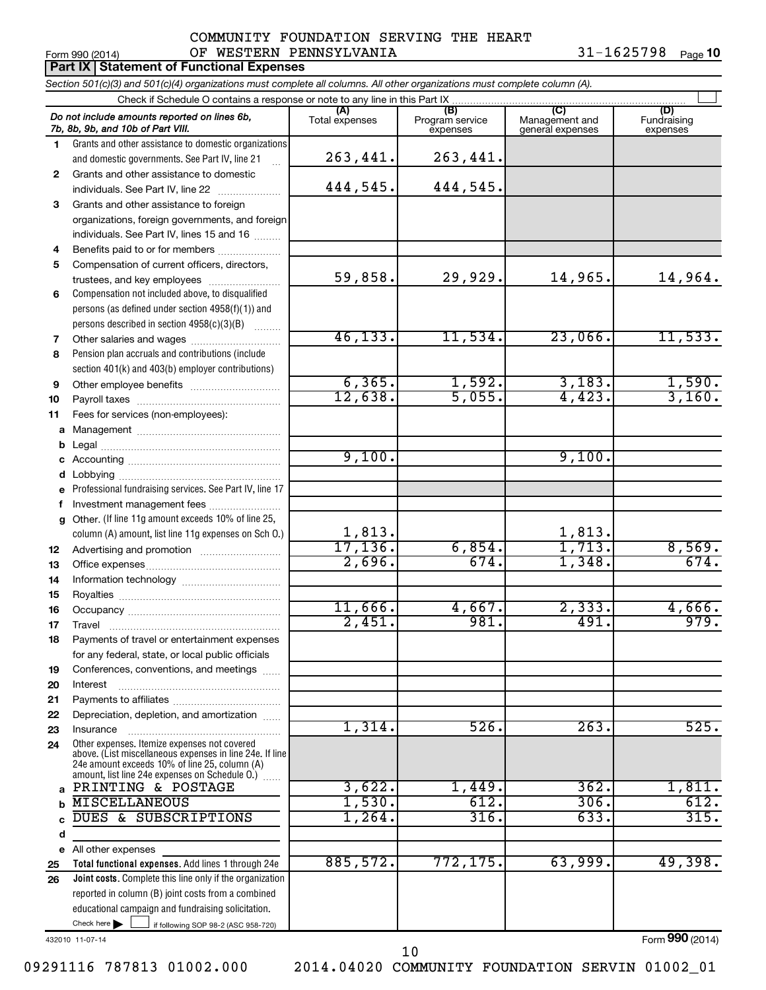### Form 990 (2014)  $\qquad \qquad \text{OF}$  WESTERN PENNSYLVANIA  $\qquad \qquad \qquad 31\textrm{--}1625798$  Page COMMUNITY FOUNDATION SERVING THE HEART

31-1625798 Page 10

|    | <b>Part IX Statement of Functional Expenses</b>                                                                                                                                                             |                        |                                    |                                           |                                |
|----|-------------------------------------------------------------------------------------------------------------------------------------------------------------------------------------------------------------|------------------------|------------------------------------|-------------------------------------------|--------------------------------|
|    | Section 501(c)(3) and 501(c)(4) organizations must complete all columns. All other organizations must complete column (A).                                                                                  |                        |                                    |                                           |                                |
|    | Check if Schedule O contains a response or note to any line in this Part IX                                                                                                                                 |                        |                                    |                                           |                                |
|    | Do not include amounts reported on lines 6b,<br>7b, 8b, 9b, and 10b of Part VIII.                                                                                                                           | (A)<br>Total expenses  | (B)<br>Program service<br>expenses | (C)<br>Management and<br>general expenses | (D)<br>Fundraising<br>expenses |
| 1. | Grants and other assistance to domestic organizations                                                                                                                                                       |                        |                                    |                                           |                                |
|    | and domestic governments. See Part IV, line 21                                                                                                                                                              | 263,441.               | 263,441.                           |                                           |                                |
| 2  | Grants and other assistance to domestic                                                                                                                                                                     |                        |                                    |                                           |                                |
|    | individuals. See Part IV, line 22                                                                                                                                                                           | 444,545.               | 444,545.                           |                                           |                                |
| 3  | Grants and other assistance to foreign                                                                                                                                                                      |                        |                                    |                                           |                                |
|    | organizations, foreign governments, and foreign                                                                                                                                                             |                        |                                    |                                           |                                |
|    | individuals. See Part IV, lines 15 and 16                                                                                                                                                                   |                        |                                    |                                           |                                |
| 4  | Benefits paid to or for members                                                                                                                                                                             |                        |                                    |                                           |                                |
| 5  | Compensation of current officers, directors,<br>trustees, and key employees                                                                                                                                 | 59,858.                | 29,929.                            | 14,965.                                   | 14,964.                        |
| 6  | Compensation not included above, to disqualified                                                                                                                                                            |                        |                                    |                                           |                                |
|    | persons (as defined under section 4958(f)(1)) and                                                                                                                                                           |                        |                                    |                                           |                                |
|    | persons described in section 4958(c)(3)(B)                                                                                                                                                                  |                        |                                    |                                           |                                |
| 7  | Other salaries and wages                                                                                                                                                                                    | 46, 133.               | 11,534.                            | 23,066.                                   | 11,533.                        |
| 8  | Pension plan accruals and contributions (include                                                                                                                                                            |                        |                                    |                                           |                                |
|    | section 401(k) and 403(b) employer contributions)                                                                                                                                                           |                        |                                    |                                           |                                |
| 9  | Other employee benefits                                                                                                                                                                                     | 6, 365.                |                                    | 3,183.                                    |                                |
| 10 |                                                                                                                                                                                                             | 12,638.                | $\frac{1,592}{5,055}$              | $\overline{4,423}$ .                      | $\frac{1,590}{3,160}$ .        |
| 11 | Fees for services (non-employees):                                                                                                                                                                          |                        |                                    |                                           |                                |
| a  |                                                                                                                                                                                                             |                        |                                    |                                           |                                |
| b  |                                                                                                                                                                                                             |                        |                                    |                                           |                                |
| с  |                                                                                                                                                                                                             | 9,100.                 |                                    | 9,100.                                    |                                |
| d  |                                                                                                                                                                                                             |                        |                                    |                                           |                                |
| e  | Professional fundraising services. See Part IV, line 17                                                                                                                                                     |                        |                                    |                                           |                                |
| f  | Investment management fees                                                                                                                                                                                  |                        |                                    |                                           |                                |
| a  | Other. (If line 11g amount exceeds 10% of line 25,                                                                                                                                                          |                        |                                    |                                           |                                |
|    | column (A) amount, list line 11g expenses on Sch O.)                                                                                                                                                        | $\frac{1,813}{17,136}$ |                                    | $\frac{1,813}{1,713}$                     |                                |
| 12 |                                                                                                                                                                                                             |                        | 6,854.<br>674.                     |                                           | $\frac{8,569}{674}$            |
| 13 |                                                                                                                                                                                                             | 2,696.                 |                                    | 1,348.                                    |                                |
| 14 |                                                                                                                                                                                                             |                        |                                    |                                           |                                |
| 15 |                                                                                                                                                                                                             | 11,666.                | 4,667.                             | 2,333.                                    | 4,666.                         |
| 16 |                                                                                                                                                                                                             | 2,451.                 | 981.                               | 491.                                      | 979.                           |
| 17 | Travel                                                                                                                                                                                                      |                        |                                    |                                           |                                |
| 18 | Payments of travel or entertainment expenses<br>for any federal, state, or local public officials                                                                                                           |                        |                                    |                                           |                                |
| 19 | Conferences, conventions, and meetings                                                                                                                                                                      |                        |                                    |                                           |                                |
| 20 | Interest                                                                                                                                                                                                    |                        |                                    |                                           |                                |
| 21 |                                                                                                                                                                                                             |                        |                                    |                                           |                                |
| 22 | Depreciation, depletion, and amortization                                                                                                                                                                   |                        |                                    |                                           |                                |
| 23 | Insurance                                                                                                                                                                                                   | 1,314.                 | 526.                               | 263.                                      | 525.                           |
| 24 | Other expenses. Itemize expenses not covered<br>above. (List miscellaneous expenses in line 24e. If line<br>24e amount exceeds 10% of line 25, column (A)<br>amount, list line 24e expenses on Schedule O.) |                        |                                    |                                           |                                |
| a  | PRINTING & POSTAGE                                                                                                                                                                                          | 3,622.                 | 1,449.                             | 362.                                      | 1,811.                         |
| b  | <b>MISCELLANEOUS</b>                                                                                                                                                                                        | 1,530.                 | 612.                               | 306.                                      | 612.                           |
|    | DUES & SUBSCRIPTIONS                                                                                                                                                                                        | 1,264.                 | 316.                               | 633.                                      | 315.                           |
| d  |                                                                                                                                                                                                             |                        |                                    |                                           |                                |
|    | e All other expenses                                                                                                                                                                                        |                        |                                    |                                           |                                |
| 25 | Total functional expenses. Add lines 1 through 24e                                                                                                                                                          | 885,572.               | 772, 175.                          | 63,999.                                   | 49,398.                        |
| 26 | <b>Joint costs.</b> Complete this line only if the organization                                                                                                                                             |                        |                                    |                                           |                                |
|    | reported in column (B) joint costs from a combined                                                                                                                                                          |                        |                                    |                                           |                                |
|    | educational campaign and fundraising solicitation.                                                                                                                                                          |                        |                                    |                                           |                                |
|    | Check here $\blacktriangleright$<br>if following SOP 98-2 (ASC 958-720)                                                                                                                                     |                        |                                    |                                           |                                |

432010 11-07-14

Form (2014) **990**

09291116 787813 01002.000 2014.04020 COMMUNITY FOUNDATION SERVIN 01002\_01

10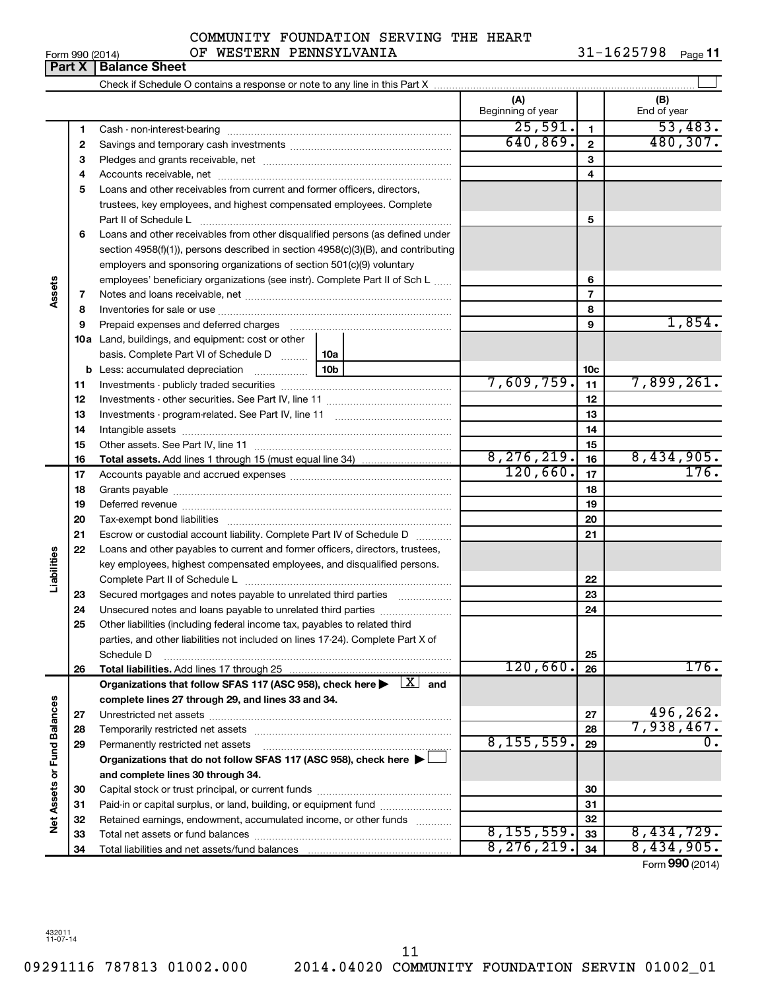## Form 990 (2014)  $\qquad \qquad \text{OF}$  WESTERN PENNSYLVANIA  $\qquad \qquad \qquad 31\textrm{--}1625798$  Page **Part X** | Balance Sheet COMMUNITY FOUNDATION SERVING THE HEART

Check if Schedule O contains a response or note to any line in this Part X Cash - non-interest-bearing ~~~~~~~~~~~~~~~~~~~~~~~~~ Savings and temporary cash investments ~~~~~~~~~~~~~~~~~~ ~~~~~~~~~~~~~~~~~~~~~

|                             | 2  |                                                                                                                                                                                                                                |     | 640,869.     | $\mathbf{2}$    | 480,307.        |
|-----------------------------|----|--------------------------------------------------------------------------------------------------------------------------------------------------------------------------------------------------------------------------------|-----|--------------|-----------------|-----------------|
|                             | З  |                                                                                                                                                                                                                                |     |              | 3               |                 |
|                             | 4  |                                                                                                                                                                                                                                |     |              | 4               |                 |
|                             | 5  | Loans and other receivables from current and former officers, directors,                                                                                                                                                       |     |              |                 |                 |
|                             |    | trustees, key employees, and highest compensated employees. Complete                                                                                                                                                           |     |              |                 |                 |
|                             |    |                                                                                                                                                                                                                                |     |              | 5               |                 |
|                             | 6  | Loans and other receivables from other disqualified persons (as defined under                                                                                                                                                  |     |              |                 |                 |
|                             |    | section 4958(f)(1)), persons described in section 4958(c)(3)(B), and contributing                                                                                                                                              |     |              |                 |                 |
|                             |    | employers and sponsoring organizations of section 501(c)(9) voluntary                                                                                                                                                          |     |              |                 |                 |
|                             |    | employees' beneficiary organizations (see instr). Complete Part II of Sch L                                                                                                                                                    |     |              | 6               |                 |
| Assets                      | 7  |                                                                                                                                                                                                                                |     |              | $\overline{7}$  |                 |
|                             | 8  |                                                                                                                                                                                                                                |     |              | 8               |                 |
|                             | 9  | Prepaid expenses and deferred charges [11] [11] prepaid expenses and deferred charges [11] [11] minimum and the Prepaid expenses and deferred charges [11] minimum and the Prepaid experiment of Prepaid experiment and the Pr |     |              | 9               | 1,854.          |
|                             |    | <b>10a</b> Land, buildings, and equipment: cost or other                                                                                                                                                                       |     |              |                 |                 |
|                             |    | basis. Complete Part VI of Schedule D    10a                                                                                                                                                                                   |     |              |                 |                 |
|                             | b  |                                                                                                                                                                                                                                | 10b |              | 10 <sub>c</sub> |                 |
|                             | 11 |                                                                                                                                                                                                                                |     | 7,609,759.   | 11              | 7,899,261.      |
|                             | 12 |                                                                                                                                                                                                                                |     |              | 12              |                 |
|                             | 13 |                                                                                                                                                                                                                                |     | 13           |                 |                 |
|                             | 14 |                                                                                                                                                                                                                                |     | 14           |                 |                 |
|                             | 15 |                                                                                                                                                                                                                                |     |              | 15              |                 |
|                             | 16 |                                                                                                                                                                                                                                |     | 8, 276, 219. | 16              | 8,434,905.      |
|                             | 17 |                                                                                                                                                                                                                                |     | 120,660.     | 17              | 176.            |
|                             | 18 |                                                                                                                                                                                                                                |     |              | 18              |                 |
|                             | 19 |                                                                                                                                                                                                                                |     |              | 19              |                 |
|                             | 20 |                                                                                                                                                                                                                                |     |              | 20              |                 |
|                             | 21 | Escrow or custodial account liability. Complete Part IV of Schedule D                                                                                                                                                          |     | 21           |                 |                 |
|                             | 22 | Loans and other payables to current and former officers, directors, trustees,                                                                                                                                                  |     |              |                 |                 |
| Liabilities                 |    | key employees, highest compensated employees, and disqualified persons.                                                                                                                                                        |     |              |                 |                 |
|                             |    |                                                                                                                                                                                                                                |     |              | 22              |                 |
|                             | 23 | Secured mortgages and notes payable to unrelated third parties <i>manumum</i>                                                                                                                                                  |     |              | 23              |                 |
|                             | 24 | Unsecured notes and loans payable to unrelated third parties                                                                                                                                                                   |     |              | 24              |                 |
|                             | 25 | Other liabilities (including federal income tax, payables to related third                                                                                                                                                     |     |              |                 |                 |
|                             |    | parties, and other liabilities not included on lines 17-24). Complete Part X of                                                                                                                                                |     |              |                 |                 |
|                             |    | Schedule D                                                                                                                                                                                                                     |     |              | 25              |                 |
|                             | 26 |                                                                                                                                                                                                                                |     | 120,660.     | 26              | 176.            |
|                             |    | Organizations that follow SFAS 117 (ASC 958), check here $\blacktriangleright \lfloor X \rfloor$ and                                                                                                                           |     |              |                 |                 |
|                             |    | complete lines 27 through 29, and lines 33 and 34.                                                                                                                                                                             |     |              |                 |                 |
|                             | 27 |                                                                                                                                                                                                                                |     |              | 27              | 496,262.        |
|                             | 28 | Temporarily restricted net assets                                                                                                                                                                                              |     |              | 28              | 7,938,467.      |
|                             | 29 | Permanently restricted net assets                                                                                                                                                                                              |     | 8, 155, 559. | 29              | 0.              |
|                             |    | Organizations that do not follow SFAS 117 (ASC 958), check here >                                                                                                                                                              |     |              |                 |                 |
|                             |    | and complete lines 30 through 34.                                                                                                                                                                                              |     |              |                 |                 |
| Net Assets or Fund Balances | 30 |                                                                                                                                                                                                                                |     |              | 30              |                 |
|                             | 31 | Paid-in or capital surplus, or land, building, or equipment fund                                                                                                                                                               |     |              | 31              |                 |
|                             | 32 | Retained earnings, endowment, accumulated income, or other funds                                                                                                                                                               |     |              | 32              |                 |
|                             | 33 |                                                                                                                                                                                                                                |     | 8, 155, 559. | 33              | 8,434,729.      |
|                             | 34 |                                                                                                                                                                                                                                |     | 8, 276, 219. | 34              | 8,434,905.      |
|                             |    |                                                                                                                                                                                                                                |     |              |                 | Form 990 (2014) |
|                             |    |                                                                                                                                                                                                                                |     |              |                 |                 |

**1**

 $\perp$ 

**(A) (B)**

Beginning of year | End of year

**1**

 $25,591.$  1 53,483.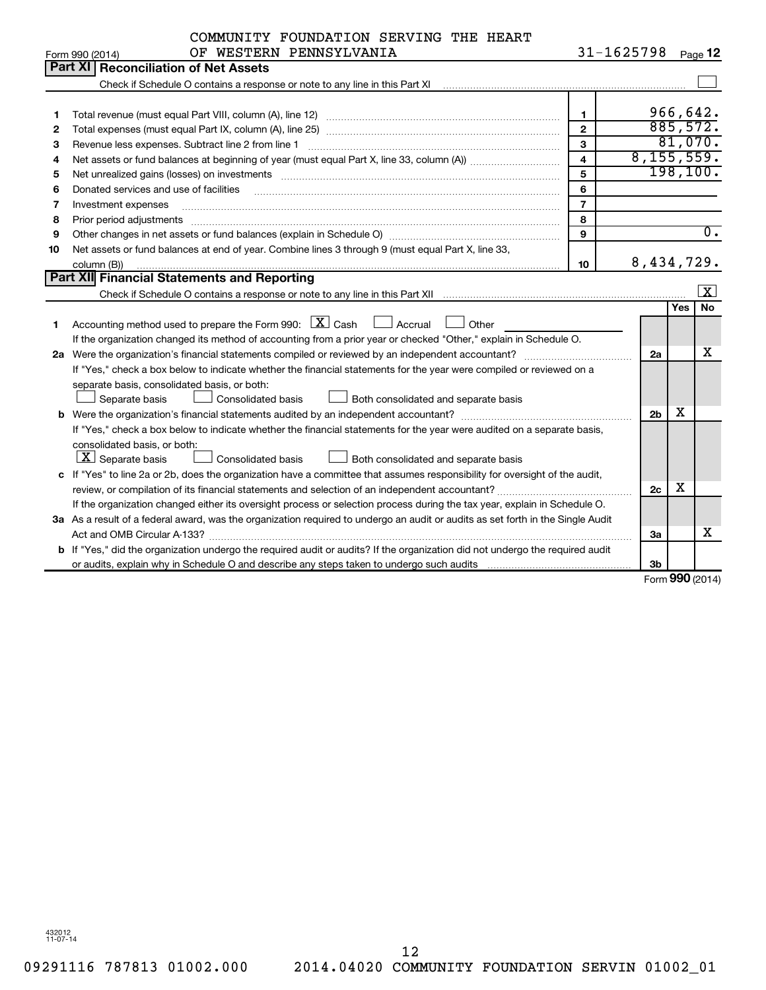|    | COMMUNITY FOUNDATION SERVING THE HEART                                                                                                                                                                                         |                         |                |                     |                  |
|----|--------------------------------------------------------------------------------------------------------------------------------------------------------------------------------------------------------------------------------|-------------------------|----------------|---------------------|------------------|
|    | OF WESTERN PENNSYLVANIA<br>Form 990 (2014)                                                                                                                                                                                     |                         | $31 - 1625798$ |                     | Page 12          |
|    | <b>Part XI   Reconciliation of Net Assets</b>                                                                                                                                                                                  |                         |                |                     |                  |
|    |                                                                                                                                                                                                                                |                         |                |                     |                  |
|    |                                                                                                                                                                                                                                |                         |                |                     |                  |
| 1  |                                                                                                                                                                                                                                | 1                       |                |                     | 966,642.         |
| 2  |                                                                                                                                                                                                                                | $\overline{2}$          | 885,572.       |                     |                  |
| з  | Revenue less expenses. Subtract line 2 from line 1                                                                                                                                                                             | 3                       |                |                     | 81,070.          |
| 4  |                                                                                                                                                                                                                                | $\overline{\mathbf{4}}$ | 8, 155, 559.   |                     |                  |
| 5  | Net unrealized gains (losses) on investments [111] matter in the contract of the contract of the contract of the contract of the contract of the contract of the contract of the contract of the contract of the contract of t | 5                       |                |                     | 198, 100.        |
| 6  | Donated services and use of facilities                                                                                                                                                                                         | 6                       |                |                     |                  |
| 7  | Investment expenses                                                                                                                                                                                                            | $\overline{7}$          |                |                     |                  |
| 8  | Prior period adjustments                                                                                                                                                                                                       | 8                       |                |                     |                  |
| 9  |                                                                                                                                                                                                                                | 9                       |                |                     | $\overline{0}$ . |
| 10 | Net assets or fund balances at end of year. Combine lines 3 through 9 (must equal Part X, line 33,                                                                                                                             |                         |                |                     |                  |
|    | column (B))                                                                                                                                                                                                                    | 10                      | 8,434,729.     |                     |                  |
|    | <b>Part XII Financial Statements and Reporting</b>                                                                                                                                                                             |                         |                |                     |                  |
|    |                                                                                                                                                                                                                                |                         |                |                     | $\vert$ X        |
|    |                                                                                                                                                                                                                                |                         |                | Yes                 | No.              |
| 1  | Accounting method used to prepare the Form 990: $X \subset X$ Cash<br>$\Box$ Accrual<br>Other                                                                                                                                  |                         |                |                     |                  |
|    | If the organization changed its method of accounting from a prior year or checked "Other," explain in Schedule O.                                                                                                              |                         |                |                     |                  |
|    | 2a Were the organization's financial statements compiled or reviewed by an independent accountant?                                                                                                                             |                         | 2a             |                     | x                |
|    | If "Yes," check a box below to indicate whether the financial statements for the year were compiled or reviewed on a                                                                                                           |                         |                |                     |                  |
|    | separate basis, consolidated basis, or both:                                                                                                                                                                                   |                         |                |                     |                  |
|    | Separate basis<br>Consolidated basis<br>Both consolidated and separate basis                                                                                                                                                   |                         |                |                     |                  |
|    |                                                                                                                                                                                                                                |                         | 2 <sub>b</sub> | X                   |                  |
|    | If "Yes," check a box below to indicate whether the financial statements for the year were audited on a separate basis,                                                                                                        |                         |                |                     |                  |
|    | consolidated basis, or both:                                                                                                                                                                                                   |                         |                |                     |                  |
|    | $ \mathbf{X} $ Separate basis<br><b>Consolidated basis</b><br>Both consolidated and separate basis                                                                                                                             |                         |                |                     |                  |
|    | c If "Yes" to line 2a or 2b, does the organization have a committee that assumes responsibility for oversight of the audit,                                                                                                    |                         |                |                     |                  |
|    |                                                                                                                                                                                                                                |                         | 2c             | x                   |                  |
|    | If the organization changed either its oversight process or selection process during the tax year, explain in Schedule O.                                                                                                      |                         |                |                     |                  |
|    | 3a As a result of a federal award, was the organization required to undergo an audit or audits as set forth in the Single Audit                                                                                                |                         |                |                     |                  |
|    | Act and OMB Circular A-133?                                                                                                                                                                                                    |                         | 3a             |                     | x                |
|    | b If "Yes," did the organization undergo the required audit or audits? If the organization did not undergo the required audit                                                                                                  |                         |                |                     |                  |
|    |                                                                                                                                                                                                                                |                         | 3b             |                     |                  |
|    |                                                                                                                                                                                                                                |                         |                | $000 \, \text{GeV}$ |                  |

Form (2014) **990**

432012 11-07-14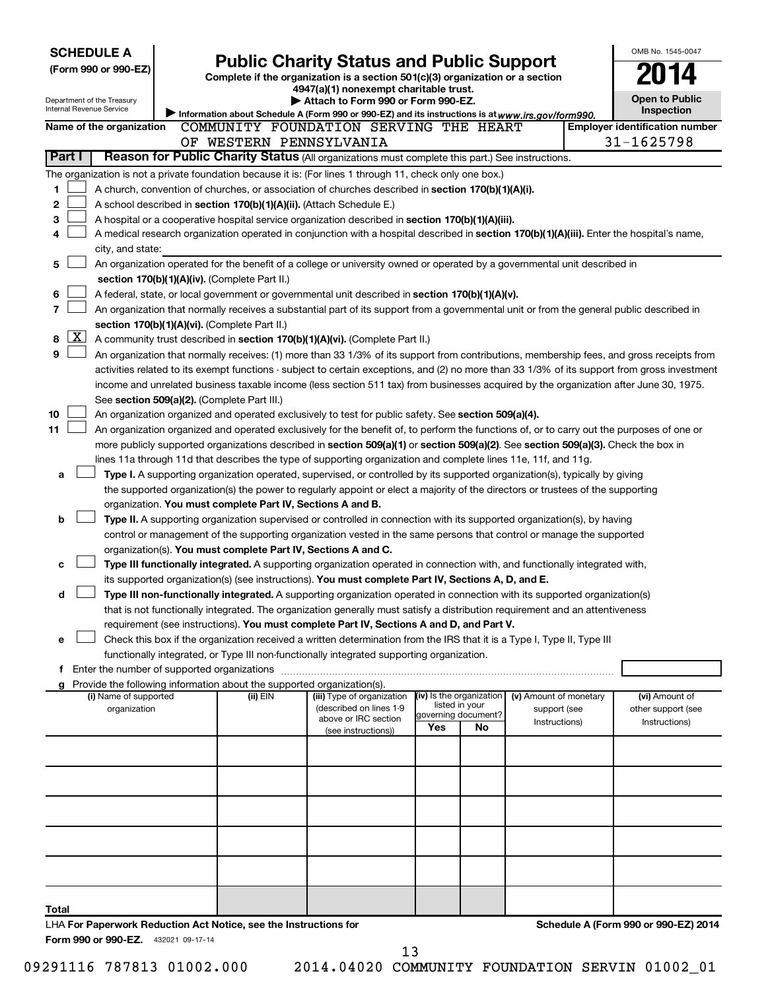| <b>SCHEDULE A</b>                                                                                       |                                               |                                               |                                                                                                                                                                                                                                                                                            |     |                                       |                        |  | OMB No. 1545-0047                                   |  |  |
|---------------------------------------------------------------------------------------------------------|-----------------------------------------------|-----------------------------------------------|--------------------------------------------------------------------------------------------------------------------------------------------------------------------------------------------------------------------------------------------------------------------------------------------|-----|---------------------------------------|------------------------|--|-----------------------------------------------------|--|--|
| (Form 990 or 990-EZ)                                                                                    |                                               |                                               | <b>Public Charity Status and Public Support</b>                                                                                                                                                                                                                                            |     |                                       |                        |  |                                                     |  |  |
|                                                                                                         |                                               |                                               | Complete if the organization is a section 501(c)(3) organization or a section<br>4947(a)(1) nonexempt charitable trust.                                                                                                                                                                    |     |                                       |                        |  |                                                     |  |  |
| Department of the Treasury                                                                              |                                               |                                               | Attach to Form 990 or Form 990-EZ.                                                                                                                                                                                                                                                         |     |                                       |                        |  | <b>Open to Public</b>                               |  |  |
| Internal Revenue Service                                                                                |                                               |                                               | Information about Schedule A (Form 990 or 990-EZ) and its instructions is at www.irs.gov/form990.                                                                                                                                                                                          |     |                                       |                        |  | <b>Inspection</b>                                   |  |  |
| Name of the organization                                                                                |                                               |                                               | COMMUNITY FOUNDATION SERVING THE HEART<br>OF WESTERN PENNSYLVANIA                                                                                                                                                                                                                          |     |                                       |                        |  | <b>Employer identification number</b><br>31-1625798 |  |  |
| Part I                                                                                                  |                                               |                                               | Reason for Public Charity Status (All organizations must complete this part.) See instructions.                                                                                                                                                                                            |     |                                       |                        |  |                                                     |  |  |
|                                                                                                         |                                               |                                               | The organization is not a private foundation because it is: (For lines 1 through 11, check only one box.)                                                                                                                                                                                  |     |                                       |                        |  |                                                     |  |  |
| 1                                                                                                       |                                               |                                               | A church, convention of churches, or association of churches described in <b>section 170(b)(1)(A)(i).</b>                                                                                                                                                                                  |     |                                       |                        |  |                                                     |  |  |
| 2                                                                                                       |                                               |                                               | A school described in section 170(b)(1)(A)(ii). (Attach Schedule E.)                                                                                                                                                                                                                       |     |                                       |                        |  |                                                     |  |  |
| 3                                                                                                       |                                               |                                               | A hospital or a cooperative hospital service organization described in section 170(b)(1)(A)(iii).                                                                                                                                                                                          |     |                                       |                        |  |                                                     |  |  |
| 4                                                                                                       |                                               |                                               | A medical research organization operated in conjunction with a hospital described in section 170(b)(1)(A)(iii). Enter the hospital's name,                                                                                                                                                 |     |                                       |                        |  |                                                     |  |  |
| city, and state:                                                                                        |                                               |                                               |                                                                                                                                                                                                                                                                                            |     |                                       |                        |  |                                                     |  |  |
| 5                                                                                                       |                                               |                                               | An organization operated for the benefit of a college or university owned or operated by a governmental unit described in                                                                                                                                                                  |     |                                       |                        |  |                                                     |  |  |
|                                                                                                         | section 170(b)(1)(A)(iv). (Complete Part II.) |                                               |                                                                                                                                                                                                                                                                                            |     |                                       |                        |  |                                                     |  |  |
| 6                                                                                                       |                                               |                                               | A federal, state, or local government or governmental unit described in section 170(b)(1)(A)(v).                                                                                                                                                                                           |     |                                       |                        |  |                                                     |  |  |
| $\overline{\phantom{a}}$                                                                                |                                               |                                               | An organization that normally receives a substantial part of its support from a governmental unit or from the general public described in                                                                                                                                                  |     |                                       |                        |  |                                                     |  |  |
| x                                                                                                       |                                               | section 170(b)(1)(A)(vi). (Complete Part II.) |                                                                                                                                                                                                                                                                                            |     |                                       |                        |  |                                                     |  |  |
| 8<br>9                                                                                                  |                                               |                                               | A community trust described in section 170(b)(1)(A)(vi). (Complete Part II.)                                                                                                                                                                                                               |     |                                       |                        |  |                                                     |  |  |
|                                                                                                         |                                               |                                               | An organization that normally receives: (1) more than 33 1/3% of its support from contributions, membership fees, and gross receipts from<br>activities related to its exempt functions - subject to certain exceptions, and (2) no more than 33 1/3% of its support from gross investment |     |                                       |                        |  |                                                     |  |  |
|                                                                                                         |                                               |                                               | income and unrelated business taxable income (less section 511 tax) from businesses acquired by the organization after June 30, 1975.                                                                                                                                                      |     |                                       |                        |  |                                                     |  |  |
|                                                                                                         |                                               | See section 509(a)(2). (Complete Part III.)   |                                                                                                                                                                                                                                                                                            |     |                                       |                        |  |                                                     |  |  |
| 10                                                                                                      |                                               |                                               | An organization organized and operated exclusively to test for public safety. See section 509(a)(4).                                                                                                                                                                                       |     |                                       |                        |  |                                                     |  |  |
| 11                                                                                                      |                                               |                                               | An organization organized and operated exclusively for the benefit of, to perform the functions of, or to carry out the purposes of one or                                                                                                                                                 |     |                                       |                        |  |                                                     |  |  |
|                                                                                                         |                                               |                                               | more publicly supported organizations described in section 509(a)(1) or section 509(a)(2). See section 509(a)(3). Check the box in                                                                                                                                                         |     |                                       |                        |  |                                                     |  |  |
|                                                                                                         |                                               |                                               | lines 11a through 11d that describes the type of supporting organization and complete lines 11e, 11f, and 11g.                                                                                                                                                                             |     |                                       |                        |  |                                                     |  |  |
| a                                                                                                       |                                               |                                               | Type I. A supporting organization operated, supervised, or controlled by its supported organization(s), typically by giving                                                                                                                                                                |     |                                       |                        |  |                                                     |  |  |
|                                                                                                         |                                               |                                               | the supported organization(s) the power to regularly appoint or elect a majority of the directors or trustees of the supporting                                                                                                                                                            |     |                                       |                        |  |                                                     |  |  |
| b                                                                                                       |                                               |                                               | organization. You must complete Part IV, Sections A and B.<br>Type II. A supporting organization supervised or controlled in connection with its supported organization(s), by having                                                                                                      |     |                                       |                        |  |                                                     |  |  |
|                                                                                                         |                                               |                                               | control or management of the supporting organization vested in the same persons that control or manage the supported                                                                                                                                                                       |     |                                       |                        |  |                                                     |  |  |
|                                                                                                         |                                               |                                               | organization(s). You must complete Part IV, Sections A and C.                                                                                                                                                                                                                              |     |                                       |                        |  |                                                     |  |  |
| c                                                                                                       |                                               |                                               | Type III functionally integrated. A supporting organization operated in connection with, and functionally integrated with,                                                                                                                                                                 |     |                                       |                        |  |                                                     |  |  |
|                                                                                                         |                                               |                                               | its supported organization(s) (see instructions). You must complete Part IV, Sections A, D, and E.                                                                                                                                                                                         |     |                                       |                        |  |                                                     |  |  |
| d                                                                                                       |                                               |                                               | Type III non-functionally integrated. A supporting organization operated in connection with its supported organization(s)                                                                                                                                                                  |     |                                       |                        |  |                                                     |  |  |
|                                                                                                         |                                               |                                               | that is not functionally integrated. The organization generally must satisfy a distribution requirement and an attentiveness                                                                                                                                                               |     |                                       |                        |  |                                                     |  |  |
|                                                                                                         |                                               |                                               | requirement (see instructions). You must complete Part IV, Sections A and D, and Part V.                                                                                                                                                                                                   |     |                                       |                        |  |                                                     |  |  |
| е                                                                                                       |                                               |                                               | Check this box if the organization received a written determination from the IRS that it is a Type I, Type II, Type III                                                                                                                                                                    |     |                                       |                        |  |                                                     |  |  |
| f Enter the number of supported organizations                                                           |                                               |                                               | functionally integrated, or Type III non-functionally integrated supporting organization.                                                                                                                                                                                                  |     |                                       |                        |  |                                                     |  |  |
| g                                                                                                       |                                               |                                               | Provide the following information about the supported organization(s).                                                                                                                                                                                                                     |     |                                       |                        |  |                                                     |  |  |
| (i) Name of supported                                                                                   |                                               | (ii) EIN                                      | (iii) Type of organization                                                                                                                                                                                                                                                                 |     | (iv) Is the organization              | (v) Amount of monetary |  | (vi) Amount of                                      |  |  |
| organization                                                                                            |                                               |                                               | (described on lines 1-9<br>above or IRC section                                                                                                                                                                                                                                            |     | listed in your<br>governing document? | support (see           |  | other support (see                                  |  |  |
|                                                                                                         |                                               |                                               | (see instructions))                                                                                                                                                                                                                                                                        | Yes | No                                    | Instructions)          |  | Instructions)                                       |  |  |
|                                                                                                         |                                               |                                               |                                                                                                                                                                                                                                                                                            |     |                                       |                        |  |                                                     |  |  |
|                                                                                                         |                                               |                                               |                                                                                                                                                                                                                                                                                            |     |                                       |                        |  |                                                     |  |  |
|                                                                                                         |                                               |                                               |                                                                                                                                                                                                                                                                                            |     |                                       |                        |  |                                                     |  |  |
|                                                                                                         |                                               |                                               |                                                                                                                                                                                                                                                                                            |     |                                       |                        |  |                                                     |  |  |
|                                                                                                         |                                               |                                               |                                                                                                                                                                                                                                                                                            |     |                                       |                        |  |                                                     |  |  |
|                                                                                                         |                                               |                                               |                                                                                                                                                                                                                                                                                            |     |                                       |                        |  |                                                     |  |  |
|                                                                                                         |                                               |                                               |                                                                                                                                                                                                                                                                                            |     |                                       |                        |  |                                                     |  |  |
|                                                                                                         |                                               |                                               |                                                                                                                                                                                                                                                                                            |     |                                       |                        |  |                                                     |  |  |
|                                                                                                         |                                               |                                               |                                                                                                                                                                                                                                                                                            |     |                                       |                        |  |                                                     |  |  |
|                                                                                                         |                                               |                                               |                                                                                                                                                                                                                                                                                            |     |                                       |                        |  |                                                     |  |  |
| Total                                                                                                   |                                               |                                               |                                                                                                                                                                                                                                                                                            |     |                                       |                        |  |                                                     |  |  |
| LHA For Paperwork Reduction Act Notice, see the Instructions for<br>Form 990 or 990-EZ. 432021 09-17-14 |                                               |                                               |                                                                                                                                                                                                                                                                                            |     |                                       |                        |  | Schedule A (Form 990 or 990-EZ) 2014                |  |  |

13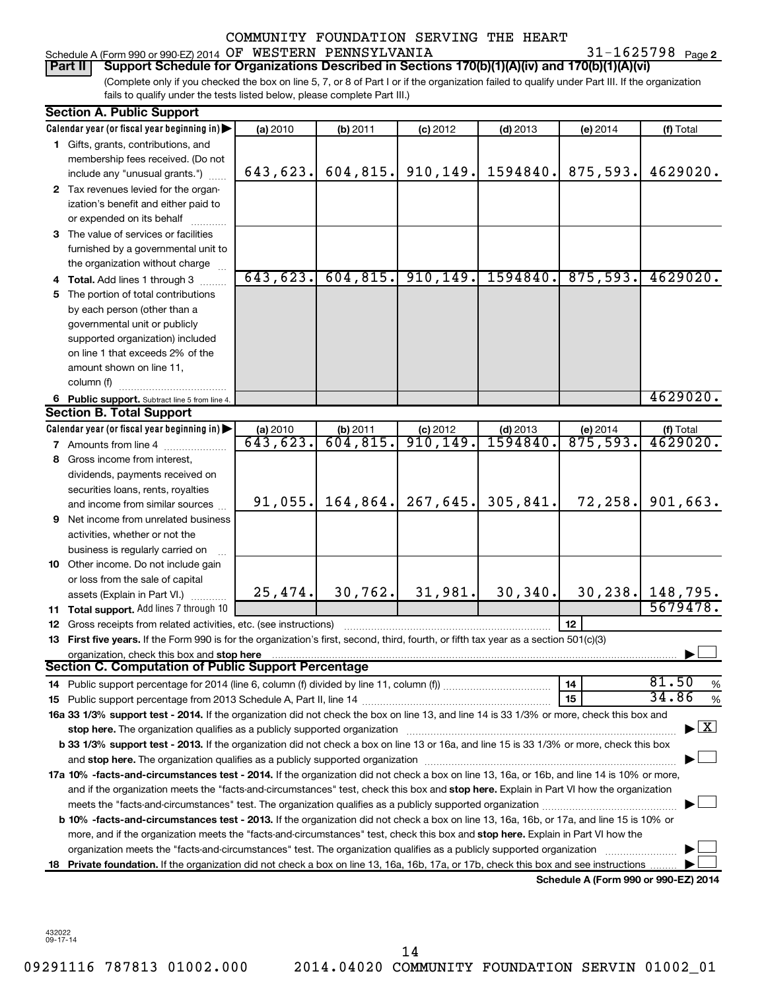#### Schedule A (Form 990 or 990-EZ) 2014  $\,$  OF  $\,$  WESTERN PENNSYLVANIA  $\,$  31 – 1625798  $\,$  Page COMMUNITY FOUNDATION SERVING THE HEART

31-1625798 Page 2

## **Part II Support Schedule for Organizations Described in Sections 170(b)(1)(A)(iv) and 170(b)(1)(A)(vi)**

(Complete only if you checked the box on line 5, 7, or 8 of Part I or if the organization failed to qualify under Part III. If the organization fails to qualify under the tests listed below, please complete Part III.)

|     | <b>Section A. Public Support</b>                                                                                                                                                                                              |          |           |            |            |                                      |                    |
|-----|-------------------------------------------------------------------------------------------------------------------------------------------------------------------------------------------------------------------------------|----------|-----------|------------|------------|--------------------------------------|--------------------|
|     | Calendar year (or fiscal year beginning in)                                                                                                                                                                                   | (a) 2010 | (b) 2011  | $(c)$ 2012 | $(d)$ 2013 | (e) 2014                             | (f) Total          |
|     | 1 Gifts, grants, contributions, and                                                                                                                                                                                           |          |           |            |            |                                      |                    |
|     | membership fees received. (Do not                                                                                                                                                                                             |          |           |            |            |                                      |                    |
|     | include any "unusual grants.")                                                                                                                                                                                                | 643,623. | 604, 815. | 910, 149.  | 1594840.   | 875,593.                             | 4629020.           |
|     | 2 Tax revenues levied for the organ-                                                                                                                                                                                          |          |           |            |            |                                      |                    |
|     | ization's benefit and either paid to                                                                                                                                                                                          |          |           |            |            |                                      |                    |
|     | or expended on its behalf                                                                                                                                                                                                     |          |           |            |            |                                      |                    |
|     | 3 The value of services or facilities                                                                                                                                                                                         |          |           |            |            |                                      |                    |
|     | furnished by a governmental unit to                                                                                                                                                                                           |          |           |            |            |                                      |                    |
|     | the organization without charge                                                                                                                                                                                               |          |           |            |            |                                      |                    |
|     | 4 Total. Add lines 1 through 3                                                                                                                                                                                                | 643,623. | 604, 815. | 910, 149.  | 1594840.   | 875,593.                             | 4629020.           |
|     | 5 The portion of total contributions                                                                                                                                                                                          |          |           |            |            |                                      |                    |
|     | by each person (other than a                                                                                                                                                                                                  |          |           |            |            |                                      |                    |
|     | governmental unit or publicly                                                                                                                                                                                                 |          |           |            |            |                                      |                    |
|     | supported organization) included                                                                                                                                                                                              |          |           |            |            |                                      |                    |
|     | on line 1 that exceeds 2% of the                                                                                                                                                                                              |          |           |            |            |                                      |                    |
|     | amount shown on line 11,                                                                                                                                                                                                      |          |           |            |            |                                      |                    |
|     | column (f)                                                                                                                                                                                                                    |          |           |            |            |                                      |                    |
|     | 6 Public support. Subtract line 5 from line 4.                                                                                                                                                                                |          |           |            |            |                                      | 4629020.           |
|     | <b>Section B. Total Support</b>                                                                                                                                                                                               |          |           |            |            |                                      |                    |
|     | Calendar year (or fiscal year beginning in) $\blacktriangleright$                                                                                                                                                             | (a) 2010 | (b) 2011  | $(c)$ 2012 | $(d)$ 2013 | (e) 2014                             | (f) Total          |
|     | <b>7</b> Amounts from line 4                                                                                                                                                                                                  | 643,623. | 604,815.  | 910, 149.  | 1594840.   | 875,593.                             | 4629020.           |
|     | 8 Gross income from interest,                                                                                                                                                                                                 |          |           |            |            |                                      |                    |
|     | dividends, payments received on                                                                                                                                                                                               |          |           |            |            |                                      |                    |
|     | securities loans, rents, royalties                                                                                                                                                                                            |          |           |            |            |                                      |                    |
|     | and income from similar sources                                                                                                                                                                                               | 91,055.  | 164,864.  | 267,645.   | 305,841.   | 72,258.                              | 901,663.           |
|     | 9 Net income from unrelated business                                                                                                                                                                                          |          |           |            |            |                                      |                    |
|     | activities, whether or not the                                                                                                                                                                                                |          |           |            |            |                                      |                    |
|     | business is regularly carried on                                                                                                                                                                                              |          |           |            |            |                                      |                    |
|     | 10 Other income. Do not include gain                                                                                                                                                                                          |          |           |            |            |                                      |                    |
|     | or loss from the sale of capital                                                                                                                                                                                              |          |           |            |            |                                      |                    |
|     | assets (Explain in Part VI.)                                                                                                                                                                                                  | 25,474.  | 30, 762.  | 31,981.    | 30, 340.   |                                      | 30, 238. 148, 795. |
|     | <b>11 Total support.</b> Add lines 7 through 10                                                                                                                                                                               |          |           |            |            |                                      | 5679478.           |
|     | 12 Gross receipts from related activities, etc. (see instructions)                                                                                                                                                            |          |           |            |            | 12                                   |                    |
|     | 13 First five years. If the Form 990 is for the organization's first, second, third, fourth, or fifth tax year as a section 501(c)(3)                                                                                         |          |           |            |            |                                      |                    |
|     | organization, check this box and stop here<br>Section C. Computation of Public Support Percentage                                                                                                                             |          |           |            |            |                                      |                    |
|     |                                                                                                                                                                                                                               |          |           |            |            |                                      | 81.50              |
|     |                                                                                                                                                                                                                               |          |           |            |            | 14                                   | %<br>34.86         |
|     |                                                                                                                                                                                                                               |          |           |            |            | 15                                   | $\%$               |
|     | 16a 33 1/3% support test - 2014. If the organization did not check the box on line 13, and line 14 is 33 1/3% or more, check this box and                                                                                     |          |           |            |            |                                      | $\mathbf{X}$       |
|     | stop here. The organization qualifies as a publicly supported organization manufaction manufacture or manufacture manufacture manufacture manufacture manufacture manufacture manufacture manufacture manufacture manufacture |          |           |            |            |                                      |                    |
|     | b 33 1/3% support test - 2013. If the organization did not check a box on line 13 or 16a, and line 15 is 33 1/3% or more, check this box                                                                                      |          |           |            |            |                                      |                    |
|     |                                                                                                                                                                                                                               |          |           |            |            |                                      |                    |
|     | 17a 10% -facts-and-circumstances test - 2014. If the organization did not check a box on line 13, 16a, or 16b, and line 14 is 10% or more,                                                                                    |          |           |            |            |                                      |                    |
|     | and if the organization meets the "facts-and-circumstances" test, check this box and stop here. Explain in Part VI how the organization                                                                                       |          |           |            |            |                                      |                    |
|     | <b>b 10%</b> -facts-and-circumstances test - 2013. If the organization did not check a box on line 13, 16a, 16b, or 17a, and line 15 is 10% or                                                                                |          |           |            |            |                                      |                    |
|     | more, and if the organization meets the "facts-and-circumstances" test, check this box and stop here. Explain in Part VI how the                                                                                              |          |           |            |            |                                      |                    |
|     | organization meets the "facts-and-circumstances" test. The organization qualifies as a publicly supported organization                                                                                                        |          |           |            |            |                                      |                    |
| 18. | Private foundation. If the organization did not check a box on line 13, 16a, 16b, 17a, or 17b, check this box and see instructions                                                                                            |          |           |            |            |                                      |                    |
|     |                                                                                                                                                                                                                               |          |           |            |            | Schedule A (Form 990 or 990-EZ) 2014 |                    |

432022 09-17-14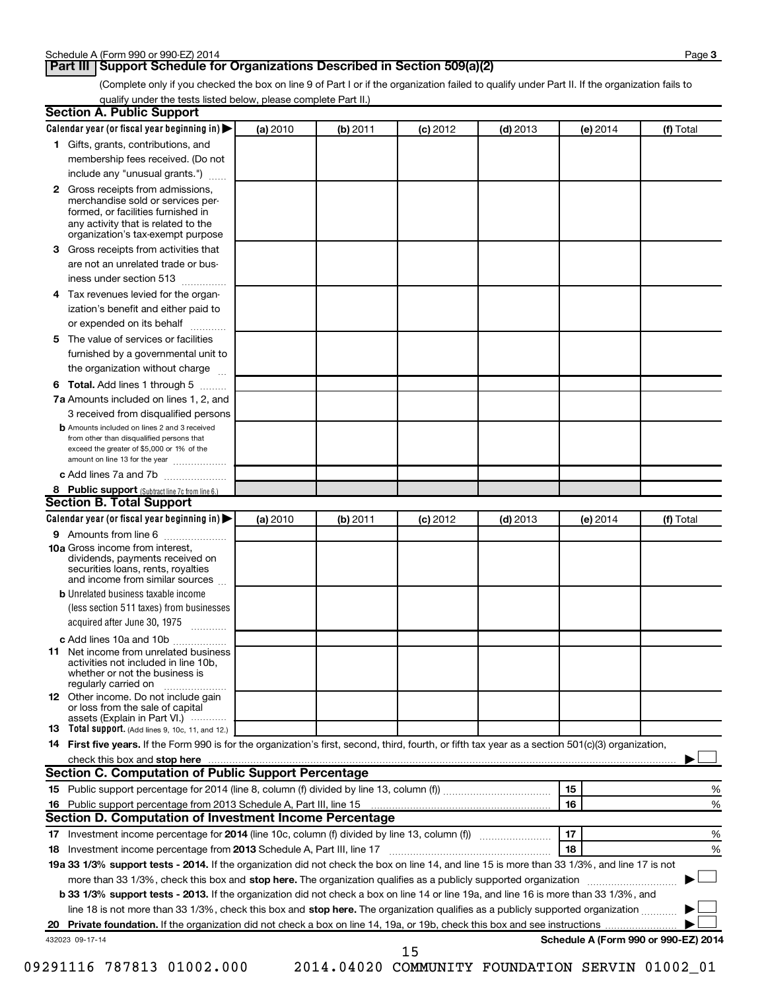## **Part III Support Schedule for Organizations Described in Section 509(a)(2)**

(Complete only if you checked the box on line 9 of Part I or if the organization failed to qualify under Part II. If the organization fails to qualify under the tests listed below, please complete Part II.)

| <b>Section A. Public Support</b>                                                                                                                                                                                         |          |          |            |            |          |                                      |
|--------------------------------------------------------------------------------------------------------------------------------------------------------------------------------------------------------------------------|----------|----------|------------|------------|----------|--------------------------------------|
| Calendar year (or fiscal year beginning in)                                                                                                                                                                              | (a) 2010 | (b) 2011 | $(c)$ 2012 | $(d)$ 2013 | (e) 2014 | (f) Total                            |
| 1 Gifts, grants, contributions, and                                                                                                                                                                                      |          |          |            |            |          |                                      |
| membership fees received. (Do not                                                                                                                                                                                        |          |          |            |            |          |                                      |
| include any "unusual grants.")                                                                                                                                                                                           |          |          |            |            |          |                                      |
| 2 Gross receipts from admissions,<br>merchandise sold or services per-<br>formed, or facilities furnished in<br>any activity that is related to the                                                                      |          |          |            |            |          |                                      |
| organization's tax-exempt purpose<br>3 Gross receipts from activities that                                                                                                                                               |          |          |            |            |          |                                      |
| are not an unrelated trade or bus-                                                                                                                                                                                       |          |          |            |            |          |                                      |
| iness under section 513                                                                                                                                                                                                  |          |          |            |            |          |                                      |
|                                                                                                                                                                                                                          |          |          |            |            |          |                                      |
| 4 Tax revenues levied for the organ-                                                                                                                                                                                     |          |          |            |            |          |                                      |
| ization's benefit and either paid to                                                                                                                                                                                     |          |          |            |            |          |                                      |
| or expended on its behalf<br>.                                                                                                                                                                                           |          |          |            |            |          |                                      |
| 5 The value of services or facilities                                                                                                                                                                                    |          |          |            |            |          |                                      |
| furnished by a governmental unit to                                                                                                                                                                                      |          |          |            |            |          |                                      |
| the organization without charge                                                                                                                                                                                          |          |          |            |            |          |                                      |
| 6 Total. Add lines 1 through 5                                                                                                                                                                                           |          |          |            |            |          |                                      |
| 7a Amounts included on lines 1, 2, and                                                                                                                                                                                   |          |          |            |            |          |                                      |
| 3 received from disqualified persons<br><b>b</b> Amounts included on lines 2 and 3 received<br>from other than disqualified persons that<br>exceed the greater of \$5,000 or 1% of the<br>amount on line 13 for the year |          |          |            |            |          |                                      |
| c Add lines 7a and 7b                                                                                                                                                                                                    |          |          |            |            |          |                                      |
| 8 Public support (Subtract line 7c from line 6.)                                                                                                                                                                         |          |          |            |            |          |                                      |
| <b>Section B. Total Support</b>                                                                                                                                                                                          |          |          |            |            |          |                                      |
| Calendar year (or fiscal year beginning in)                                                                                                                                                                              | (a) 2010 | (b) 2011 | $(c)$ 2012 | $(d)$ 2013 | (e) 2014 | (f) Total                            |
| 9 Amounts from line 6                                                                                                                                                                                                    |          |          |            |            |          |                                      |
| <b>10a</b> Gross income from interest,<br>dividends, payments received on<br>securities loans, rents, royalties<br>and income from similar sources                                                                       |          |          |            |            |          |                                      |
| <b>b</b> Unrelated business taxable income                                                                                                                                                                               |          |          |            |            |          |                                      |
| (less section 511 taxes) from businesses                                                                                                                                                                                 |          |          |            |            |          |                                      |
| acquired after June 30, 1975<br>$\overline{\phantom{a}}$                                                                                                                                                                 |          |          |            |            |          |                                      |
| c Add lines 10a and 10b                                                                                                                                                                                                  |          |          |            |            |          |                                      |
| <b>11</b> Net income from unrelated business<br>activities not included in line 10b.<br>whether or not the business is<br>regularly carried on                                                                           |          |          |            |            |          |                                      |
| 12 Other income. Do not include gain<br>or loss from the sale of capital<br>assets (Explain in Part VI.)                                                                                                                 |          |          |            |            |          |                                      |
| <b>13</b> Total support. (Add lines 9, 10c, 11, and 12.)                                                                                                                                                                 |          |          |            |            |          |                                      |
| 14 First five years. If the Form 990 is for the organization's first, second, third, fourth, or fifth tax year as a section 501(c)(3) organization,                                                                      |          |          |            |            |          |                                      |
| check this box and stop here                                                                                                                                                                                             |          |          |            |            |          |                                      |
| <b>Section C. Computation of Public Support Percentage</b>                                                                                                                                                               |          |          |            |            |          |                                      |
|                                                                                                                                                                                                                          |          |          |            |            | 15       | %                                    |
|                                                                                                                                                                                                                          |          |          |            |            | 16       | %                                    |
| Section D. Computation of Investment Income Percentage                                                                                                                                                                   |          |          |            |            |          |                                      |
|                                                                                                                                                                                                                          |          |          |            |            | 17       | %                                    |
| 18 Investment income percentage from 2013 Schedule A, Part III, line 17                                                                                                                                                  |          |          |            |            | 18       | %                                    |
| 19a 33 1/3% support tests - 2014. If the organization did not check the box on line 14, and line 15 is more than 33 1/3%, and line 17 is not                                                                             |          |          |            |            |          |                                      |
| more than 33 1/3%, check this box and stop here. The organization qualifies as a publicly supported organization                                                                                                         |          |          |            |            |          |                                      |
| b 33 1/3% support tests - 2013. If the organization did not check a box on line 14 or line 19a, and line 16 is more than 33 1/3%, and                                                                                    |          |          |            |            |          |                                      |
| line 18 is not more than 33 1/3%, check this box and stop here. The organization qualifies as a publicly supported organization <i></i>                                                                                  |          |          |            |            |          |                                      |
|                                                                                                                                                                                                                          |          |          |            |            |          |                                      |
| 432023 09-17-14                                                                                                                                                                                                          |          |          | 15         |            |          | Schedule A (Form 990 or 990-EZ) 2014 |
|                                                                                                                                                                                                                          |          |          |            |            |          |                                      |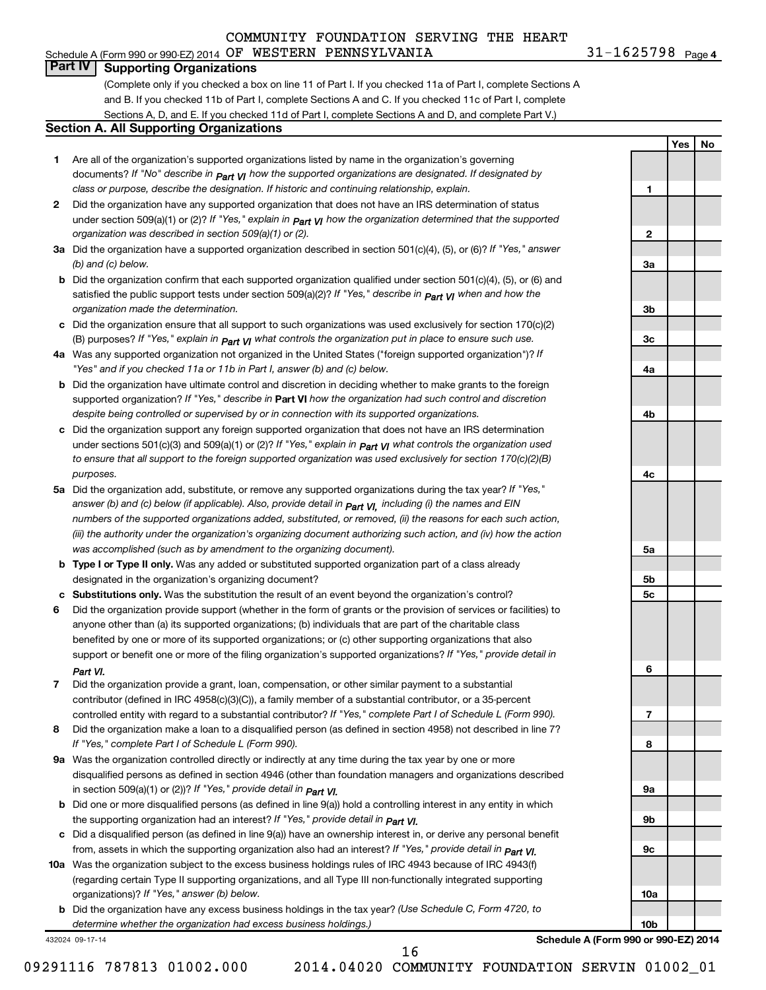Schedule A (Form 990 or 990-EZ) 2014  $\,$  OF  $\,$  WESTERN PENNSYLVANIA  $\,$  31 – 1625798  $\,$  Page

31-1625798 Page 4

**1**

**2**

**3a**

**3b**

**3c**

**4a**

**4b**

**4c**

**5a**

**5b 5c**

**6**

**7**

**8**

**9a**

**9b**

**9c**

**10a**

**10b**

**Yes No**

#### **Part IV Supporting Organizations**

(Complete only if you checked a box on line 11 of Part I. If you checked 11a of Part I, complete Sections A and B. If you checked 11b of Part I, complete Sections A and C. If you checked 11c of Part I, complete Sections A, D, and E. If you checked 11d of Part I, complete Sections A and D, and complete Part V.)

#### **Section A. All Supporting Organizations**

- **1** Are all of the organization's supported organizations listed by name in the organization's governing documents? If "No" describe in  $_{\mathsf{Part}}$   $_{\mathsf{V}}$  how the supported organizations are designated. If designated by *class or purpose, describe the designation. If historic and continuing relationship, explain.*
- **2** Did the organization have any supported organization that does not have an IRS determination of status under section 509(a)(1) or (2)? If "Yes," explain in  $_{\sf Part}$   $_{\sf VI}$  how the organization determined that the supported *organization was described in section 509(a)(1) or (2).*
- **3a** Did the organization have a supported organization described in section 501(c)(4), (5), or (6)? If "Yes," answer *(b) and (c) below.*
- **b** Did the organization confirm that each supported organization qualified under section 501(c)(4), (5), or (6) and satisfied the public support tests under section 509(a)(2)? If "Yes," describe in  $_{\rm Part}$   $_{\rm VI}$  when and how the *organization made the determination.*
- **c** Did the organization ensure that all support to such organizations was used exclusively for section 170(c)(2) (B) purposes? If "Yes," explain in  $_{\mathsf{Part}}$   $_{\mathsf{V}}$  what controls the organization put in place to ensure such use.
- **4 a** *If* Was any supported organization not organized in the United States ("foreign supported organization")? *"Yes" and if you checked 11a or 11b in Part I, answer (b) and (c) below.*
- **b** Did the organization have ultimate control and discretion in deciding whether to make grants to the foreign supported organization? If "Yes," describe in Part VI how the organization had such control and discretion *despite being controlled or supervised by or in connection with its supported organizations.*
- **c** Did the organization support any foreign supported organization that does not have an IRS determination under sections 501(c)(3) and 509(a)(1) or (2)? If "Yes," ex*plain in*  $_{\sf Part}$  *v*J what controls the organization used *to ensure that all support to the foreign supported organization was used exclusively for section 170(c)(2)(B) purposes.*
- **5a** Did the organization add, substitute, or remove any supported organizations during the tax year? If "Yes," answer (b) and (c) below (if applicable). Also, provide detail in  $_{\mathsf{Part}}$   $_{\mathsf{V{\mathsf{I}}}}$ , including (i) the names and EIN *numbers of the supported organizations added, substituted, or removed, (ii) the reasons for each such action, (iii) the authority under the organization's organizing document authorizing such action, and (iv) how the action was accomplished (such as by amendment to the organizing document).*
- **b** Type I or Type II only. Was any added or substituted supported organization part of a class already designated in the organization's organizing document?
- **c Substitutions only.**  Was the substitution the result of an event beyond the organization's control?
- **6** Did the organization provide support (whether in the form of grants or the provision of services or facilities) to support or benefit one or more of the filing organization's supported organizations? If "Yes," provide detail in anyone other than (a) its supported organizations; (b) individuals that are part of the charitable class benefited by one or more of its supported organizations; or (c) other supporting organizations that also *Part VI.*
- **7** Did the organization provide a grant, loan, compensation, or other similar payment to a substantial controlled entity with regard to a substantial contributor? If "Yes," complete Part I of Schedule L (Form 990). contributor (defined in IRC 4958(c)(3)(C)), a family member of a substantial contributor, or a 35-percent
- **8** Did the organization make a loan to a disqualified person (as defined in section 4958) not described in line 7? *If "Yes," complete Part I of Schedule L (Form 990).*
- **9 a** Was the organization controlled directly or indirectly at any time during the tax year by one or more *If "Yes," provide detail in*  in section 509(a)(1) or (2))? *Part VI.* disqualified persons as defined in section 4946 (other than foundation managers and organizations described
- **b** Did one or more disqualified persons (as defined in line 9(a)) hold a controlling interest in any entity in which  *If "Yes," provide detail in*  the supporting organization had an interest? *Part VI.*
- **c** Did a disqualified person (as defined in line 9(a)) have an ownership interest in, or derive any personal benefit from, assets in which the supporting organization also had an interest? If "Yes," *provide detail in Part VI.*
- **10 a** Was the organization subject to the excess business holdings rules of IRC 4943 because of IRC 4943(f)  *If "Yes," answer (b) below.* organizations)? (regarding certain Type II supporting organizations, and all Type III non-functionally integrated supporting
	- **b** Did the organization have any excess business holdings in the tax year? (Use Schedule C, Form 4720, to *determine whether the organization had excess business holdings.)*

432024 09-17-14

**Schedule A (Form 990 or 990-EZ) 2014**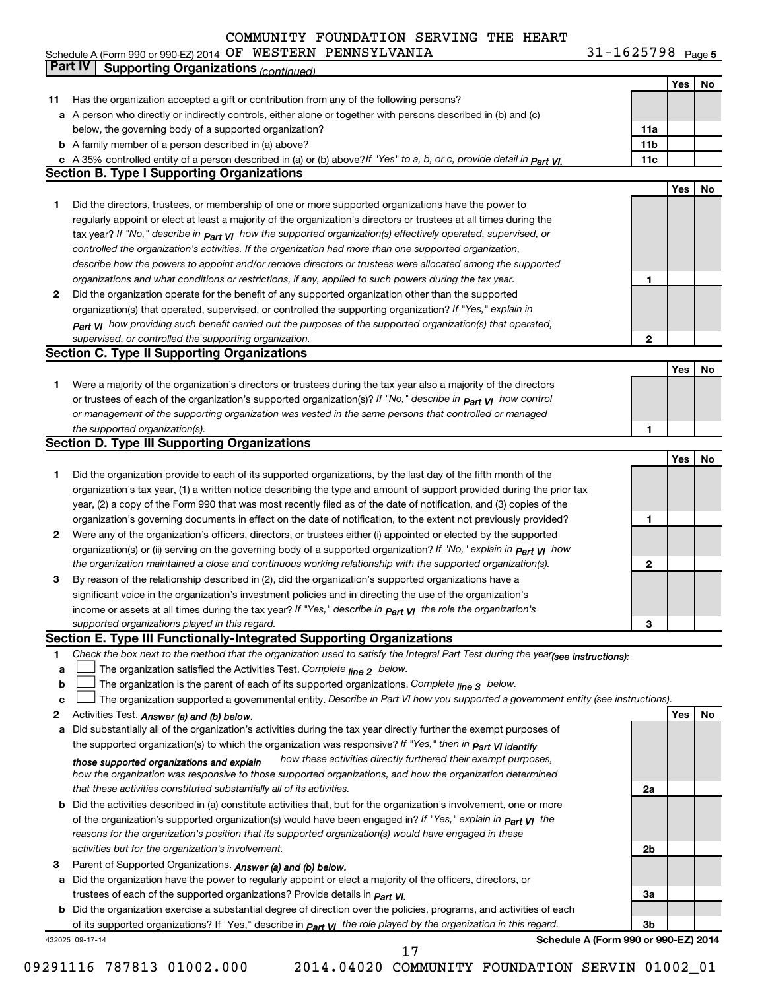31-1625798 Page 5 Schedule A (Form 990 or 990-EZ) 2014 OF WESTERN PENNSYLVANIA  $\mathcal{S}1-1023798$  Page OF WESTERN PENNSYLVANIA 31-1625798

|    | Part IV<br><b>Supporting Organizations (continued)</b>                                                                           |                 |     |    |
|----|----------------------------------------------------------------------------------------------------------------------------------|-----------------|-----|----|
|    |                                                                                                                                  |                 | Yes | No |
| 11 | Has the organization accepted a gift or contribution from any of the following persons?                                          |                 |     |    |
|    | a A person who directly or indirectly controls, either alone or together with persons described in (b) and (c)                   |                 |     |    |
|    | below, the governing body of a supported organization?                                                                           | 11a             |     |    |
|    | <b>b</b> A family member of a person described in (a) above?                                                                     | 11 <sub>b</sub> |     |    |
|    | c A 35% controlled entity of a person described in (a) or (b) above?If "Yes" to a, b, or c, provide detail in Part VI.           | 11c             |     |    |
|    | <b>Section B. Type I Supporting Organizations</b>                                                                                |                 |     |    |
|    |                                                                                                                                  |                 | Yes | No |
|    | Did the directors, trustees, or membership of one or more supported organizations have the power to                              |                 |     |    |
| 1  |                                                                                                                                  |                 |     |    |
|    | regularly appoint or elect at least a majority of the organization's directors or trustees at all times during the               |                 |     |    |
|    | tax year? If "No," describe in $P_{art}$ VI how the supported organization(s) effectively operated, supervised, or               |                 |     |    |
|    | controlled the organization's activities. If the organization had more than one supported organization,                          |                 |     |    |
|    | describe how the powers to appoint and/or remove directors or trustees were allocated among the supported                        |                 |     |    |
|    | organizations and what conditions or restrictions, if any, applied to such powers during the tax year.                           | 1               |     |    |
| 2  | Did the organization operate for the benefit of any supported organization other than the supported                              |                 |     |    |
|    | organization(s) that operated, supervised, or controlled the supporting organization? If "Yes," explain in                       |                 |     |    |
|    | $_{Part}$ v <sub>1</sub> how providing such benefit carried out the purposes of the supported organization(s) that operated,     |                 |     |    |
|    | supervised, or controlled the supporting organization.                                                                           | $\mathbf{2}$    |     |    |
|    | <b>Section C. Type II Supporting Organizations</b>                                                                               |                 |     |    |
|    |                                                                                                                                  |                 | Yes | No |
| 1  | Were a majority of the organization's directors or trustees during the tax year also a majority of the directors                 |                 |     |    |
|    | or trustees of each of the organization's supported organization(s)? If "No," describe in <b>Part VI</b> how control             |                 |     |    |
|    | or management of the supporting organization was vested in the same persons that controlled or managed                           |                 |     |    |
|    | the supported organization(s).                                                                                                   | 1               |     |    |
|    | <b>Section D. Type III Supporting Organizations</b>                                                                              |                 |     |    |
|    |                                                                                                                                  |                 | Yes | No |
| 1  | Did the organization provide to each of its supported organizations, by the last day of the fifth month of the                   |                 |     |    |
|    | organization's tax year, (1) a written notice describing the type and amount of support provided during the prior tax            |                 |     |    |
|    | year, (2) a copy of the Form 990 that was most recently filed as of the date of notification, and (3) copies of the              |                 |     |    |
|    |                                                                                                                                  | 1               |     |    |
|    | organization's governing documents in effect on the date of notification, to the extent not previously provided?                 |                 |     |    |
| 2  | Were any of the organization's officers, directors, or trustees either (i) appointed or elected by the supported                 |                 |     |    |
|    | organization(s) or (ii) serving on the governing body of a supported organization? If "No," explain in part VI how               |                 |     |    |
|    | the organization maintained a close and continuous working relationship with the supported organization(s).                      | 2               |     |    |
| 3  | By reason of the relationship described in (2), did the organization's supported organizations have a                            |                 |     |    |
|    | significant voice in the organization's investment policies and in directing the use of the organization's                       |                 |     |    |
|    | income or assets at all times during the tax year? If "Yes," describe in $P_{\text{part}} \gamma_l$ the role the organization's  |                 |     |    |
|    | supported organizations played in this regard.                                                                                   | З               |     |    |
|    | Section E. Type III Functionally-Integrated Supporting Organizations                                                             |                 |     |    |
| 1  | Check the box next to the method that the organization used to satisfy the Integral Part Test during the year(see instructions): |                 |     |    |
| a  | The organization satisfied the Activities Test. Complete line 2 below.                                                           |                 |     |    |
| b  | The organization is the parent of each of its supported organizations. Complete $_{\text{line 3}}$ below.                        |                 |     |    |
| c  | The organization supported a governmental entity. Describe in Part VI how you supported a government entity (see instructions).  |                 |     |    |
| 2  | Activities Test. Answer (a) and (b) below.                                                                                       |                 | Yes | No |
| а  | Did substantially all of the organization's activities during the tax year directly further the exempt purposes of               |                 |     |    |
|    | the supported organization(s) to which the organization was responsive? If "Yes," then in Part VI identify                       |                 |     |    |
|    | how these activities directly furthered their exempt purposes,<br>those supported organizations and explain                      |                 |     |    |
|    | how the organization was responsive to those supported organizations, and how the organization determined                        |                 |     |    |
|    | that these activities constituted substantially all of its activities.                                                           | 2a              |     |    |
|    | <b>b</b> Did the activities described in (a) constitute activities that, but for the organization's involvement, one or more     |                 |     |    |
|    | of the organization's supported organization(s) would have been engaged in? If "Yes," explain in $P_{art}$ $V_I$ the             |                 |     |    |
|    | reasons for the organization's position that its supported organization(s) would have engaged in these                           |                 |     |    |
|    | activities but for the organization's involvement.                                                                               | 2b              |     |    |
| З  | Parent of Supported Organizations. Answer (a) and (b) below.                                                                     |                 |     |    |
| а  | Did the organization have the power to regularly appoint or elect a majority of the officers, directors, or                      |                 |     |    |
|    |                                                                                                                                  | За              |     |    |
|    | trustees of each of the supported organizations? Provide details in <i>Part VI.</i>                                              |                 |     |    |
|    | <b>b</b> Did the organization exercise a substantial degree of direction over the policies, programs, and activities of each     |                 |     |    |
|    | of its supported organizations? If "Yes," describe in part v <sub>1</sub> the role played by the organization in this regard.    | 3b              |     |    |
|    | Schedule A (Form 990 or 990-EZ) 2014<br>432025 09-17-14<br>17                                                                    |                 |     |    |
|    |                                                                                                                                  |                 |     |    |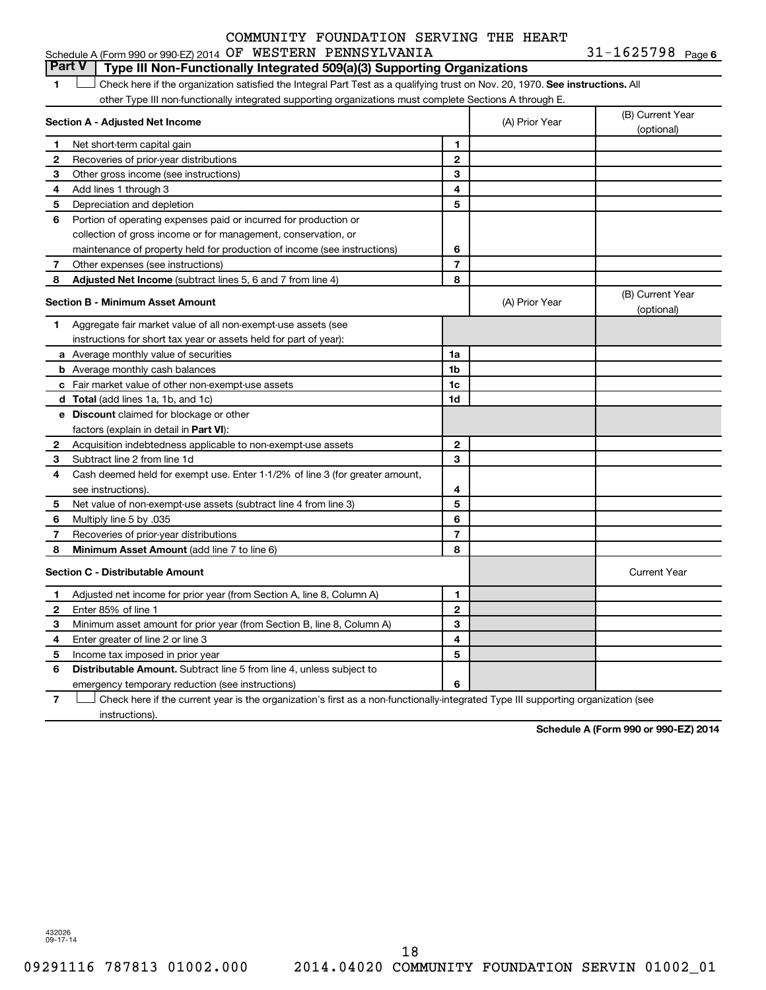| Schedule A (Form 990 or 990-EZ) 2014 $\,$ OF WESTERN PENNSYLVANIA |  |  |  | $31 - 1625798$ Page 6 |  |
|-------------------------------------------------------------------|--|--|--|-----------------------|--|
|-------------------------------------------------------------------|--|--|--|-----------------------|--|

#### 1  $\Box$  Check here if the organization satisfied the Integral Part Test as a qualifying trust on Nov. 20, 1970. See instructions. All **Section A - Adjusted Net Income 1 2 3 4 5 6 7 8 1 2 3 4 5 6 7 Adjusted Net Income** (subtract lines 5, 6 and 7 from line 4) **8 8 Section B - Minimum Asset Amount 1** Aggregate fair market value of all non-exempt-use assets (see **2 3 4 5 6 7 8 a** Average monthly value of securities **b** Average monthly cash balances **c** Fair market value of other non-exempt-use assets **d Total**  (add lines 1a, 1b, and 1c) **e Discount** claimed for blockage or other **1a 1b 1c 1d 2 3 4 5 6 7 8** factors (explain in detail in Part VI): **Minimum Asset Amount**  (add line 7 to line 6) **Section C - Distributable Amount 1 2 3 4 5 6 1 2 3 4 5 6** Distributable Amount. Subtract line 5 from line 4, unless subject to other Type III non-functionally integrated supporting organizations must complete Sections A through E. (B) Current Year (A) Prior Year  $\left\vert \right\rangle$  (optional) Net short-term capital gain Recoveries of prior-year distributions Other gross income (see instructions) Add lines 1 through 3 Depreciation and depletion Portion of operating expenses paid or incurred for production or collection of gross income or for management, conservation, or maintenance of property held for production of income (see instructions) Other expenses (see instructions) (B) Current Year (A) Prior Year (b) Current 1 instructions for short tax year or assets held for part of year): Acquisition indebtedness applicable to non-exempt-use assets Subtract line 2 from line 1d Cash deemed held for exempt use. Enter 1-1/2% of line 3 (for greater amount, see instructions). Net value of non-exempt-use assets (subtract line 4 from line 3) Multiply line 5 by .035 Recoveries of prior-year distributions Current Year Adjusted net income for prior year (from Section A, line 8, Column A) Enter 85% of line 1 Minimum asset amount for prior year (from Section B, line 8, Column A) Enter greater of line 2 or line 3 Income tax imposed in prior year emergency temporary reduction (see instructions) **Part V Type III Non-Functionally Integrated 509(a)(3) Supporting Organizations**   $\Box$

**7** Check here if the current year is the organization's first as a non-functionally-integrated Type III supporting organization (see † instructions).

**Schedule A (Form 990 or 990-EZ) 2014**

432026 09-17-14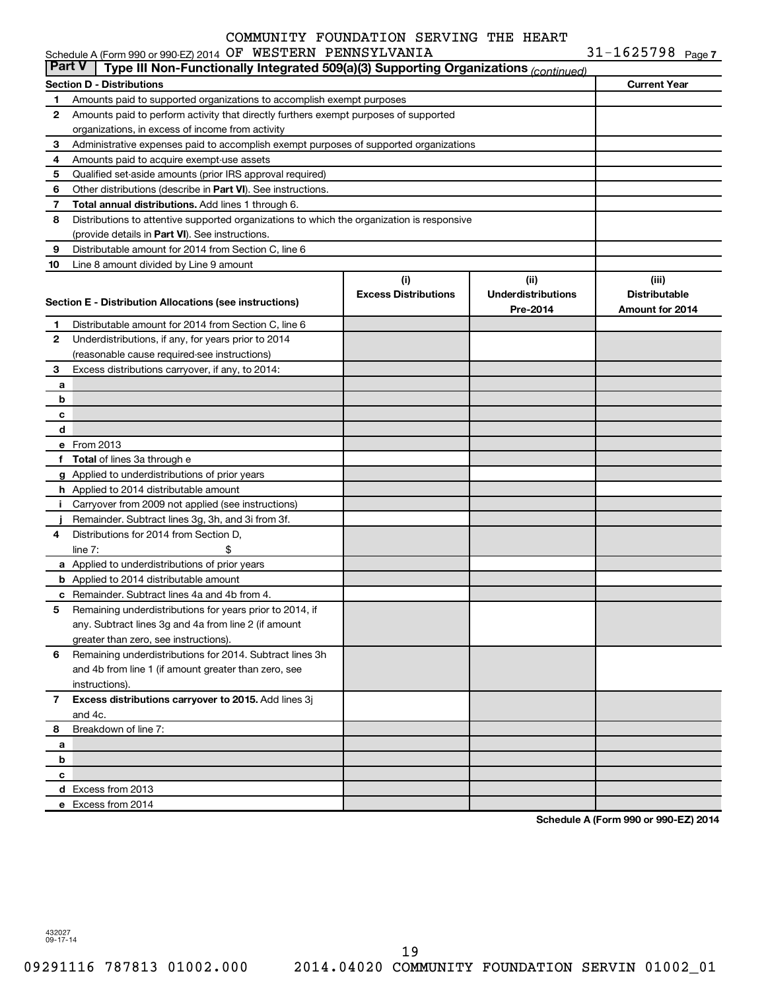|               | Schedule A (Form 990 or 990-EZ) 2014 OF WESTERN PENNSYLVANIA                               |                             |                           | 31-1625798 $_{Page 7}$ |  |
|---------------|--------------------------------------------------------------------------------------------|-----------------------------|---------------------------|------------------------|--|
| <b>Part V</b> | Type III Non-Functionally Integrated 509(a)(3) Supporting Organizations (continued)        |                             |                           |                        |  |
|               | <b>Section D - Distributions</b>                                                           |                             |                           | <b>Current Year</b>    |  |
| 1             | Amounts paid to supported organizations to accomplish exempt purposes                      |                             |                           |                        |  |
| 2             | Amounts paid to perform activity that directly furthers exempt purposes of supported       |                             |                           |                        |  |
|               | organizations, in excess of income from activity                                           |                             |                           |                        |  |
| 3             | Administrative expenses paid to accomplish exempt purposes of supported organizations      |                             |                           |                        |  |
| 4             | Amounts paid to acquire exempt-use assets                                                  |                             |                           |                        |  |
| 5             | Qualified set-aside amounts (prior IRS approval required)                                  |                             |                           |                        |  |
| 6             | Other distributions (describe in <b>Part VI</b> ). See instructions.                       |                             |                           |                        |  |
| 7             | Total annual distributions. Add lines 1 through 6.                                         |                             |                           |                        |  |
| 8             | Distributions to attentive supported organizations to which the organization is responsive |                             |                           |                        |  |
|               | (provide details in Part VI). See instructions.                                            |                             |                           |                        |  |
| 9             | Distributable amount for 2014 from Section C, line 6                                       |                             |                           |                        |  |
| 10            | Line 8 amount divided by Line 9 amount                                                     |                             |                           |                        |  |
|               |                                                                                            | (i)                         | (ii)                      | (iii)                  |  |
|               |                                                                                            | <b>Excess Distributions</b> | <b>Underdistributions</b> | <b>Distributable</b>   |  |
|               | Section E - Distribution Allocations (see instructions)                                    |                             | Pre-2014                  | <b>Amount for 2014</b> |  |
| 1             | Distributable amount for 2014 from Section C, line 6                                       |                             |                           |                        |  |
| 2             | Underdistributions, if any, for years prior to 2014                                        |                             |                           |                        |  |
|               | (reasonable cause required-see instructions)                                               |                             |                           |                        |  |
| з             | Excess distributions carryover, if any, to 2014:                                           |                             |                           |                        |  |
| a             |                                                                                            |                             |                           |                        |  |
| b             |                                                                                            |                             |                           |                        |  |
| с             |                                                                                            |                             |                           |                        |  |
| d             |                                                                                            |                             |                           |                        |  |
|               | e From 2013                                                                                |                             |                           |                        |  |
| f             | <b>Total</b> of lines 3a through e                                                         |                             |                           |                        |  |
|               | g Applied to underdistributions of prior years                                             |                             |                           |                        |  |
|               | h Applied to 2014 distributable amount                                                     |                             |                           |                        |  |
| Ť.            | Carryover from 2009 not applied (see instructions)                                         |                             |                           |                        |  |
|               | Remainder. Subtract lines 3g, 3h, and 3i from 3f.                                          |                             |                           |                        |  |
| 4             | Distributions for 2014 from Section D,                                                     |                             |                           |                        |  |
|               | line $7:$                                                                                  |                             |                           |                        |  |
|               | a Applied to underdistributions of prior years                                             |                             |                           |                        |  |
|               | <b>b</b> Applied to 2014 distributable amount                                              |                             |                           |                        |  |
|               | c Remainder. Subtract lines 4a and 4b from 4.                                              |                             |                           |                        |  |
|               | 5 Remaining underdistributions for years prior to 2014, if                                 |                             |                           |                        |  |
|               | any. Subtract lines 3g and 4a from line 2 (if amount                                       |                             |                           |                        |  |
|               | greater than zero, see instructions).                                                      |                             |                           |                        |  |
| 6             | Remaining underdistributions for 2014. Subtract lines 3h                                   |                             |                           |                        |  |
|               | and 4b from line 1 (if amount greater than zero, see                                       |                             |                           |                        |  |
|               | instructions).                                                                             |                             |                           |                        |  |
| 7             | Excess distributions carryover to 2015. Add lines 3j                                       |                             |                           |                        |  |
|               | and 4c.                                                                                    |                             |                           |                        |  |
| 8             | Breakdown of line 7:                                                                       |                             |                           |                        |  |
| a             |                                                                                            |                             |                           |                        |  |
| b             |                                                                                            |                             |                           |                        |  |
| с             |                                                                                            |                             |                           |                        |  |
|               | d Excess from 2013                                                                         |                             |                           |                        |  |
|               | e Excess from 2014                                                                         |                             |                           |                        |  |

**Schedule A (Form 990 or 990-EZ) 2014**

432027 09-17-14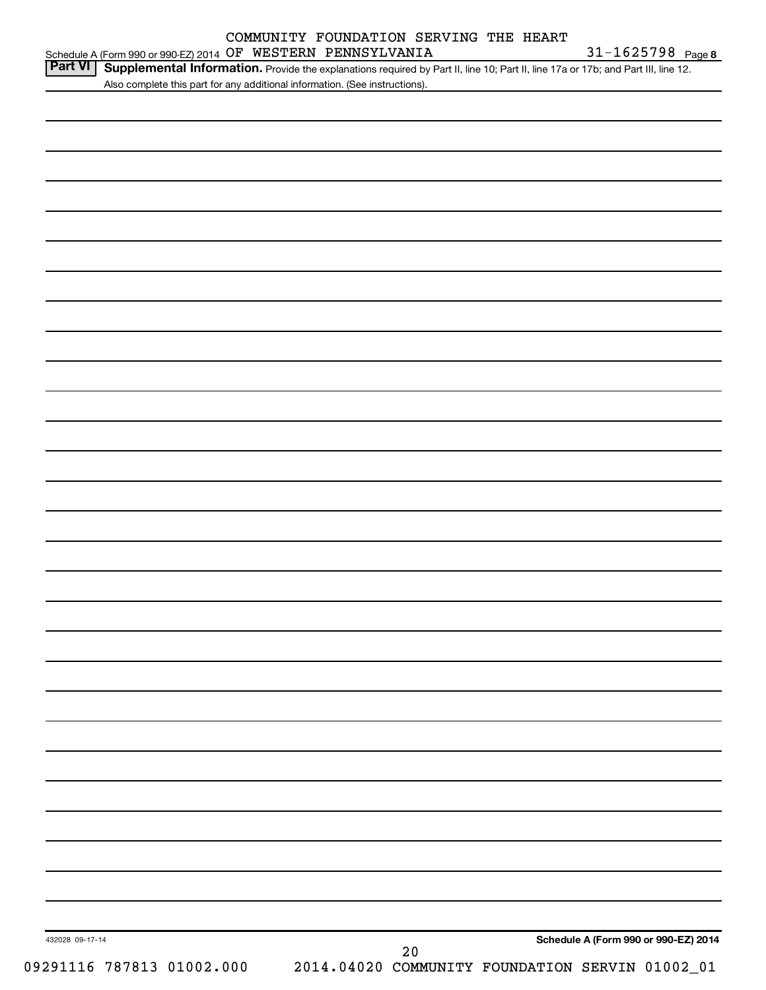|                           | Supplemental Information. Provide the explanations required by Part II, line 10; Part II, line 17a or 17b; and Part III, line 12.<br>Also complete this part for any additional information. (See instructions). |
|---------------------------|------------------------------------------------------------------------------------------------------------------------------------------------------------------------------------------------------------------|
|                           |                                                                                                                                                                                                                  |
|                           |                                                                                                                                                                                                                  |
|                           |                                                                                                                                                                                                                  |
|                           |                                                                                                                                                                                                                  |
|                           |                                                                                                                                                                                                                  |
|                           |                                                                                                                                                                                                                  |
|                           |                                                                                                                                                                                                                  |
|                           |                                                                                                                                                                                                                  |
|                           |                                                                                                                                                                                                                  |
|                           |                                                                                                                                                                                                                  |
|                           |                                                                                                                                                                                                                  |
|                           |                                                                                                                                                                                                                  |
|                           |                                                                                                                                                                                                                  |
|                           |                                                                                                                                                                                                                  |
|                           |                                                                                                                                                                                                                  |
|                           |                                                                                                                                                                                                                  |
|                           |                                                                                                                                                                                                                  |
|                           |                                                                                                                                                                                                                  |
|                           |                                                                                                                                                                                                                  |
|                           |                                                                                                                                                                                                                  |
|                           |                                                                                                                                                                                                                  |
|                           |                                                                                                                                                                                                                  |
|                           |                                                                                                                                                                                                                  |
|                           |                                                                                                                                                                                                                  |
|                           |                                                                                                                                                                                                                  |
|                           |                                                                                                                                                                                                                  |
|                           |                                                                                                                                                                                                                  |
|                           |                                                                                                                                                                                                                  |
|                           |                                                                                                                                                                                                                  |
|                           |                                                                                                                                                                                                                  |
|                           |                                                                                                                                                                                                                  |
|                           |                                                                                                                                                                                                                  |
|                           |                                                                                                                                                                                                                  |
|                           |                                                                                                                                                                                                                  |
|                           |                                                                                                                                                                                                                  |
|                           |                                                                                                                                                                                                                  |
|                           |                                                                                                                                                                                                                  |
|                           |                                                                                                                                                                                                                  |
| 432028 09-17-14           | Schedule A (Form 990 or 990-EZ) 2014                                                                                                                                                                             |
| 09291116 787813 01002.000 | 20<br>2014.04020 COMMUNITY FOUNDATION SERVIN 01002_01                                                                                                                                                            |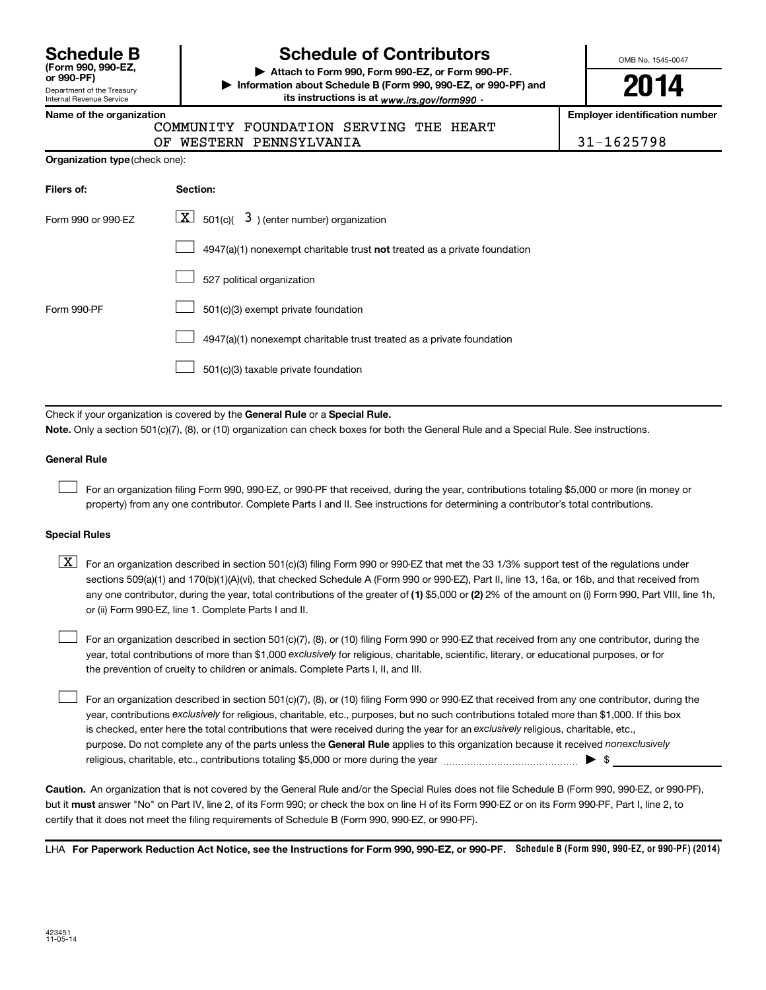Department of the Treasury Internal Revenue Service **(Form 990, 990-EZ,**

## **Schedule B Schedule of Contributors**

**or 990-PF) | Attach to Form 990, Form 990-EZ, or Form 990-PF. | Information about Schedule B (Form 990, 990-EZ, or 990-PF) and** its instructions is at <sub>www.irs.gov/form990  $\cdot$ </sub>

OMB No. 1545-0047

**2014**

**Employer identification number** 

| Name of the organization |  |
|--------------------------|--|
|--------------------------|--|

COMMUNITY FOUNDATION SERVING THE HEART

OF WESTERN PENNSYLVANIA 31-1625798

| <b>Organization type</b> (check one): |  |  |  |
|---------------------------------------|--|--|--|
|---------------------------------------|--|--|--|

| Filers of:         | Section:                                                                  |
|--------------------|---------------------------------------------------------------------------|
| Form 990 or 990-FZ | $\lfloor \mathbf{X} \rfloor$ 501(c)( 3) (enter number) organization       |
|                    | 4947(a)(1) nonexempt charitable trust not treated as a private foundation |
|                    | 527 political organization                                                |
| Form 990-PF        | 501(c)(3) exempt private foundation                                       |
|                    | 4947(a)(1) nonexempt charitable trust treated as a private foundation     |
|                    | 501(c)(3) taxable private foundation                                      |

Check if your organization is covered by the General Rule or a Special Rule.

**Note.**  Only a section 501(c)(7), (8), or (10) organization can check boxes for both the General Rule and a Special Rule. See instructions.

#### **General Rule**

 $\Box$ 

For an organization filing Form 990, 990-EZ, or 990-PF that received, during the year, contributions totaling \$5,000 or more (in money or property) from any one contributor. Complete Parts I and II. See instructions for determining a contributor's total contributions.

#### **Special Rules**

any one contributor, during the year, total contributions of the greater of **(1)** \$5,000 or **(2)** 2% of the amount on (i) Form 990, Part VIII, line 1h,  $\boxed{\text{X}}$  For an organization described in section 501(c)(3) filing Form 990 or 990-EZ that met the 33 1/3% support test of the regulations under sections 509(a)(1) and 170(b)(1)(A)(vi), that checked Schedule A (Form 990 or 990-EZ), Part II, line 13, 16a, or 16b, and that received from or (ii) Form 990-EZ, line 1. Complete Parts I and II.

year, total contributions of more than \$1,000 *exclusively* for religious, charitable, scientific, literary, or educational purposes, or for For an organization described in section 501(c)(7), (8), or (10) filing Form 990 or 990-EZ that received from any one contributor, during the the prevention of cruelty to children or animals. Complete Parts I, II, and III.  $\Box$ 

purpose. Do not complete any of the parts unless the General Rule applies to this organization because it received nonexclusively year, contributions exclusively for religious, charitable, etc., purposes, but no such contributions totaled more than \$1,000. If this box is checked, enter here the total contributions that were received during the year for an exclusively religious, charitable, etc., For an organization described in section 501(c)(7), (8), or (10) filing Form 990 or 990-EZ that received from any one contributor, during the religious, charitable, etc., contributions totaling \$5,000 or more during the year  $\ldots$  $\ldots$  $\ldots$  $\ldots$  $\ldots$  $\ldots$  $\Box$ 

**Caution.** An organization that is not covered by the General Rule and/or the Special Rules does not file Schedule B (Form 990, 990-EZ, or 990-PF),  **must** but it answer "No" on Part IV, line 2, of its Form 990; or check the box on line H of its Form 990-EZ or on its Form 990-PF, Part I, line 2, to certify that it does not meet the filing requirements of Schedule B (Form 990, 990-EZ, or 990-PF).

LHA For Paperwork Reduction Act Notice, see the Instructions for Form 990, 990-EZ, or 990-PF. Schedule B (Form 990, 990-EZ, or 990-PF) (2014)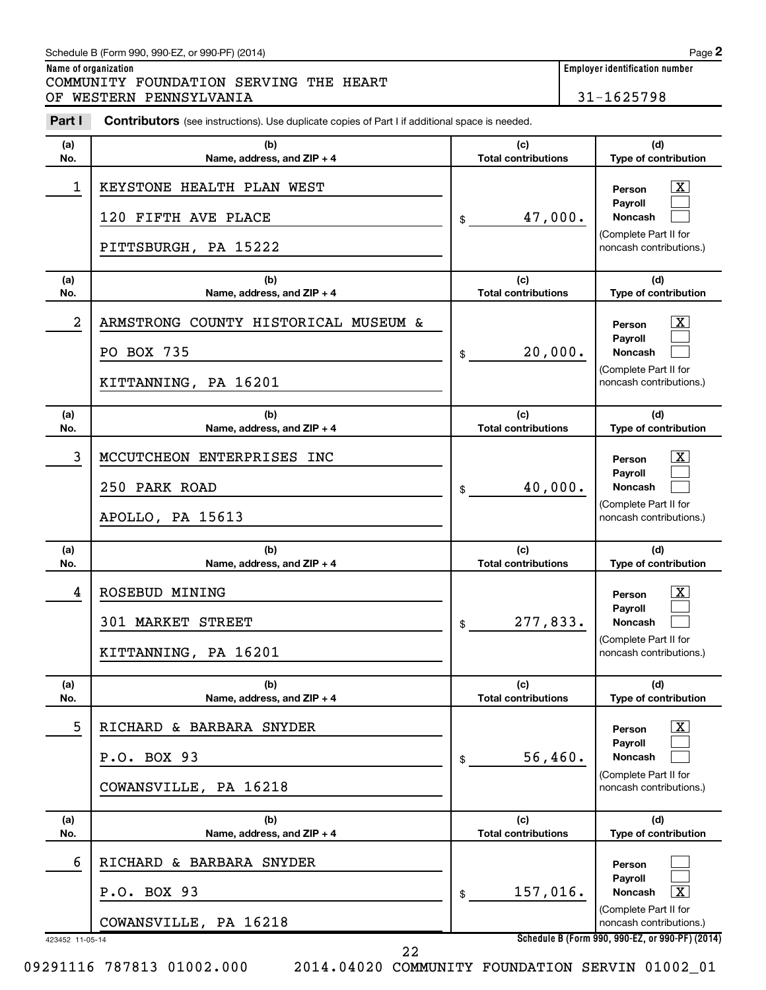#### Schedule B (Form 990, 990-EZ, or 990-PF) (2014)

COMMUNITY FOUNDATION SERVING THE HEART OF WESTERN PENNSYLVANIA 31-1625798

| Part I          | <b>Contributors</b> (see instructions). Use duplicate copies of Part I if additional space is needed. |                                   |                                                                                                                           |
|-----------------|-------------------------------------------------------------------------------------------------------|-----------------------------------|---------------------------------------------------------------------------------------------------------------------------|
| (a)<br>No.      | (b)<br>Name, address, and ZIP + 4                                                                     | (c)<br><b>Total contributions</b> | (d)<br>Type of contribution                                                                                               |
| 1               | KEYSTONE HEALTH PLAN WEST<br>120 FIFTH AVE PLACE<br>PITTSBURGH, PA 15222                              | 47,000.<br>\$                     | $\mathbf{X}$<br>Person<br>Payroll<br><b>Noncash</b><br>(Complete Part II for<br>noncash contributions.)                   |
| (a)<br>No.      | (b)<br>Name, address, and ZIP + 4                                                                     | (c)<br><b>Total contributions</b> | (d)<br>Type of contribution                                                                                               |
| 2               | ARMSTRONG COUNTY HISTORICAL MUSEUM &<br>PO BOX 735<br>KITTANNING, PA 16201                            | 20,000.<br>\$                     | $\mathbf{X}$<br>Person<br><b>Payroll</b><br><b>Noncash</b><br>(Complete Part II for<br>noncash contributions.)            |
| (a)<br>No.      | (b)<br>Name, address, and ZIP + 4                                                                     | (c)<br><b>Total contributions</b> | (d)<br>Type of contribution                                                                                               |
| 3               | MCCUTCHEON ENTERPRISES INC<br>250 PARK ROAD<br>APOLLO, PA 15613                                       | 40,000.<br>\$                     | $\mathbf{X}$<br>Person<br><b>Pavroll</b><br><b>Noncash</b><br>(Complete Part II for<br>noncash contributions.)            |
| (a)<br>No.      | (b)<br>Name, address, and ZIP + 4                                                                     | (c)<br><b>Total contributions</b> | (d)<br>Type of contribution                                                                                               |
| 4               | ROSEBUD MINING<br>301 MARKET STREET<br>KITTANNING, PA 16201                                           | 277,833.<br>\$                    | $\overline{\mathbf{X}}$<br>Person<br><b>Payroll</b><br><b>Noncash</b><br>(Complete Part II for<br>noncash contributions.) |
| (a)<br>No.      | (b)<br>Name, address, and ZIP + 4                                                                     | (c)<br><b>Total contributions</b> | (d)<br>Type of contribution                                                                                               |
| 5               | RICHARD & BARBARA SNYDER<br>P.O. BOX 93<br>COWANSVILLE, PA 16218                                      | 56,460.<br>\$                     | $\mathbf{X}$<br>Person<br><b>Payroll</b><br><b>Noncash</b><br>(Complete Part II for<br>noncash contributions.)            |
| (a)<br>No.      | (b)<br>Name, address, and $ZIP + 4$                                                                   | (c)<br><b>Total contributions</b> | (d)<br>Type of contribution                                                                                               |
| 6               | RICHARD & BARBARA SNYDER<br>P.O. BOX 93<br>COWANSVILLE, PA 16218                                      | 157,016.<br>\$                    | Person<br><b>Payroll</b><br>$\overline{\mathbf{x}}$<br>Noncash<br>(Complete Part II for<br>noncash contributions.)        |
| 423452 11-05-14 |                                                                                                       |                                   | Schedule B (Form 990, 990-EZ, or 990-PF) (2014)                                                                           |

09291116 787813 01002.000 2014.04020 COMMUNITY FOUNDATION SERVIN 01002\_01

22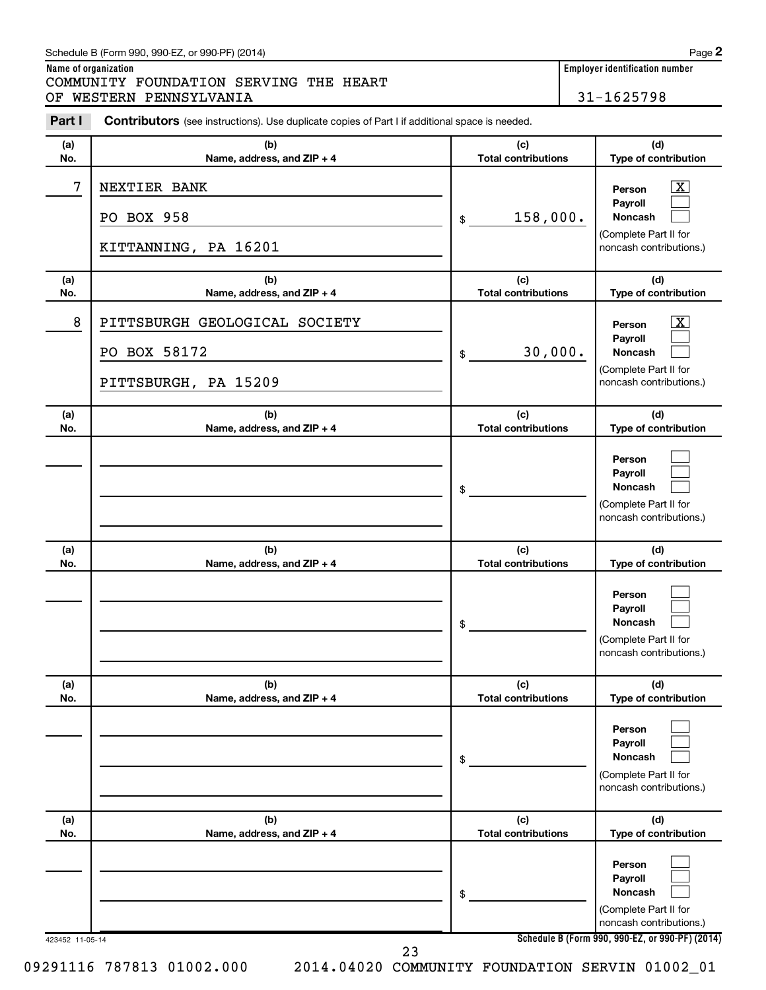#### Schedule B (Form 990, 990-EZ, or 990-PF) (2014)

**Name of organization Employer identification number** COMMUNITY FOUNDATION SERVING THE HEART OF WESTERN PENNSYLVANIA 31-1625798

| Part I     | <b>Contributors</b> (see instructions). Use duplicate copies of Part I if additional space is needed. |                                   |                                                                                                                                            |
|------------|-------------------------------------------------------------------------------------------------------|-----------------------------------|--------------------------------------------------------------------------------------------------------------------------------------------|
| (a)<br>No. | (b)<br>Name, address, and ZIP + 4                                                                     | (c)<br><b>Total contributions</b> | (d)<br>Type of contribution                                                                                                                |
| 7          | NEXTIER BANK<br>PO BOX 958<br>KITTANNING, PA 16201                                                    | 158,000.<br>\$                    | $\mathbf{X}$<br>Person<br>Pavroll<br><b>Noncash</b><br>(Complete Part II for<br>noncash contributions.)                                    |
| (a)<br>No. | (b)<br>Name, address, and ZIP + 4                                                                     | (c)<br><b>Total contributions</b> | (d)<br>Type of contribution                                                                                                                |
| 8          | PITTSBURGH GEOLOGICAL SOCIETY<br>PO BOX 58172<br>PITTSBURGH, PA 15209                                 | 30,000.<br>\$                     | $\overline{\mathbf{X}}$<br>Person<br>Payroll<br><b>Noncash</b><br>(Complete Part II for<br>noncash contributions.)                         |
| (a)<br>No. | (b)<br>Name, address, and ZIP + 4                                                                     | (c)<br><b>Total contributions</b> | (d)<br>Type of contribution                                                                                                                |
|            |                                                                                                       | \$                                | Person<br>Payroll<br>Noncash<br>(Complete Part II for<br>noncash contributions.)                                                           |
| (a)<br>No. | (b)<br>Name, address, and ZIP + 4                                                                     | (c)<br><b>Total contributions</b> | (d)<br>Type of contribution                                                                                                                |
|            |                                                                                                       |                                   |                                                                                                                                            |
|            |                                                                                                       | \$                                | Person<br>Payroll<br><b>Noncash</b><br>(Complete Part II for<br>noncash contributions.)                                                    |
| (a)<br>No. | (b)<br>Name, address, and ZIP + 4                                                                     | (c)<br><b>Total contributions</b> | (d)<br>Type of contribution                                                                                                                |
|            |                                                                                                       | \$                                | Person<br>Payroll<br><b>Noncash</b><br>(Complete Part II for<br>noncash contributions.)                                                    |
| (a)<br>No. | (b)<br>Name, address, and ZIP + 4                                                                     | (c)<br><b>Total contributions</b> | (d)<br>Type of contribution                                                                                                                |
|            |                                                                                                       | \$                                | Person<br>Payroll<br><b>Noncash</b><br>(Complete Part II for<br>noncash contributions.)<br>Schedule B (Form 990, 990-EZ, or 990-PF) (2014) |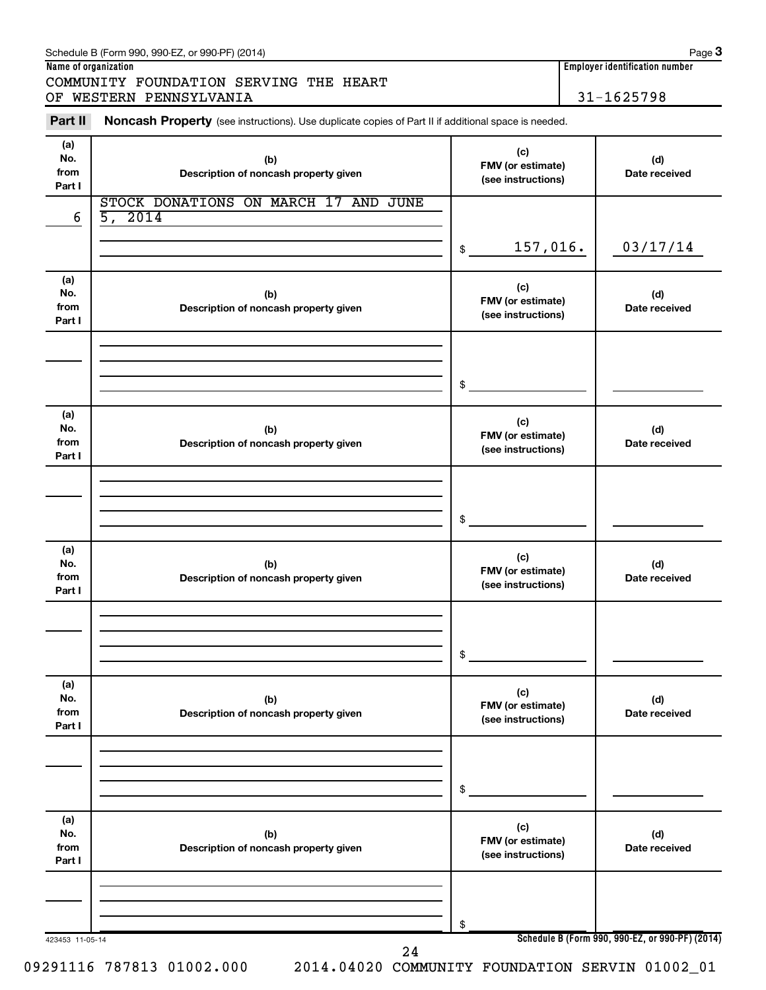| Schedule B (Form 990, 990-EZ, or 990-PF) (2014) | Page |
|-------------------------------------------------|------|
|-------------------------------------------------|------|

COMMUNITY FOUNDATION SERVING THE HEART OF WESTERN PENNSYLVANIA 31-1625798

**Name of organization Employer identification number**

423453 11-05-14 **Schedule B (Form 990, 990-EZ, or 990-PF) (2014) (a) No. from Part I (c) FMV (or estimate) (see instructions) (b) Description of noncash property given (d) Date received (a) No. from Part I (c) FMV (or estimate) (see instructions) (b) Description of noncash property given (d) Date received (a) No. from Part I (c) FMV (or estimate) (see instructions) (b) Description of noncash property given (d) Date received (a) No. from Part I (c) FMV (or estimate) (see instructions) (b) Description of noncash property given (d) Date received (a) No. from Part I (c) FMV (or estimate) (see instructions) (b) Description of noncash property given (d) Date received (a) No. from Part I (c) FMV (or estimate) (see instructions) (b) Description of noncash property given (d) Date received** Part II Noncash Property (see instructions). Use duplicate copies of Part II if additional space is needed. \$ \$ \$ \$ \$ \$ STOCK DONATIONS ON MARCH 17 AND JUNE  $6 | 5, 2014$ 157,016. 03/17/14 24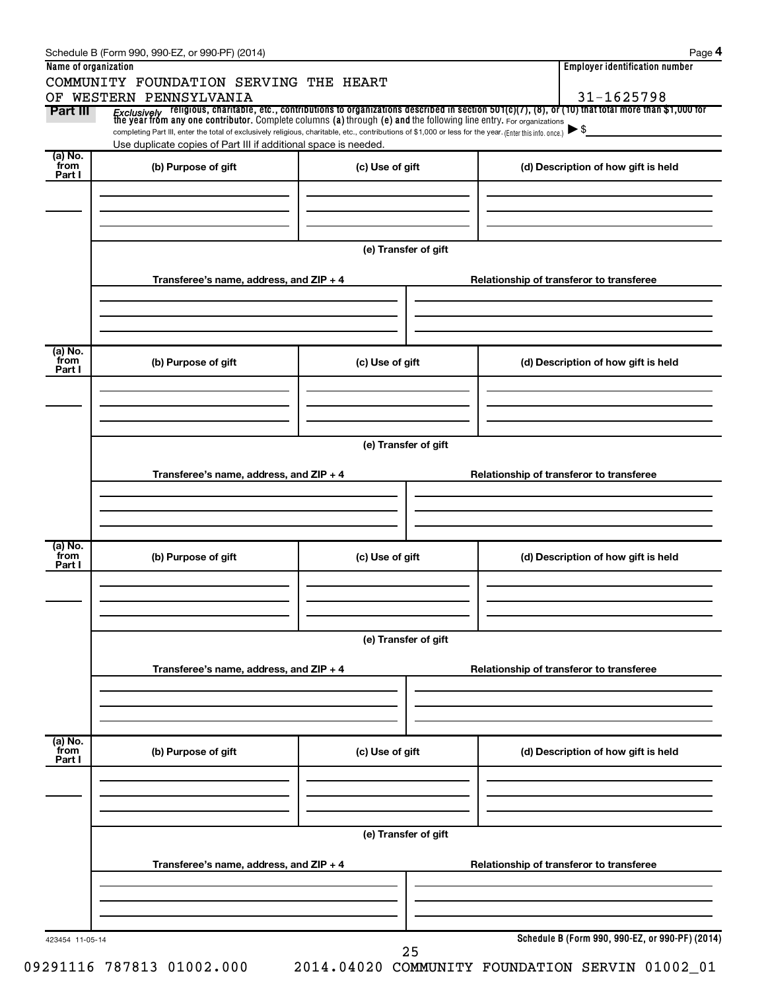|                  | COMMUNITY FOUNDATION SERVING THE HEART                                                                                                                                                                                      |                      |                                                                                                                                                                                                                                                                     |
|------------------|-----------------------------------------------------------------------------------------------------------------------------------------------------------------------------------------------------------------------------|----------------------|---------------------------------------------------------------------------------------------------------------------------------------------------------------------------------------------------------------------------------------------------------------------|
| Part III         | OF WESTERN PENNSYLVANIA                                                                                                                                                                                                     |                      | 31-1625798                                                                                                                                                                                                                                                          |
|                  |                                                                                                                                                                                                                             |                      | <i>Exclusively</i> religious, charitable, etc., contributions to organizations described in section 501(c)(7), (8), or (10) that total more than \$1,000 for<br>the year from any one contributor. Complete columns (a) through (e) and<br>$\blacktriangleright$ \$ |
|                  | completing Part III, enter the total of exclusively religious, charitable, etc., contributions of \$1,000 or less for the year. (Enter this info. once.)<br>Use duplicate copies of Part III if additional space is needed. |                      |                                                                                                                                                                                                                                                                     |
| (a) No.<br>`from | (b) Purpose of gift                                                                                                                                                                                                         | (c) Use of gift      | (d) Description of how gift is held                                                                                                                                                                                                                                 |
| Part I           |                                                                                                                                                                                                                             |                      |                                                                                                                                                                                                                                                                     |
|                  |                                                                                                                                                                                                                             |                      |                                                                                                                                                                                                                                                                     |
|                  |                                                                                                                                                                                                                             |                      |                                                                                                                                                                                                                                                                     |
|                  |                                                                                                                                                                                                                             |                      |                                                                                                                                                                                                                                                                     |
|                  |                                                                                                                                                                                                                             | (e) Transfer of gift |                                                                                                                                                                                                                                                                     |
|                  | Transferee's name, address, and ZIP + 4                                                                                                                                                                                     |                      | Relationship of transferor to transferee                                                                                                                                                                                                                            |
|                  |                                                                                                                                                                                                                             |                      |                                                                                                                                                                                                                                                                     |
|                  |                                                                                                                                                                                                                             |                      |                                                                                                                                                                                                                                                                     |
| (a) No.          |                                                                                                                                                                                                                             |                      |                                                                                                                                                                                                                                                                     |
| `from<br>Part I  | (b) Purpose of gift                                                                                                                                                                                                         | (c) Use of gift      | (d) Description of how gift is held                                                                                                                                                                                                                                 |
|                  |                                                                                                                                                                                                                             |                      |                                                                                                                                                                                                                                                                     |
|                  |                                                                                                                                                                                                                             |                      |                                                                                                                                                                                                                                                                     |
|                  |                                                                                                                                                                                                                             |                      |                                                                                                                                                                                                                                                                     |
|                  |                                                                                                                                                                                                                             | (e) Transfer of gift |                                                                                                                                                                                                                                                                     |
|                  | Transferee's name, address, and ZIP + 4                                                                                                                                                                                     |                      | Relationship of transferor to transferee                                                                                                                                                                                                                            |
|                  |                                                                                                                                                                                                                             |                      |                                                                                                                                                                                                                                                                     |
|                  |                                                                                                                                                                                                                             |                      |                                                                                                                                                                                                                                                                     |
|                  |                                                                                                                                                                                                                             |                      |                                                                                                                                                                                                                                                                     |
| (a) No.<br>from  | (b) Purpose of gift                                                                                                                                                                                                         | (c) Use of gift      | (d) Description of how gift is held                                                                                                                                                                                                                                 |
| Part I           |                                                                                                                                                                                                                             |                      |                                                                                                                                                                                                                                                                     |
|                  |                                                                                                                                                                                                                             |                      |                                                                                                                                                                                                                                                                     |
|                  |                                                                                                                                                                                                                             |                      |                                                                                                                                                                                                                                                                     |
|                  |                                                                                                                                                                                                                             | (e) Transfer of gift |                                                                                                                                                                                                                                                                     |
|                  |                                                                                                                                                                                                                             |                      |                                                                                                                                                                                                                                                                     |
|                  | Transferee's name, address, and ZIP + 4                                                                                                                                                                                     |                      | Relationship of transferor to transferee                                                                                                                                                                                                                            |
|                  |                                                                                                                                                                                                                             |                      |                                                                                                                                                                                                                                                                     |
|                  |                                                                                                                                                                                                                             |                      |                                                                                                                                                                                                                                                                     |
| (a) No.<br>from  |                                                                                                                                                                                                                             |                      |                                                                                                                                                                                                                                                                     |
| Part I           | (b) Purpose of gift                                                                                                                                                                                                         | (c) Use of gift      | (d) Description of how gift is held                                                                                                                                                                                                                                 |
|                  |                                                                                                                                                                                                                             |                      |                                                                                                                                                                                                                                                                     |
|                  |                                                                                                                                                                                                                             |                      |                                                                                                                                                                                                                                                                     |
|                  |                                                                                                                                                                                                                             |                      |                                                                                                                                                                                                                                                                     |
|                  |                                                                                                                                                                                                                             | (e) Transfer of gift |                                                                                                                                                                                                                                                                     |
|                  | Transferee's name, address, and ZIP + 4                                                                                                                                                                                     |                      | Relationship of transferor to transferee                                                                                                                                                                                                                            |
|                  |                                                                                                                                                                                                                             |                      |                                                                                                                                                                                                                                                                     |
|                  |                                                                                                                                                                                                                             |                      |                                                                                                                                                                                                                                                                     |
|                  |                                                                                                                                                                                                                             |                      |                                                                                                                                                                                                                                                                     |
|                  |                                                                                                                                                                                                                             |                      | Schedule B (Form 990, 990-EZ, or 990-PF) (2014)                                                                                                                                                                                                                     |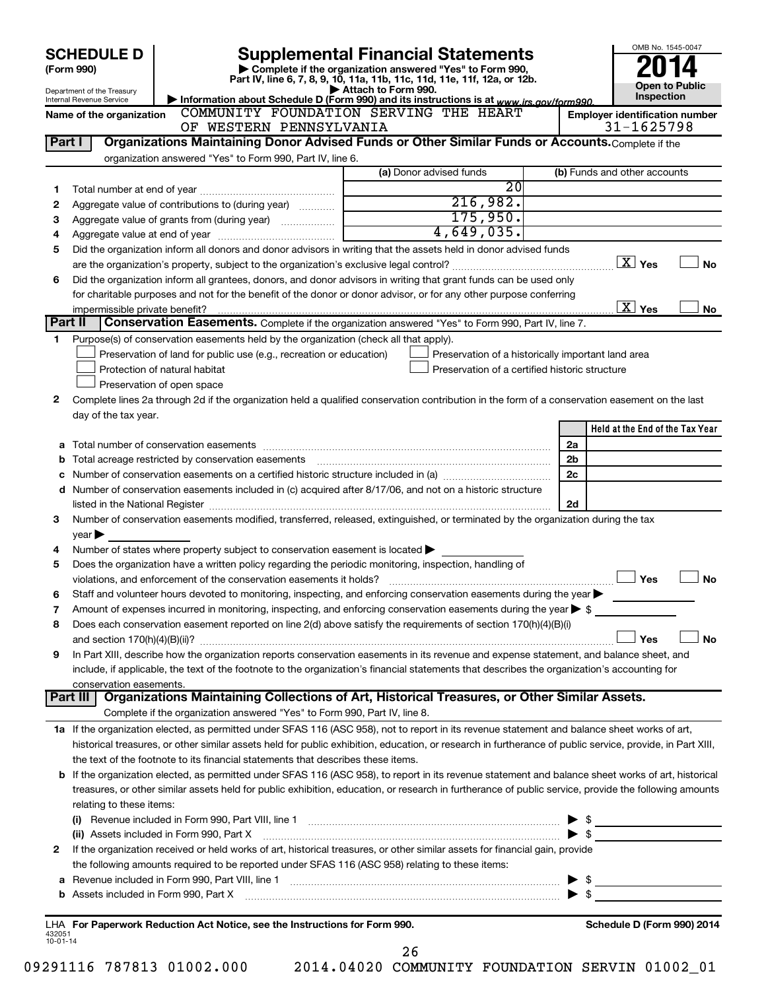|                          | <b>SCHEDULE D</b>                                      |                                                                                                        | <b>Supplemental Financial Statements</b>                                                                                                                                                                                       |          | OMB No. 1545-0047                               |
|--------------------------|--------------------------------------------------------|--------------------------------------------------------------------------------------------------------|--------------------------------------------------------------------------------------------------------------------------------------------------------------------------------------------------------------------------------|----------|-------------------------------------------------|
|                          | (Form 990)                                             |                                                                                                        | Complete if the organization answered "Yes" to Form 990,<br>Part IV, line 6, 7, 8, 9, 10, 11a, 11b, 11c, 11d, 11e, 11f, 12a, or 12b.                                                                                           |          |                                                 |
|                          | Department of the Treasury<br>Internal Revenue Service |                                                                                                        | Attach to Form 990.<br>Information about Schedule D (Form 990) and its instructions is at www.irs.gov/form990.                                                                                                                 |          | <b>Open to Public</b><br>Inspection             |
|                          | Name of the organization                               |                                                                                                        | COMMUNITY FOUNDATION SERVING THE HEART                                                                                                                                                                                         |          | <b>Employer identification number</b>           |
|                          |                                                        | OF WESTERN PENNSYLVANIA                                                                                |                                                                                                                                                                                                                                |          | 31-1625798                                      |
| Part I                   |                                                        |                                                                                                        | Organizations Maintaining Donor Advised Funds or Other Similar Funds or Accounts. Complete if the                                                                                                                              |          |                                                 |
|                          |                                                        | organization answered "Yes" to Form 990, Part IV, line 6.                                              |                                                                                                                                                                                                                                |          |                                                 |
|                          |                                                        |                                                                                                        | (a) Donor advised funds                                                                                                                                                                                                        |          | (b) Funds and other accounts                    |
|                          |                                                        |                                                                                                        | $\overline{20}$                                                                                                                                                                                                                |          |                                                 |
| 2                        |                                                        | Aggregate value of contributions to (during year)                                                      | 216,982.                                                                                                                                                                                                                       |          |                                                 |
| з                        |                                                        |                                                                                                        | 175,950.<br>4,649,035.                                                                                                                                                                                                         |          |                                                 |
| 4                        |                                                        |                                                                                                        |                                                                                                                                                                                                                                |          |                                                 |
| 5                        |                                                        |                                                                                                        | Did the organization inform all donors and donor advisors in writing that the assets held in donor advised funds                                                                                                               |          | $\boxed{\text{X}}$ Yes<br><b>No</b>             |
| 6                        |                                                        |                                                                                                        | Did the organization inform all grantees, donors, and donor advisors in writing that grant funds can be used only                                                                                                              |          |                                                 |
|                          |                                                        |                                                                                                        | for charitable purposes and not for the benefit of the donor or donor advisor, or for any other purpose conferring                                                                                                             |          |                                                 |
|                          | impermissible private benefit?                         |                                                                                                        |                                                                                                                                                                                                                                |          | $\overline{\mathbf{X}}$ Yes<br>No               |
|                          | Part II                                                |                                                                                                        | Conservation Easements. Complete if the organization answered "Yes" to Form 990, Part IV, line 7.                                                                                                                              |          |                                                 |
| 1                        |                                                        | Purpose(s) of conservation easements held by the organization (check all that apply).                  |                                                                                                                                                                                                                                |          |                                                 |
|                          |                                                        | Preservation of land for public use (e.g., recreation or education)                                    | Preservation of a historically important land area                                                                                                                                                                             |          |                                                 |
|                          |                                                        | Protection of natural habitat                                                                          | Preservation of a certified historic structure                                                                                                                                                                                 |          |                                                 |
|                          |                                                        | Preservation of open space                                                                             |                                                                                                                                                                                                                                |          |                                                 |
| 2                        |                                                        |                                                                                                        | Complete lines 2a through 2d if the organization held a qualified conservation contribution in the form of a conservation easement on the last                                                                                 |          |                                                 |
|                          | day of the tax year.                                   |                                                                                                        |                                                                                                                                                                                                                                |          |                                                 |
|                          |                                                        |                                                                                                        |                                                                                                                                                                                                                                |          | Held at the End of the Tax Year                 |
| b                        |                                                        |                                                                                                        |                                                                                                                                                                                                                                | 2a<br>2b |                                                 |
|                          |                                                        |                                                                                                        |                                                                                                                                                                                                                                | 2c       |                                                 |
|                          |                                                        |                                                                                                        | d Number of conservation easements included in (c) acquired after 8/17/06, and not on a historic structure                                                                                                                     |          |                                                 |
|                          |                                                        |                                                                                                        |                                                                                                                                                                                                                                | 2d       |                                                 |
| З                        |                                                        |                                                                                                        | Number of conservation easements modified, transferred, released, extinguished, or terminated by the organization during the tax                                                                                               |          |                                                 |
|                          | $year \blacktriangleright$                             |                                                                                                        |                                                                                                                                                                                                                                |          |                                                 |
| 4                        |                                                        | Number of states where property subject to conservation easement is located $\blacktriangleright$      |                                                                                                                                                                                                                                |          |                                                 |
| 5                        |                                                        | Does the organization have a written policy regarding the periodic monitoring, inspection, handling of |                                                                                                                                                                                                                                |          |                                                 |
|                          |                                                        | violations, and enforcement of the conservation easements it holds?                                    |                                                                                                                                                                                                                                |          | Yes<br><b>No</b>                                |
| 6                        |                                                        |                                                                                                        | Staff and volunteer hours devoted to monitoring, inspecting, and enforcing conservation easements during the year                                                                                                              |          |                                                 |
| 7                        |                                                        |                                                                                                        | Amount of expenses incurred in monitoring, inspecting, and enforcing conservation easements during the year $\triangleright$ \$                                                                                                |          |                                                 |
| 8                        |                                                        |                                                                                                        | Does each conservation easement reported on line 2(d) above satisfy the requirements of section 170(h)(4)(B)(i)                                                                                                                |          | Yes<br><b>No</b>                                |
| 9                        |                                                        |                                                                                                        | In Part XIII, describe how the organization reports conservation easements in its revenue and expense statement, and balance sheet, and                                                                                        |          |                                                 |
|                          |                                                        |                                                                                                        | include, if applicable, the text of the footnote to the organization's financial statements that describes the organization's accounting for                                                                                   |          |                                                 |
|                          | conservation easements.                                |                                                                                                        |                                                                                                                                                                                                                                |          |                                                 |
|                          | Part III                                               |                                                                                                        | Organizations Maintaining Collections of Art, Historical Treasures, or Other Similar Assets.                                                                                                                                   |          |                                                 |
|                          |                                                        | Complete if the organization answered "Yes" to Form 990, Part IV, line 8.                              |                                                                                                                                                                                                                                |          |                                                 |
|                          |                                                        |                                                                                                        | 1a If the organization elected, as permitted under SFAS 116 (ASC 958), not to report in its revenue statement and balance sheet works of art,                                                                                  |          |                                                 |
|                          |                                                        |                                                                                                        | historical treasures, or other similar assets held for public exhibition, education, or research in furtherance of public service, provide, in Part XIII,                                                                      |          |                                                 |
|                          |                                                        | the text of the footnote to its financial statements that describes these items.                       |                                                                                                                                                                                                                                |          |                                                 |
|                          |                                                        |                                                                                                        | <b>b</b> If the organization elected, as permitted under SFAS 116 (ASC 958), to report in its revenue statement and balance sheet works of art, historical                                                                     |          |                                                 |
|                          |                                                        |                                                                                                        | treasures, or other similar assets held for public exhibition, education, or research in furtherance of public service, provide the following amounts                                                                          |          |                                                 |
|                          | relating to these items:                               |                                                                                                        | (i) Revenue included in Form 990, Part VIII, line 1 [2000] [2010] CHERRY MEDIA THE MEDIA CONTROLLER SERVICE SERVICE SERVICE SERVICE SERVICE SERVICE SERVICE SERVICE SERVICE SERVICE SERVICE SERVICE SERVICE SERVICE SERVICE SE |          |                                                 |
|                          |                                                        | (ii) Assets included in Form 990, Part X                                                               |                                                                                                                                                                                                                                |          | $\triangleright$ \$<br>$\blacktriangleright$ \$ |
| 2                        |                                                        |                                                                                                        | If the organization received or held works of art, historical treasures, or other similar assets for financial gain, provide                                                                                                   |          |                                                 |
|                          |                                                        | the following amounts required to be reported under SFAS 116 (ASC 958) relating to these items:        |                                                                                                                                                                                                                                |          |                                                 |
| а                        |                                                        |                                                                                                        |                                                                                                                                                                                                                                |          | $\triangleright$ \$                             |
| b                        |                                                        |                                                                                                        |                                                                                                                                                                                                                                |          | $\blacktriangleright$ \$                        |
|                          |                                                        |                                                                                                        |                                                                                                                                                                                                                                |          |                                                 |
|                          |                                                        | LHA For Paperwork Reduction Act Notice, see the Instructions for Form 990.                             |                                                                                                                                                                                                                                |          | Schedule D (Form 990) 2014                      |
| 432051<br>$10 - 01 - 14$ |                                                        |                                                                                                        |                                                                                                                                                                                                                                |          |                                                 |
|                          |                                                        |                                                                                                        | 26                                                                                                                                                                                                                             |          |                                                 |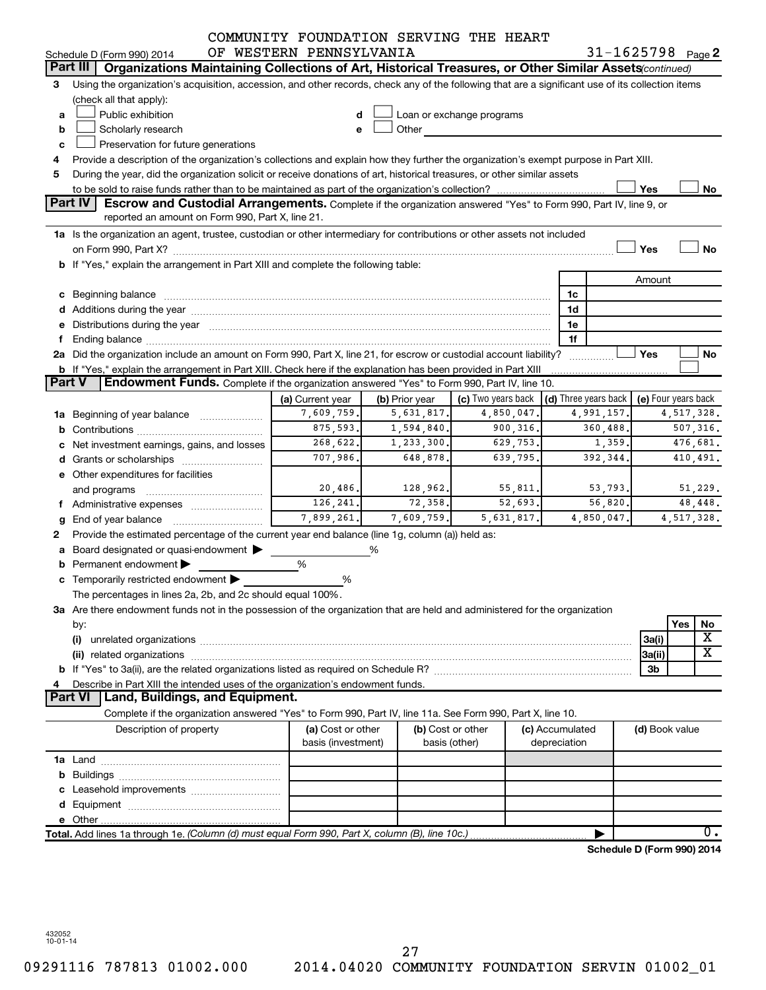|        |                                                                                                                                                                                                                               | COMMUNITY FOUNDATION SERVING THE HEART |                |                                                                                                                                                                                                                                |                      |            |                            |                         |
|--------|-------------------------------------------------------------------------------------------------------------------------------------------------------------------------------------------------------------------------------|----------------------------------------|----------------|--------------------------------------------------------------------------------------------------------------------------------------------------------------------------------------------------------------------------------|----------------------|------------|----------------------------|-------------------------|
|        | Schedule D (Form 990) 2014                                                                                                                                                                                                    | OF WESTERN PENNSYLVANIA                |                |                                                                                                                                                                                                                                |                      |            | $31 - 1625798$ Page 2      |                         |
|        | Part III   Organizations Maintaining Collections of Art, Historical Treasures, or Other Similar Assets (continued)                                                                                                            |                                        |                |                                                                                                                                                                                                                                |                      |            |                            |                         |
| 3      | Using the organization's acquisition, accession, and other records, check any of the following that are a significant use of its collection items<br>(check all that apply):                                                  |                                        |                |                                                                                                                                                                                                                                |                      |            |                            |                         |
| a      | Public exhibition                                                                                                                                                                                                             | d                                      |                | Loan or exchange programs                                                                                                                                                                                                      |                      |            |                            |                         |
| b      | Scholarly research                                                                                                                                                                                                            | е                                      |                | Other and the control of the control of the control of the control of the control of the control of the control of the control of the control of the control of the control of the control of the control of the control of th |                      |            |                            |                         |
| c      | Preservation for future generations                                                                                                                                                                                           |                                        |                |                                                                                                                                                                                                                                |                      |            |                            |                         |
|        | Provide a description of the organization's collections and explain how they further the organization's exempt purpose in Part XIII.                                                                                          |                                        |                |                                                                                                                                                                                                                                |                      |            |                            |                         |
| 5      | During the year, did the organization solicit or receive donations of art, historical treasures, or other similar assets                                                                                                      |                                        |                |                                                                                                                                                                                                                                |                      |            |                            |                         |
|        |                                                                                                                                                                                                                               |                                        |                |                                                                                                                                                                                                                                |                      |            | Yes                        | No                      |
|        | Part IV<br><b>Escrow and Custodial Arrangements.</b> Complete if the organization answered "Yes" to Form 990, Part IV, line 9, or                                                                                             |                                        |                |                                                                                                                                                                                                                                |                      |            |                            |                         |
|        | reported an amount on Form 990, Part X, line 21.                                                                                                                                                                              |                                        |                |                                                                                                                                                                                                                                |                      |            |                            |                         |
|        | 1a Is the organization an agent, trustee, custodian or other intermediary for contributions or other assets not included                                                                                                      |                                        |                |                                                                                                                                                                                                                                |                      |            |                            |                         |
|        |                                                                                                                                                                                                                               |                                        |                |                                                                                                                                                                                                                                |                      |            | Yes                        | No                      |
|        | b If "Yes," explain the arrangement in Part XIII and complete the following table:                                                                                                                                            |                                        |                |                                                                                                                                                                                                                                |                      |            |                            |                         |
|        |                                                                                                                                                                                                                               |                                        |                |                                                                                                                                                                                                                                |                      |            |                            |                         |
|        |                                                                                                                                                                                                                               |                                        |                |                                                                                                                                                                                                                                |                      |            | Amount                     |                         |
|        |                                                                                                                                                                                                                               |                                        |                |                                                                                                                                                                                                                                | 1c                   |            |                            |                         |
|        |                                                                                                                                                                                                                               |                                        |                |                                                                                                                                                                                                                                | 1d                   |            |                            |                         |
|        | e Distributions during the year manufactured and an account of the year manufactured and account of the year manufactured and account of the USA of the USA of the USA of the USA of the USA of the USA of the USA of the USA |                                        |                |                                                                                                                                                                                                                                | 1e                   |            |                            |                         |
|        |                                                                                                                                                                                                                               |                                        |                |                                                                                                                                                                                                                                | 1f                   |            |                            |                         |
|        | 2a Did the organization include an amount on Form 990, Part X, line 21, for escrow or custodial account liability?                                                                                                            |                                        |                |                                                                                                                                                                                                                                |                      |            | Yes                        | No                      |
| Part V | <b>b</b> If "Yes," explain the arrangement in Part XIII. Check here if the explanation has been provided in Part XIII<br>Endowment Funds. Complete if the organization answered "Yes" to Form 990, Part IV, line 10.          |                                        |                |                                                                                                                                                                                                                                |                      |            |                            |                         |
|        |                                                                                                                                                                                                                               |                                        |                |                                                                                                                                                                                                                                |                      |            |                            |                         |
|        |                                                                                                                                                                                                                               | (a) Current year                       | (b) Prior year | (c) Two years back                                                                                                                                                                                                             | (d) Three years back |            | (e) Four years back        |                         |
|        | 1a Beginning of year balance                                                                                                                                                                                                  | 7,609,759.                             | 5,631,817.     | 4,850,047.                                                                                                                                                                                                                     |                      | 4,991,157. |                            | 4,517,328.              |
|        |                                                                                                                                                                                                                               | 875,593.                               | 1,594,840.     | 900,316.                                                                                                                                                                                                                       |                      | 360,488.   |                            | 507,316.                |
|        | c Net investment earnings, gains, and losses                                                                                                                                                                                  | 268,622.                               | 1,233,300.     | 629,753.                                                                                                                                                                                                                       |                      | 1,359.     |                            | 476,681.                |
|        |                                                                                                                                                                                                                               | 707,986.                               | 648,878        | 639,795.                                                                                                                                                                                                                       |                      | 392,344.   |                            | 410,491.                |
|        | e Other expenditures for facilities                                                                                                                                                                                           |                                        |                |                                                                                                                                                                                                                                |                      |            |                            |                         |
|        | and programs                                                                                                                                                                                                                  | 20,486.                                | 128,962.       | 55,811.                                                                                                                                                                                                                        |                      | 53,793.    |                            | 51,229.                 |
|        | f Administrative expenses                                                                                                                                                                                                     | 126,241.                               | 72,358.        | 52,693.                                                                                                                                                                                                                        |                      | 56,820.    |                            | 48,448.                 |
| g      | End of year balance                                                                                                                                                                                                           | 7,899,261.                             | 7,609,759.     | 5,631,817.                                                                                                                                                                                                                     |                      | 4,850,047. |                            | 4,517,328.              |
|        | Provide the estimated percentage of the current year end balance (line 1g, column (a)) held as:                                                                                                                               |                                        |                |                                                                                                                                                                                                                                |                      |            |                            |                         |
|        | a Board designated or quasi-endowment >                                                                                                                                                                                       |                                        | ℅              |                                                                                                                                                                                                                                |                      |            |                            |                         |
|        | Permanent endowment                                                                                                                                                                                                           | %                                      |                |                                                                                                                                                                                                                                |                      |            |                            |                         |
|        | c Temporarily restricted endowment $\blacktriangleright$                                                                                                                                                                      | ℅                                      |                |                                                                                                                                                                                                                                |                      |            |                            |                         |
|        | The percentages in lines 2a, 2b, and 2c should equal 100%.                                                                                                                                                                    |                                        |                |                                                                                                                                                                                                                                |                      |            |                            |                         |
|        | 3a Are there endowment funds not in the possession of the organization that are held and administered for the organization                                                                                                    |                                        |                |                                                                                                                                                                                                                                |                      |            |                            |                         |
|        | by:                                                                                                                                                                                                                           |                                        |                |                                                                                                                                                                                                                                |                      |            |                            | Yes<br>No               |
|        | (i)                                                                                                                                                                                                                           |                                        |                |                                                                                                                                                                                                                                |                      |            | 3a(i)                      | $\overline{\textbf{X}}$ |
|        |                                                                                                                                                                                                                               |                                        |                |                                                                                                                                                                                                                                |                      |            | 3a(ii)                     | $\overline{\text{X}}$   |
|        |                                                                                                                                                                                                                               |                                        |                |                                                                                                                                                                                                                                |                      |            | 3b                         |                         |
|        | Describe in Part XIII the intended uses of the organization's endowment funds.                                                                                                                                                |                                        |                |                                                                                                                                                                                                                                |                      |            |                            |                         |
|        | Land, Buildings, and Equipment.<br><b>Part VI</b>                                                                                                                                                                             |                                        |                |                                                                                                                                                                                                                                |                      |            |                            |                         |
|        | Complete if the organization answered "Yes" to Form 990, Part IV, line 11a. See Form 990, Part X, line 10.                                                                                                                    |                                        |                |                                                                                                                                                                                                                                |                      |            |                            |                         |
|        | Description of property                                                                                                                                                                                                       | (a) Cost or other                      |                | (b) Cost or other                                                                                                                                                                                                              | (c) Accumulated      |            | (d) Book value             |                         |
|        |                                                                                                                                                                                                                               | basis (investment)                     |                | basis (other)                                                                                                                                                                                                                  | depreciation         |            |                            |                         |
|        |                                                                                                                                                                                                                               |                                        |                |                                                                                                                                                                                                                                |                      |            |                            |                         |
|        |                                                                                                                                                                                                                               |                                        |                |                                                                                                                                                                                                                                |                      |            |                            |                         |
|        |                                                                                                                                                                                                                               |                                        |                |                                                                                                                                                                                                                                |                      |            |                            |                         |
|        |                                                                                                                                                                                                                               |                                        |                |                                                                                                                                                                                                                                |                      |            |                            |                         |
|        |                                                                                                                                                                                                                               |                                        |                |                                                                                                                                                                                                                                |                      |            |                            |                         |
|        | Total. Add lines 1a through 1e. (Column (d) must equal Form 990, Part X, column (B), line 10c.)                                                                                                                               |                                        |                |                                                                                                                                                                                                                                |                      |            |                            | $\overline{0}$ .        |
|        |                                                                                                                                                                                                                               |                                        |                |                                                                                                                                                                                                                                |                      |            | Schedule D (Form 990) 2014 |                         |
|        |                                                                                                                                                                                                                               |                                        |                |                                                                                                                                                                                                                                |                      |            |                            |                         |

432052 10-01-14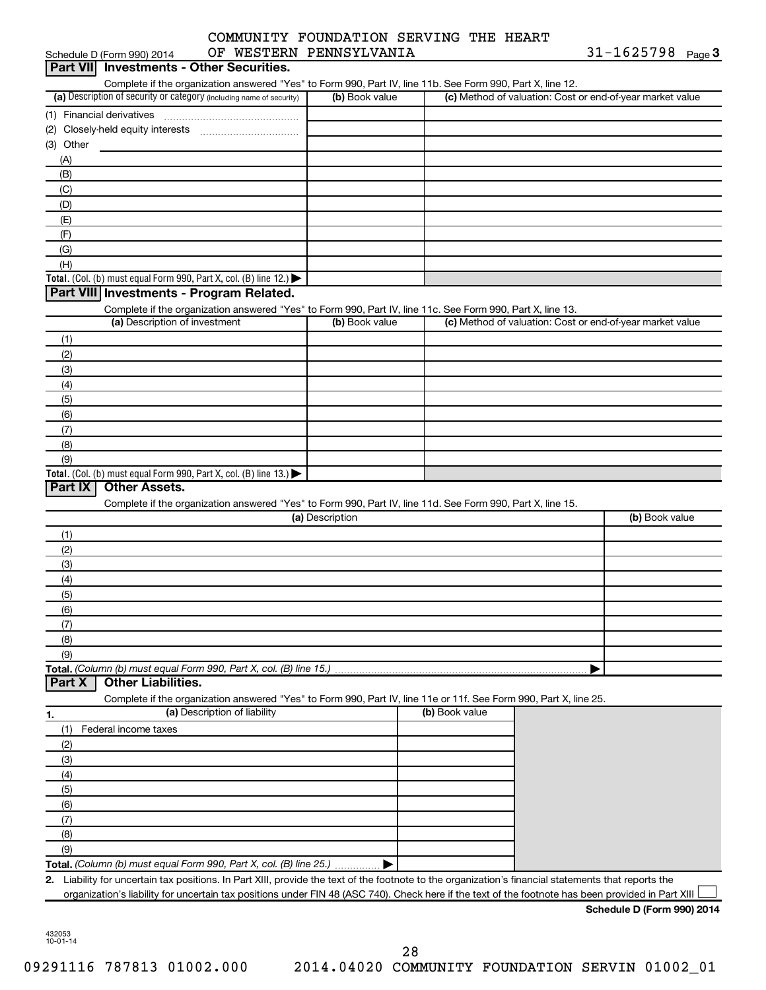|                  | Schedule D (Form 990) 2014                                                             |                              | OF WESTERN PENNSYLVANIA                                                                                                                            |                | 31-1625798 $_{Page}$ 3                                    |
|------------------|----------------------------------------------------------------------------------------|------------------------------|----------------------------------------------------------------------------------------------------------------------------------------------------|----------------|-----------------------------------------------------------|
| <b>Part VIII</b> | <b>Investments - Other Securities.</b>                                                 |                              |                                                                                                                                                    |                |                                                           |
|                  |                                                                                        |                              | Complete if the organization answered "Yes" to Form 990, Part IV, line 11b. See Form 990, Part X, line 12.                                         |                |                                                           |
|                  | (a) Description of security or category (including name of security)                   |                              | (b) Book value                                                                                                                                     |                | (c) Method of valuation: Cost or end-of-year market value |
|                  |                                                                                        |                              |                                                                                                                                                    |                |                                                           |
|                  |                                                                                        |                              |                                                                                                                                                    |                |                                                           |
| $(3)$ Other      |                                                                                        |                              |                                                                                                                                                    |                |                                                           |
| (A)              |                                                                                        |                              |                                                                                                                                                    |                |                                                           |
| (B)              |                                                                                        |                              |                                                                                                                                                    |                |                                                           |
| (C)              |                                                                                        |                              |                                                                                                                                                    |                |                                                           |
| (D)              |                                                                                        |                              |                                                                                                                                                    |                |                                                           |
| (E)              |                                                                                        |                              |                                                                                                                                                    |                |                                                           |
| (F)              |                                                                                        |                              |                                                                                                                                                    |                |                                                           |
| (G)              |                                                                                        |                              |                                                                                                                                                    |                |                                                           |
| (H)              |                                                                                        |                              |                                                                                                                                                    |                |                                                           |
|                  | Total. (Col. (b) must equal Form 990, Part X, col. (B) line 12.) $\blacktriangleright$ |                              |                                                                                                                                                    |                |                                                           |
|                  | Part VIII Investments - Program Related.                                               |                              |                                                                                                                                                    |                |                                                           |
|                  |                                                                                        |                              | Complete if the organization answered "Yes" to Form 990, Part IV, line 11c. See Form 990, Part X, line 13.                                         |                |                                                           |
|                  | (a) Description of investment                                                          |                              | (b) Book value                                                                                                                                     |                | (c) Method of valuation: Cost or end-of-year market value |
| (1)              |                                                                                        |                              |                                                                                                                                                    |                |                                                           |
| (2)              |                                                                                        |                              |                                                                                                                                                    |                |                                                           |
| (3)              |                                                                                        |                              |                                                                                                                                                    |                |                                                           |
| (4)              |                                                                                        |                              |                                                                                                                                                    |                |                                                           |
| (5)              |                                                                                        |                              |                                                                                                                                                    |                |                                                           |
| (6)              |                                                                                        |                              |                                                                                                                                                    |                |                                                           |
| (7)              |                                                                                        |                              |                                                                                                                                                    |                |                                                           |
| (8)              |                                                                                        |                              |                                                                                                                                                    |                |                                                           |
| (9)              |                                                                                        |                              |                                                                                                                                                    |                |                                                           |
|                  | Total. (Col. (b) must equal Form 990, Part X, col. (B) line 13.)                       |                              |                                                                                                                                                    |                |                                                           |
| Part IX          | <b>Other Assets.</b>                                                                   |                              |                                                                                                                                                    |                |                                                           |
|                  |                                                                                        |                              | Complete if the organization answered "Yes" to Form 990, Part IV, line 11d. See Form 990, Part X, line 15.                                         |                |                                                           |
|                  |                                                                                        |                              | (a) Description                                                                                                                                    |                | (b) Book value                                            |
|                  |                                                                                        |                              |                                                                                                                                                    |                |                                                           |
| (1)              |                                                                                        |                              |                                                                                                                                                    |                |                                                           |
| (2)              |                                                                                        |                              |                                                                                                                                                    |                |                                                           |
| (3)              |                                                                                        |                              |                                                                                                                                                    |                |                                                           |
| (4)              |                                                                                        |                              |                                                                                                                                                    |                |                                                           |
| (5)              |                                                                                        |                              |                                                                                                                                                    |                |                                                           |
| (6)              |                                                                                        |                              |                                                                                                                                                    |                |                                                           |
| (7)              |                                                                                        |                              |                                                                                                                                                    |                |                                                           |
| (8)              |                                                                                        |                              |                                                                                                                                                    |                |                                                           |
| (9)              |                                                                                        |                              |                                                                                                                                                    |                |                                                           |
|                  | Total. (Column (b) must equal Form 990, Part X, col. (B) line 15.).                    |                              |                                                                                                                                                    |                |                                                           |
| Part X           | <b>Other Liabilities.</b>                                                              |                              |                                                                                                                                                    |                |                                                           |
|                  |                                                                                        |                              | Complete if the organization answered "Yes" to Form 990, Part IV, line 11e or 11f. See Form 990, Part X, line 25.                                  |                |                                                           |
| 1.               |                                                                                        | (a) Description of liability |                                                                                                                                                    | (b) Book value |                                                           |
| (1)              | Federal income taxes                                                                   |                              |                                                                                                                                                    |                |                                                           |
| (2)              |                                                                                        |                              |                                                                                                                                                    |                |                                                           |
| (3)              |                                                                                        |                              |                                                                                                                                                    |                |                                                           |
| (4)              |                                                                                        |                              |                                                                                                                                                    |                |                                                           |
| (5)              |                                                                                        |                              |                                                                                                                                                    |                |                                                           |
| (6)              |                                                                                        |                              |                                                                                                                                                    |                |                                                           |
| (7)              |                                                                                        |                              |                                                                                                                                                    |                |                                                           |
| (8)              |                                                                                        |                              |                                                                                                                                                    |                |                                                           |
| (9)              |                                                                                        |                              |                                                                                                                                                    |                |                                                           |
|                  | Total. (Column (b) must equal Form 990, Part X, col. (B) line 25.)                     |                              |                                                                                                                                                    |                |                                                           |
| 2.               |                                                                                        |                              | Liability for uncertain tax positions. In Part XIII, provide the text of the footnote to the organization's financial statements that reports the  |                |                                                           |
|                  |                                                                                        |                              | organization's liability for uncertain tax positions under FIN 48 (ASC 740). Check here if the text of the footnote has been provided in Part XIII |                |                                                           |
|                  |                                                                                        |                              |                                                                                                                                                    |                | Schedule D (Form 990) 2014                                |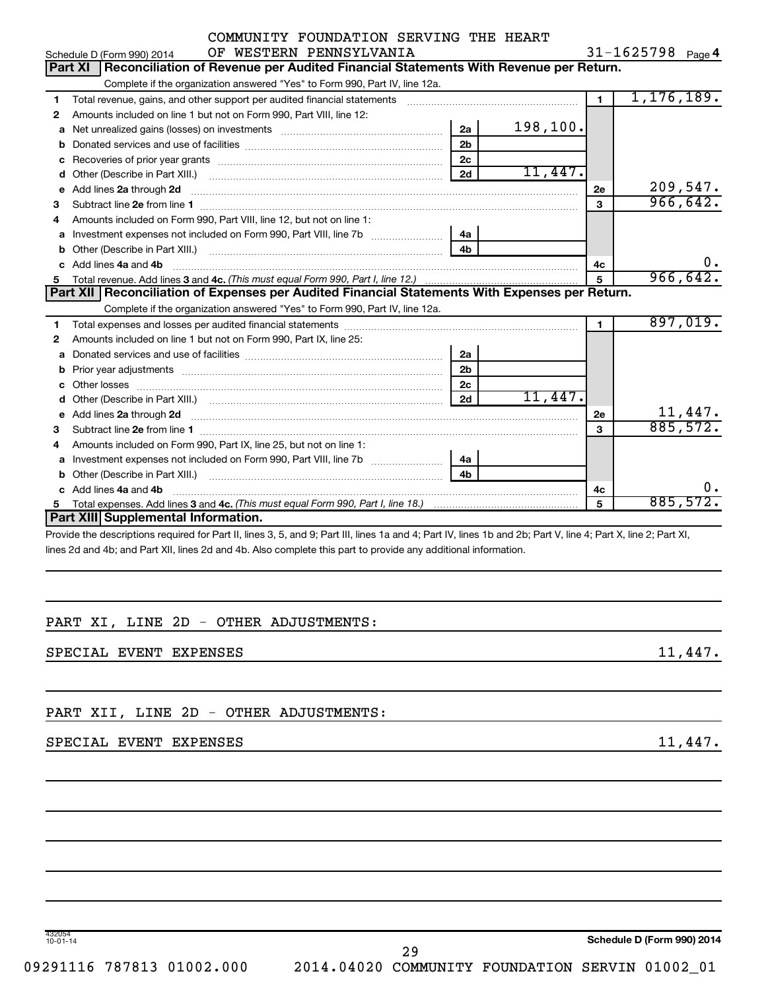|    | OF WESTERN PENNSYLVANIA<br>Schedule D (Form 990) 2014                                                             |                |          |                | 31-1625798 $_{Page 4}$ |
|----|-------------------------------------------------------------------------------------------------------------------|----------------|----------|----------------|------------------------|
|    | Reconciliation of Revenue per Audited Financial Statements With Revenue per Return.<br> Part XI                   |                |          |                |                        |
|    | Complete if the organization answered "Yes" to Form 990, Part IV, line 12a.                                       |                |          |                |                        |
| 1. | Total revenue, gains, and other support per audited financial statements                                          |                |          | $\blacksquare$ | 1,176,189.             |
| 2  | Amounts included on line 1 but not on Form 990, Part VIII, line 12:                                               |                |          |                |                        |
| a  |                                                                                                                   | 2a             | 198,100. |                |                        |
|    |                                                                                                                   | 2 <sub>b</sub> |          |                |                        |
| c  | Recoveries of prior year grants [11,111] Recoveries of prior year grants [11,111] Recoveries of prior year grants | 2 <sub>c</sub> |          |                |                        |
| d  |                                                                                                                   | 2d             | 11,447.  |                |                        |
| e  | Add lines 2a through 2d                                                                                           |                |          | 2e             | 209,547.               |
| 3  |                                                                                                                   |                |          | 3              | 966,642.               |
| 4  | Amounts included on Form 990, Part VIII, line 12, but not on line 1:                                              |                |          |                |                        |
|    | Investment expenses not included on Form 990, Part VIII, line 7b [11, 11, 11, 11, 11, 11]                         | 4a             |          |                |                        |
| b  |                                                                                                                   | 4 <sub>h</sub> |          |                |                        |
| C. | Add lines 4a and 4b                                                                                               |                |          | 4c             | 0.                     |
|    |                                                                                                                   |                |          | $\overline{5}$ | 966, 642.              |
|    |                                                                                                                   |                |          |                |                        |
|    | Part XII   Reconciliation of Expenses per Audited Financial Statements With Expenses per Return.                  |                |          |                |                        |
|    | Complete if the organization answered "Yes" to Form 990, Part IV, line 12a.                                       |                |          |                |                        |
| 1. |                                                                                                                   |                |          | $\blacksquare$ | 897,019.               |
| 2  | Amounts included on line 1 but not on Form 990, Part IX, line 25:                                                 |                |          |                |                        |
| a  |                                                                                                                   | 2a             |          |                |                        |
| b  | Prior year adjustments [111] matter contracts and all the matter contracts and prior year adjustments             | 2 <sub>b</sub> |          |                |                        |
| c  | Other losses                                                                                                      | 2 <sub>c</sub> |          |                |                        |
| d  |                                                                                                                   | 2d             | 11,447.  |                |                        |
|    | Add lines 2a through 2d                                                                                           |                |          | 2e             | 11,447.                |
| з  |                                                                                                                   |                |          | 3              | 885,572.               |
| 4  | Amounts included on Form 990, Part IX, line 25, but not on line 1:                                                |                |          |                |                        |
| a  |                                                                                                                   | 4a             |          |                |                        |
| b  |                                                                                                                   | 4 <sub>b</sub> |          |                |                        |
| c  | Add lines 4a and 4b                                                                                               |                |          | 4c             | 0.                     |
|    | <b>Part XIII</b> Supplemental Information.                                                                        |                |          | 5              | 885,572.               |

Provide the descriptions required for Part II, lines 3, 5, and 9; Part III, lines 1a and 4; Part IV, lines 1b and 2b; Part V, line 4; Part X, line 2; Part XI, lines 2d and 4b; and Part XII, lines 2d and 4b. Also complete this part to provide any additional information.

#### PART XI, LINE 2D - OTHER ADJUSTMENTS:

#### SPECIAL EVENT EXPENSES 11,447.

PART XII, LINE 2D - OTHER ADJUSTMENTS:

#### SPECIAL EVENT EXPENSES 2008 11,447.

432054 10-01-14

**Schedule D (Form 990) 2014**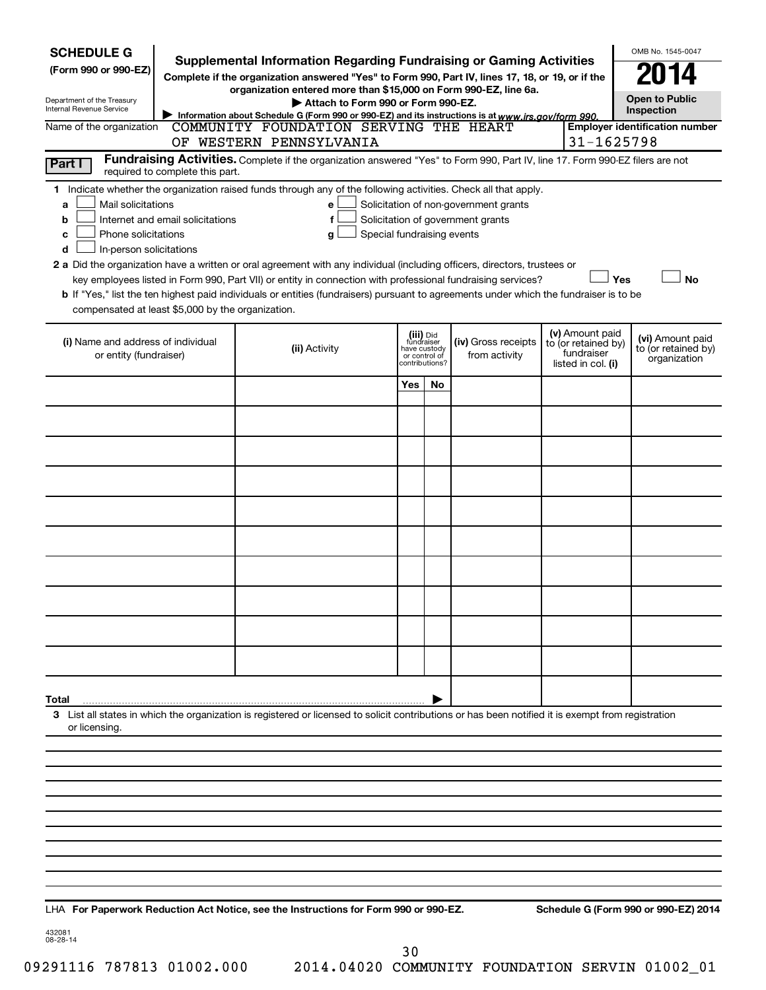| <b>SCHEDULE G</b><br><b>Supplemental Information Regarding Fundraising or Gaming Activities</b><br>(Form 990 or 990-EZ)<br>Complete if the organization answered "Yes" to Form 990, Part IV, lines 17, 18, or 19, or if the<br>organization entered more than \$15,000 on Form 990-EZ, line 6a.<br>Department of the Treasury<br>Internal Revenue Service                                                                                                                                                                                                                   |                                                                                                                                                                         | OMB No. 1545-0047<br><b>Open to Public</b><br>Inspection |                                         |                                                                            |  |                                                                            |                                                         |
|-----------------------------------------------------------------------------------------------------------------------------------------------------------------------------------------------------------------------------------------------------------------------------------------------------------------------------------------------------------------------------------------------------------------------------------------------------------------------------------------------------------------------------------------------------------------------------|-------------------------------------------------------------------------------------------------------------------------------------------------------------------------|----------------------------------------------------------|-----------------------------------------|----------------------------------------------------------------------------|--|----------------------------------------------------------------------------|---------------------------------------------------------|
| Name of the organization                                                                                                                                                                                                                                                                                                                                                                                                                                                                                                                                                    | Information about Schedule G (Form 990 or 990-EZ) and its instructions is at www.irs.gov/form 990.<br>COMMUNITY FOUNDATION SERVING THE HEART<br>OF WESTERN PENNSYLVANIA |                                                          |                                         |                                                                            |  | 31-1625798                                                                 | <b>Employer identification number</b>                   |
| Part I<br>required to complete this part.                                                                                                                                                                                                                                                                                                                                                                                                                                                                                                                                   | Fundraising Activities. Complete if the organization answered "Yes" to Form 990, Part IV, line 17. Form 990-EZ filers are not                                           |                                                          |                                         |                                                                            |  |                                                                            |                                                         |
| 1 Indicate whether the organization raised funds through any of the following activities. Check all that apply.<br>Mail solicitations<br>a<br>Internet and email solicitations<br>b<br>Phone solicitations<br>c<br>In-person solicitations<br>d<br>2 a Did the organization have a written or oral agreement with any individual (including officers, directors, trustees or<br>b If "Yes," list the ten highest paid individuals or entities (fundraisers) pursuant to agreements under which the fundraiser is to be<br>compensated at least \$5,000 by the organization. | е<br>f<br>Special fundraising events<br>g<br>key employees listed in Form 990, Part VII) or entity in connection with professional fundraising services?                |                                                          |                                         | Solicitation of non-government grants<br>Solicitation of government grants |  | Yes                                                                        | <b>No</b>                                               |
| (i) Name and address of individual<br>or entity (fundraiser)                                                                                                                                                                                                                                                                                                                                                                                                                                                                                                                | (ii) Activity                                                                                                                                                           | or control of<br>contributions?                          | (iii) Did<br>fundraiser<br>have custody | (iv) Gross receipts<br>from activity                                       |  | (v) Amount paid<br>to (or retained by)<br>fundraiser<br>listed in col. (i) | (vi) Amount paid<br>to (or retained by)<br>organization |
|                                                                                                                                                                                                                                                                                                                                                                                                                                                                                                                                                                             |                                                                                                                                                                         | Yes                                                      | No                                      |                                                                            |  |                                                                            |                                                         |
|                                                                                                                                                                                                                                                                                                                                                                                                                                                                                                                                                                             |                                                                                                                                                                         |                                                          |                                         |                                                                            |  |                                                                            |                                                         |
|                                                                                                                                                                                                                                                                                                                                                                                                                                                                                                                                                                             |                                                                                                                                                                         |                                                          |                                         |                                                                            |  |                                                                            |                                                         |
|                                                                                                                                                                                                                                                                                                                                                                                                                                                                                                                                                                             |                                                                                                                                                                         |                                                          |                                         |                                                                            |  |                                                                            |                                                         |
|                                                                                                                                                                                                                                                                                                                                                                                                                                                                                                                                                                             |                                                                                                                                                                         |                                                          |                                         |                                                                            |  |                                                                            |                                                         |
|                                                                                                                                                                                                                                                                                                                                                                                                                                                                                                                                                                             |                                                                                                                                                                         |                                                          |                                         |                                                                            |  |                                                                            |                                                         |
|                                                                                                                                                                                                                                                                                                                                                                                                                                                                                                                                                                             |                                                                                                                                                                         |                                                          |                                         |                                                                            |  |                                                                            |                                                         |
|                                                                                                                                                                                                                                                                                                                                                                                                                                                                                                                                                                             |                                                                                                                                                                         |                                                          |                                         |                                                                            |  |                                                                            |                                                         |
|                                                                                                                                                                                                                                                                                                                                                                                                                                                                                                                                                                             |                                                                                                                                                                         |                                                          |                                         |                                                                            |  |                                                                            |                                                         |
|                                                                                                                                                                                                                                                                                                                                                                                                                                                                                                                                                                             |                                                                                                                                                                         |                                                          |                                         |                                                                            |  |                                                                            |                                                         |
| Total                                                                                                                                                                                                                                                                                                                                                                                                                                                                                                                                                                       |                                                                                                                                                                         |                                                          |                                         |                                                                            |  |                                                                            |                                                         |
| 3 List all states in which the organization is registered or licensed to solicit contributions or has been notified it is exempt from registration<br>or licensing.                                                                                                                                                                                                                                                                                                                                                                                                         |                                                                                                                                                                         |                                                          |                                         |                                                                            |  |                                                                            |                                                         |
|                                                                                                                                                                                                                                                                                                                                                                                                                                                                                                                                                                             |                                                                                                                                                                         |                                                          |                                         |                                                                            |  |                                                                            |                                                         |
|                                                                                                                                                                                                                                                                                                                                                                                                                                                                                                                                                                             |                                                                                                                                                                         |                                                          |                                         |                                                                            |  |                                                                            |                                                         |
|                                                                                                                                                                                                                                                                                                                                                                                                                                                                                                                                                                             |                                                                                                                                                                         |                                                          |                                         |                                                                            |  |                                                                            |                                                         |
|                                                                                                                                                                                                                                                                                                                                                                                                                                                                                                                                                                             |                                                                                                                                                                         |                                                          |                                         |                                                                            |  |                                                                            |                                                         |
|                                                                                                                                                                                                                                                                                                                                                                                                                                                                                                                                                                             |                                                                                                                                                                         |                                                          |                                         |                                                                            |  |                                                                            |                                                         |

**For Paperwork Reduction Act Notice, see the Instructions for Form 990 or 990-EZ. Schedule G (Form 990 or 990-EZ) 2014** LHA

432081 08-28-14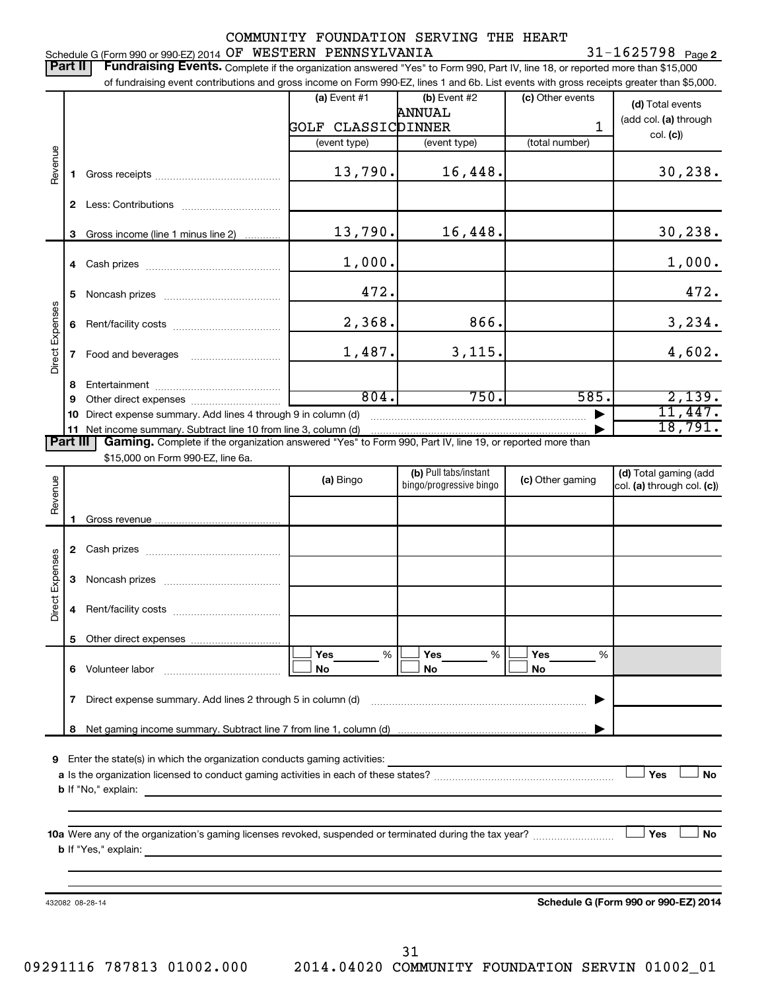#### 31-1625798 Page 2 Schedule G (Form 990 or 990-EZ) 2014  $\,$  OF  $\,$  WESTERN PENNSYLVANIA  $\,$  31 - 1625798  $\,$  Page

Part II | Fundraising Events. Complete if the organization answered "Yes" to Form 990, Part IV, line 18, or reported more than \$15,000

|                 |    | of fundraising event contributions and gross income on Form 990-EZ, lines 1 and 6b. List events with gross receipts greater than \$5,000. |                    |                                                  |                  |                                                        |
|-----------------|----|-------------------------------------------------------------------------------------------------------------------------------------------|--------------------|--------------------------------------------------|------------------|--------------------------------------------------------|
|                 |    |                                                                                                                                           | $(a)$ Event #1     | (b) Event #2                                     | (c) Other events | (d) Total events                                       |
|                 |    |                                                                                                                                           | GOLF CLASSICDINNER | ANNUAL                                           | 1                | (add col. (a) through                                  |
|                 |    |                                                                                                                                           | (event type)       | (event type)                                     | (total number)   | col. (c)                                               |
|                 |    |                                                                                                                                           |                    |                                                  |                  |                                                        |
| Revenue         | 1. |                                                                                                                                           | 13,790.            | 16,448.                                          |                  | 30, 238.                                               |
|                 |    |                                                                                                                                           |                    |                                                  |                  |                                                        |
|                 | 3  | Gross income (line 1 minus line 2)                                                                                                        | 13,790.            | 16,448.                                          |                  | 30,238.                                                |
|                 |    |                                                                                                                                           | 1,000.             |                                                  |                  | 1,000.                                                 |
|                 |    |                                                                                                                                           |                    |                                                  |                  |                                                        |
|                 | 5  |                                                                                                                                           | 472.               |                                                  |                  | 472.                                                   |
|                 | 6  |                                                                                                                                           | 2,368.             | 866.                                             |                  | 3,234.                                                 |
| Direct Expenses | 7  | Food and beverages                                                                                                                        | 1,487.             | 3,115.                                           |                  | 4,602.                                                 |
|                 | 8  |                                                                                                                                           |                    |                                                  |                  |                                                        |
|                 | 9  |                                                                                                                                           | 804.               | 750.                                             | 585.             | 2,139.                                                 |
|                 | 10 | Direct expense summary. Add lines 4 through 9 in column (d)                                                                               |                    |                                                  |                  | 11,447.                                                |
|                 |    | 11 Net income summary. Subtract line 10 from line 3, column (d)                                                                           |                    |                                                  |                  | 18,791.                                                |
| <b>Part III</b> |    | Gaming. Complete if the organization answered "Yes" to Form 990, Part IV, line 19, or reported more than                                  |                    |                                                  |                  |                                                        |
|                 |    | \$15,000 on Form 990-EZ, line 6a.                                                                                                         |                    |                                                  |                  |                                                        |
| Revenue         |    |                                                                                                                                           | (a) Bingo          | (b) Pull tabs/instant<br>bingo/progressive bingo | (c) Other gaming | (d) Total gaming (add<br>$ col.$ (a) through col. (c)) |
|                 |    |                                                                                                                                           |                    |                                                  |                  |                                                        |
|                 |    |                                                                                                                                           |                    |                                                  |                  |                                                        |
|                 |    |                                                                                                                                           |                    |                                                  |                  |                                                        |
|                 |    |                                                                                                                                           |                    |                                                  |                  |                                                        |
| Direct Expenses | 3  |                                                                                                                                           |                    |                                                  |                  |                                                        |
|                 | 4  |                                                                                                                                           |                    |                                                  |                  |                                                        |
|                 |    |                                                                                                                                           |                    |                                                  |                  |                                                        |
|                 | 6. | Volunteer labor                                                                                                                           | %<br>Yes<br>No     | %<br>Yes<br>No                                   | Yes<br>%<br>No   |                                                        |
|                 |    |                                                                                                                                           |                    |                                                  |                  |                                                        |
|                 | 7  | Direct expense summary. Add lines 2 through 5 in column (d)                                                                               |                    |                                                  |                  |                                                        |
|                 | 8  |                                                                                                                                           |                    |                                                  |                  |                                                        |
|                 |    |                                                                                                                                           |                    |                                                  |                  |                                                        |
| 9               |    | Enter the state(s) in which the organization conducts gaming activities:                                                                  |                    |                                                  |                  | Yes<br>No                                              |
|                 |    | <b>b</b> If "No," explain:                                                                                                                |                    |                                                  |                  |                                                        |
|                 |    | <u> 1989 - Johann Stoff, deutscher Stoff, der Stoff, der Stoff, der Stoff, der Stoff, der Stoff, der Stoff, der S</u>                     |                    |                                                  |                  |                                                        |
|                 |    |                                                                                                                                           |                    |                                                  |                  |                                                        |
|                 |    |                                                                                                                                           |                    |                                                  |                  | Yes<br>No                                              |
|                 |    |                                                                                                                                           |                    |                                                  |                  |                                                        |
|                 |    |                                                                                                                                           |                    |                                                  |                  |                                                        |
|                 |    |                                                                                                                                           |                    |                                                  |                  |                                                        |
|                 |    | 432082 08-28-14                                                                                                                           |                    |                                                  |                  | Schedule G (Form 990 or 990-EZ) 2014                   |
|                 |    |                                                                                                                                           |                    |                                                  |                  |                                                        |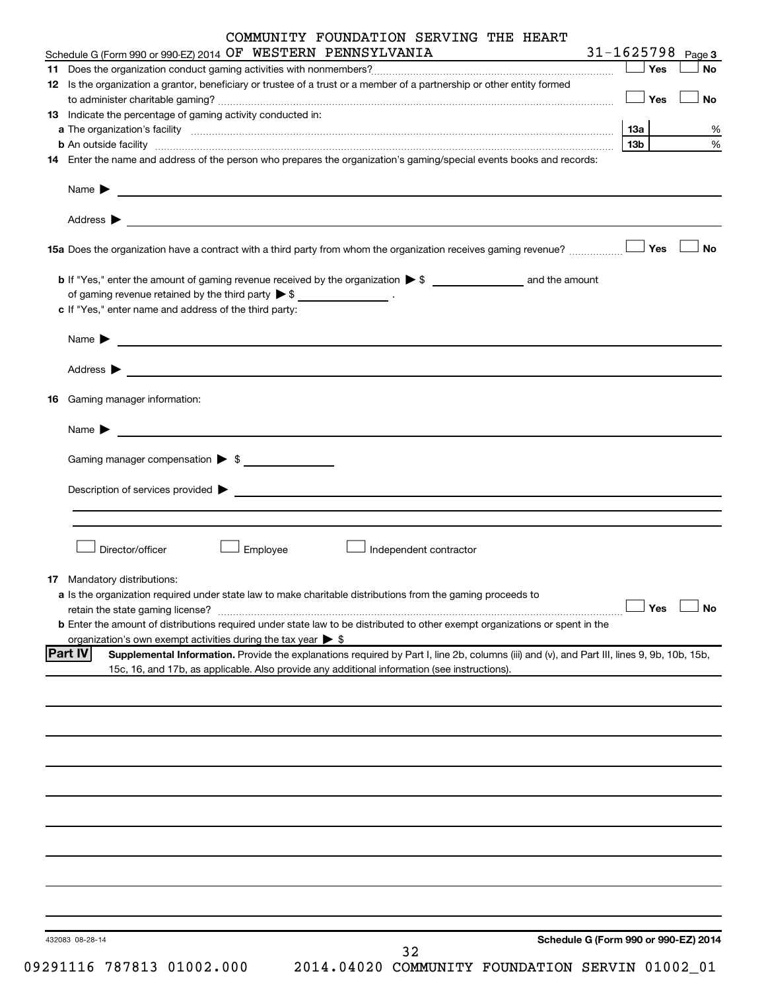|    | Schedule G (Form 990 or 990-EZ) 2014 OF WESTERN PENNSYLVANIA                                                                                                                                                                                  |     |            | $31 - 1625798$ Page 3 |
|----|-----------------------------------------------------------------------------------------------------------------------------------------------------------------------------------------------------------------------------------------------|-----|------------|-----------------------|
|    |                                                                                                                                                                                                                                               |     | $\Box$ Yes | No                    |
|    | 12 Is the organization a grantor, beneficiary or trustee of a trust or a member of a partnership or other entity formed                                                                                                                       |     |            |                       |
|    |                                                                                                                                                                                                                                               |     | $\Box$ Yes | No                    |
|    | 13 Indicate the percentage of gaming activity conducted in:                                                                                                                                                                                   |     |            |                       |
|    |                                                                                                                                                                                                                                               | 13а |            |                       |
|    | <b>b</b> An outside facility <b>contained and the contract of the contract of the contract of the contract of the contract of the contract of the contract of the contract of the contract of the contract of the contract of the con</b>     | 13b |            |                       |
|    | 14 Enter the name and address of the person who prepares the organization's gaming/special events books and records:                                                                                                                          |     |            |                       |
|    | Name $\triangleright$                                                                                                                                                                                                                         |     |            |                       |
|    | Address $\triangleright$                                                                                                                                                                                                                      |     |            | <b>No</b>             |
|    |                                                                                                                                                                                                                                               |     |            |                       |
|    |                                                                                                                                                                                                                                               |     |            |                       |
|    | of gaming revenue retained by the third party $\triangleright$ \$ _________________.                                                                                                                                                          |     |            |                       |
|    | c If "Yes," enter name and address of the third party:                                                                                                                                                                                        |     |            |                       |
|    | Name $\blacktriangleright$                                                                                                                                                                                                                    |     |            |                       |
|    | Address > Natural March 2014 Contract of the Contract of the Contract of the Contract of the Contract of the Contract of the Contract of the Contract of the Contract of the Contract of the Contract of the Contract of the C                |     |            |                       |
| 16 | Gaming manager information:                                                                                                                                                                                                                   |     |            |                       |
|    | Name > 2008 - 2008 - 2009 - 2009 - 2009 - 2009 - 2009 - 2009 - 2009 - 2009 - 2009 - 2009 - 2009 - 2009 - 2009 - 2009 - 2009 - 2009 - 2009 - 2009 - 2009 - 2009 - 2009 - 2009 - 2009 - 2009 - 2009 - 2009 - 2009 - 2009 - 2009                 |     |            |                       |
|    |                                                                                                                                                                                                                                               |     |            |                       |
|    | Gaming manager compensation > \$                                                                                                                                                                                                              |     |            |                       |
|    | Director/officer<br>Employee<br>Independent contractor                                                                                                                                                                                        |     |            |                       |
|    |                                                                                                                                                                                                                                               |     |            |                       |
|    | 17 Mandatory distributions:                                                                                                                                                                                                                   |     |            |                       |
|    | a Is the organization required under state law to make charitable distributions from the gaming proceeds to                                                                                                                                   |     | <b>Yes</b> | <b>No</b>             |
|    | retain the state gaming license?<br><b>b</b> Enter the amount of distributions required under state law to be distributed to other exempt organizations or spent in the                                                                       |     |            |                       |
|    |                                                                                                                                                                                                                                               |     |            |                       |
|    | organization's own exempt activities during the tax year $\triangleright$ \$<br><b>Part IV</b><br>Supplemental Information. Provide the explanations required by Part I, line 2b, columns (iii) and (v), and Part III, lines 9, 9b, 10b, 15b, |     |            |                       |
|    | 15c, 16, and 17b, as applicable. Also provide any additional information (see instructions).                                                                                                                                                  |     |            |                       |
|    |                                                                                                                                                                                                                                               |     |            |                       |
|    |                                                                                                                                                                                                                                               |     |            |                       |
|    |                                                                                                                                                                                                                                               |     |            |                       |
|    |                                                                                                                                                                                                                                               |     |            |                       |
|    |                                                                                                                                                                                                                                               |     |            |                       |
|    |                                                                                                                                                                                                                                               |     |            |                       |
|    |                                                                                                                                                                                                                                               |     |            |                       |
|    |                                                                                                                                                                                                                                               |     |            |                       |
|    |                                                                                                                                                                                                                                               |     |            |                       |
|    |                                                                                                                                                                                                                                               |     |            |                       |
|    |                                                                                                                                                                                                                                               |     |            |                       |
|    |                                                                                                                                                                                                                                               |     |            |                       |
|    |                                                                                                                                                                                                                                               |     |            |                       |
|    |                                                                                                                                                                                                                                               |     |            |                       |
|    |                                                                                                                                                                                                                                               |     |            |                       |
|    |                                                                                                                                                                                                                                               |     |            |                       |
|    |                                                                                                                                                                                                                                               |     |            |                       |
|    | Schedule G (Form 990 or 990-EZ) 2014<br>432083 08-28-14                                                                                                                                                                                       |     |            |                       |
|    | 32<br>09291116 787813 01002.000<br>2014.04020 COMMUNITY FOUNDATION SERVIN 01002_01                                                                                                                                                            |     |            |                       |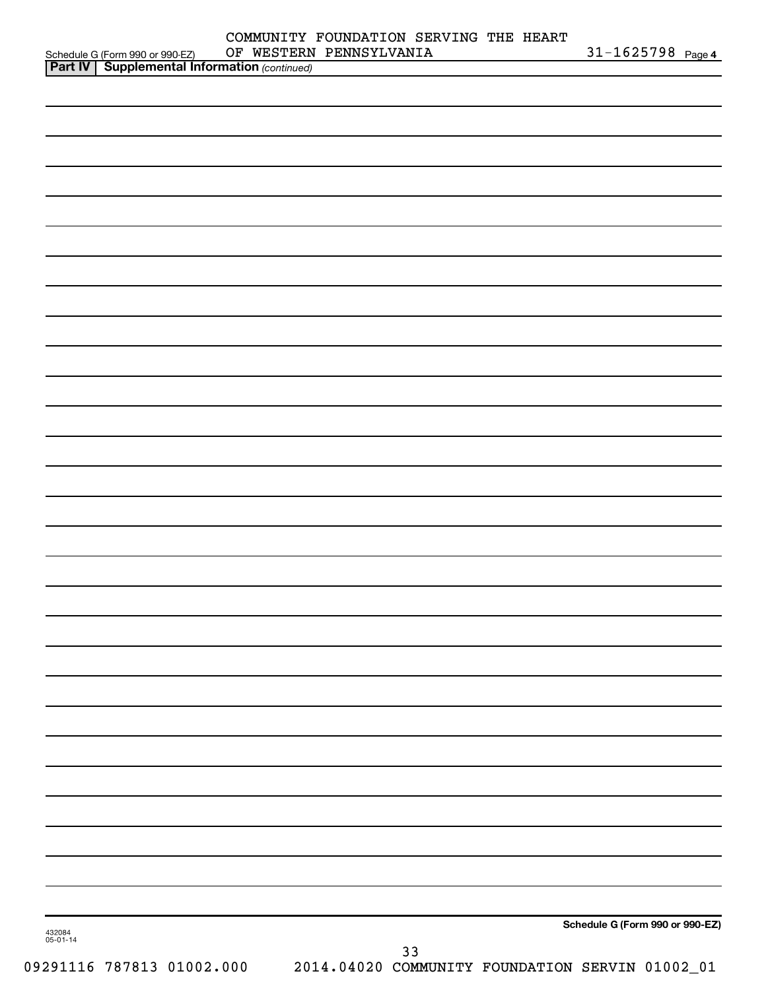|                                                                                                     | COMMUNITY FOUNDATION SERVING THE HEART<br>OF WESTERN PENNSYLVANIA | $31 - 1625798$ Page 4           |
|-----------------------------------------------------------------------------------------------------|-------------------------------------------------------------------|---------------------------------|
| Schedule G (Form 990 or 990-EZ) OF WESTERN<br><b>Part IV   Supplemental Information</b> (continued) |                                                                   |                                 |
|                                                                                                     |                                                                   |                                 |
|                                                                                                     |                                                                   |                                 |
|                                                                                                     |                                                                   |                                 |
|                                                                                                     |                                                                   |                                 |
|                                                                                                     |                                                                   |                                 |
|                                                                                                     |                                                                   |                                 |
|                                                                                                     |                                                                   |                                 |
|                                                                                                     |                                                                   |                                 |
|                                                                                                     |                                                                   |                                 |
|                                                                                                     |                                                                   |                                 |
|                                                                                                     |                                                                   |                                 |
|                                                                                                     |                                                                   |                                 |
|                                                                                                     |                                                                   |                                 |
|                                                                                                     |                                                                   |                                 |
|                                                                                                     |                                                                   |                                 |
|                                                                                                     |                                                                   |                                 |
|                                                                                                     |                                                                   |                                 |
|                                                                                                     |                                                                   |                                 |
|                                                                                                     |                                                                   |                                 |
|                                                                                                     |                                                                   |                                 |
|                                                                                                     |                                                                   |                                 |
|                                                                                                     |                                                                   |                                 |
|                                                                                                     |                                                                   |                                 |
|                                                                                                     |                                                                   |                                 |
|                                                                                                     |                                                                   |                                 |
|                                                                                                     |                                                                   |                                 |
|                                                                                                     |                                                                   |                                 |
|                                                                                                     |                                                                   |                                 |
|                                                                                                     |                                                                   |                                 |
|                                                                                                     |                                                                   |                                 |
|                                                                                                     |                                                                   |                                 |
|                                                                                                     |                                                                   |                                 |
|                                                                                                     |                                                                   |                                 |
|                                                                                                     |                                                                   |                                 |
|                                                                                                     |                                                                   |                                 |
|                                                                                                     |                                                                   |                                 |
|                                                                                                     |                                                                   |                                 |
|                                                                                                     |                                                                   |                                 |
|                                                                                                     |                                                                   |                                 |
|                                                                                                     |                                                                   |                                 |
|                                                                                                     |                                                                   |                                 |
|                                                                                                     |                                                                   |                                 |
| 432084<br>05-01-14                                                                                  |                                                                   | Schedule G (Form 990 or 990-EZ) |
|                                                                                                     | 33                                                                |                                 |
| 09291116 787813 01002.000                                                                           | 2014.04020 COMMUNITY FOUNDATION SERVIN 01002_01                   |                                 |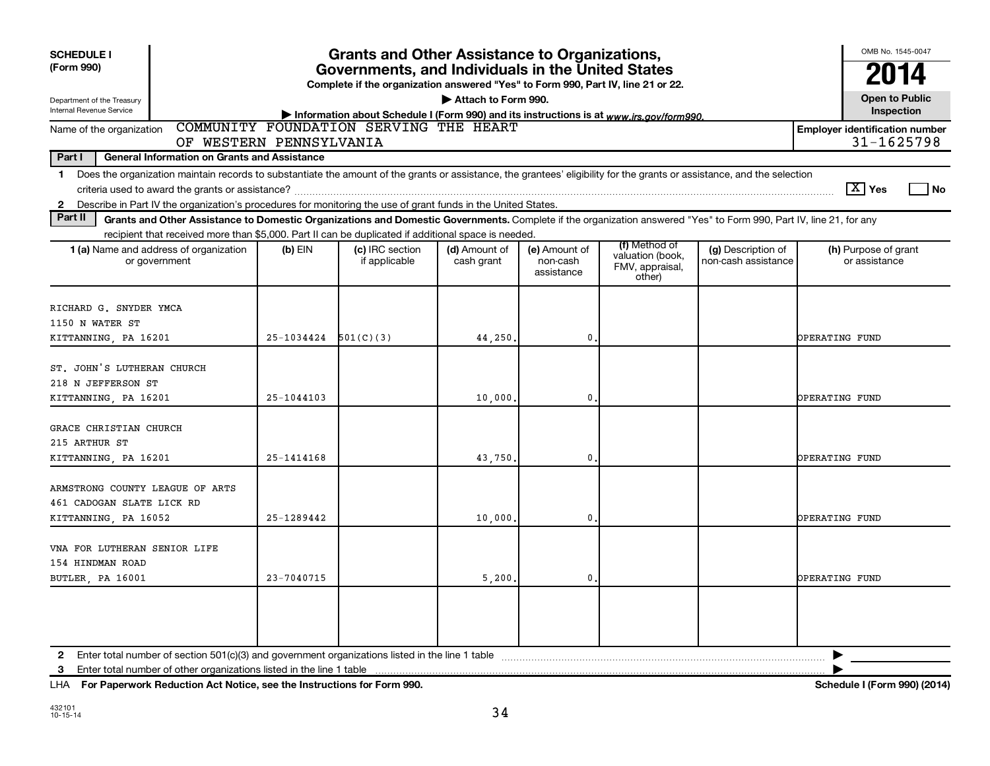| <b>SCHEDULE I</b><br>(Form 990)<br>Department of the Treasury<br>Internal Revenue Service                                                                                                                                                                                                                                | <b>Grants and Other Assistance to Organizations,</b><br>Governments, and Individuals in the United States<br>Complete if the organization answered "Yes" to Form 990, Part IV, line 21 or 22.<br>Attach to Form 990.<br>Information about Schedule I (Form 990) and its instructions is at www.irs.gov/form990. |                                        |                             |                                         |                                                                |                                           |                                                     |  |
|--------------------------------------------------------------------------------------------------------------------------------------------------------------------------------------------------------------------------------------------------------------------------------------------------------------------------|-----------------------------------------------------------------------------------------------------------------------------------------------------------------------------------------------------------------------------------------------------------------------------------------------------------------|----------------------------------------|-----------------------------|-----------------------------------------|----------------------------------------------------------------|-------------------------------------------|-----------------------------------------------------|--|
| Name of the organization<br>OF WESTERN PENNSYLVANIA                                                                                                                                                                                                                                                                      |                                                                                                                                                                                                                                                                                                                 | COMMUNITY FOUNDATION SERVING THE HEART |                             |                                         |                                                                |                                           | <b>Employer identification number</b><br>31-1625798 |  |
| Part I<br><b>General Information on Grants and Assistance</b>                                                                                                                                                                                                                                                            |                                                                                                                                                                                                                                                                                                                 |                                        |                             |                                         |                                                                |                                           |                                                     |  |
| Does the organization maintain records to substantiate the amount of the grants or assistance, the grantees' eligibility for the grants or assistance, and the selection<br>$\mathbf 1$<br>Describe in Part IV the organization's procedures for monitoring the use of grant funds in the United States.<br>$\mathbf{2}$ |                                                                                                                                                                                                                                                                                                                 |                                        |                             |                                         |                                                                |                                           | $\boxed{\text{X}}$ Yes<br>l No                      |  |
| Part II<br>Grants and Other Assistance to Domestic Organizations and Domestic Governments. Complete if the organization answered "Yes" to Form 990, Part IV, line 21, for any                                                                                                                                            |                                                                                                                                                                                                                                                                                                                 |                                        |                             |                                         |                                                                |                                           |                                                     |  |
| recipient that received more than \$5,000. Part II can be duplicated if additional space is needed.<br>1 (a) Name and address of organization<br>or government                                                                                                                                                           | $(b)$ EIN                                                                                                                                                                                                                                                                                                       | (c) IRC section<br>if applicable       | (d) Amount of<br>cash grant | (e) Amount of<br>non-cash<br>assistance | (f) Method of<br>valuation (book,<br>FMV, appraisal,<br>other) | (g) Description of<br>non-cash assistance | (h) Purpose of grant<br>or assistance               |  |
| RICHARD G. SNYDER YMCA<br>1150 N WATER ST<br>KITTANNING, PA 16201                                                                                                                                                                                                                                                        | 25-1034424                                                                                                                                                                                                                                                                                                      | 501(C)(3)                              | 44,250.                     | $\mathbf{0}$                            |                                                                |                                           | OPERATING FUND                                      |  |
| ST. JOHN'S LUTHERAN CHURCH<br>218 N JEFFERSON ST<br>KITTANNING, PA 16201                                                                                                                                                                                                                                                 | $25 - 1044103$                                                                                                                                                                                                                                                                                                  |                                        | 10,000                      | $\mathbf 0$                             |                                                                |                                           | OPERATING FUND                                      |  |
| GRACE CHRISTIAN CHURCH<br>215 ARTHUR ST<br>KITTANNING, PA 16201                                                                                                                                                                                                                                                          | $25 - 1414168$                                                                                                                                                                                                                                                                                                  |                                        | 43,750.                     | 0                                       |                                                                |                                           | OPERATING FUND                                      |  |
| ARMSTRONG COUNTY LEAGUE OF ARTS<br>461 CADOGAN SLATE LICK RD<br>KITTANNING, PA 16052                                                                                                                                                                                                                                     | 25-1289442                                                                                                                                                                                                                                                                                                      |                                        | 10,000                      | 0                                       |                                                                |                                           | OPERATING FUND                                      |  |
| VNA FOR LUTHERAN SENIOR LIFE<br>154 HINDMAN ROAD<br>BUTLER, PA 16001                                                                                                                                                                                                                                                     | $23 - 7040715$                                                                                                                                                                                                                                                                                                  |                                        | 5,200,                      | $\mathbf{0}$                            |                                                                |                                           | OPERATING FUND                                      |  |
| Enter total number of other organizations listed in the line 1 table<br>3                                                                                                                                                                                                                                                |                                                                                                                                                                                                                                                                                                                 |                                        |                             |                                         |                                                                |                                           |                                                     |  |

**For Paperwork Reduction Act Notice, see the Instructions for Form 990. Schedule I (Form 990) (2014)** LHA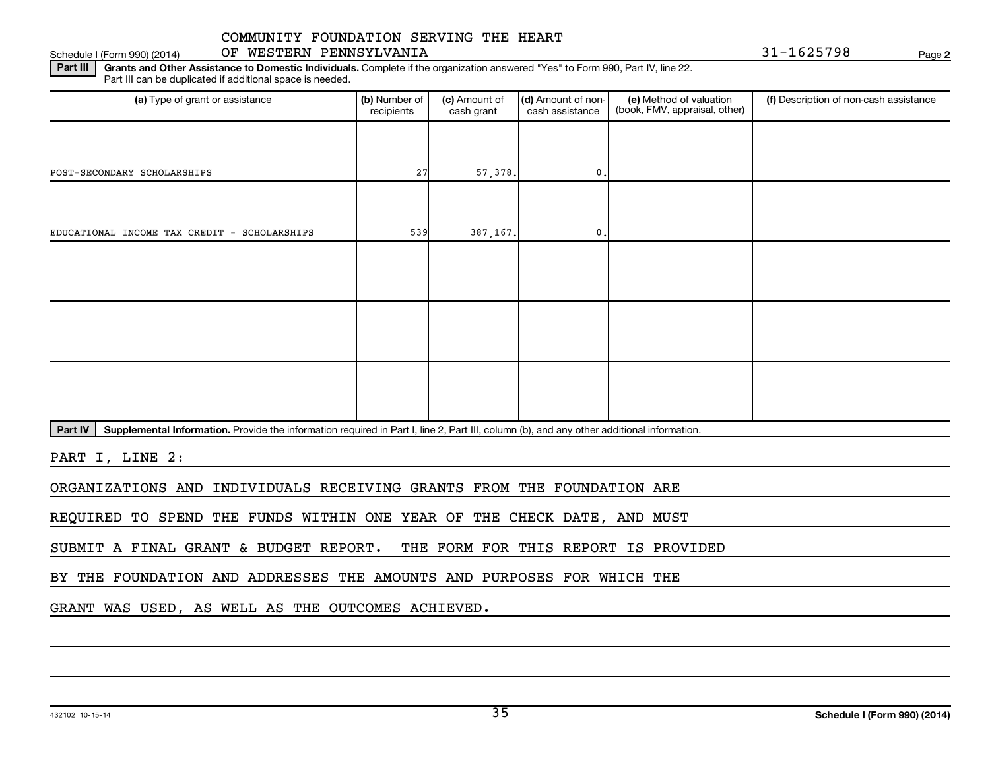#### Schedule I (Form 990) (2014) OF WESTERN PENNSYLVANIA 31-1625798 Page

**2**

Part III | Grants and Other Assistance to Domestic Individuals. Complete if the organization answered "Yes" to Form 990, Part IV, line 22. Part III can be duplicated if additional space is needed.

| (a) Type of grant or assistance              | (b) Number of<br>recipients | (c) Amount of<br>cash grant | (d) Amount of non-<br>cash assistance | (e) Method of valuation<br>(book, FMV, appraisal, other) | (f) Description of non-cash assistance |
|----------------------------------------------|-----------------------------|-----------------------------|---------------------------------------|----------------------------------------------------------|----------------------------------------|
|                                              |                             |                             |                                       |                                                          |                                        |
| POST-SECONDARY SCHOLARSHIPS                  | 27                          | 57,378.                     | $\mathbf{0}$ .                        |                                                          |                                        |
|                                              |                             |                             |                                       |                                                          |                                        |
| EDUCATIONAL INCOME TAX CREDIT - SCHOLARSHIPS | 539                         | 387,167.                    | $\mathbf{0}$ .                        |                                                          |                                        |
|                                              |                             |                             |                                       |                                                          |                                        |
|                                              |                             |                             |                                       |                                                          |                                        |
|                                              |                             |                             |                                       |                                                          |                                        |
|                                              |                             |                             |                                       |                                                          |                                        |
|                                              |                             |                             |                                       |                                                          |                                        |
|                                              |                             |                             |                                       |                                                          |                                        |

Part IV | Supplemental Information. Provide the information required in Part I, line 2, Part III, column (b), and any other additional information.

PART I, LINE 2:

ORGANIZATIONS AND INDIVIDUALS RECEIVING GRANTS FROM THE FOUNDATION ARE

REQUIRED TO SPEND THE FUNDS WITHIN ONE YEAR OF THE CHECK DATE, AND MUST

SUBMIT A FINAL GRANT & BUDGET REPORT. THE FORM FOR THIS REPORT IS PROVIDED

BY THE FOUNDATION AND ADDRESSES THE AMOUNTS AND PURPOSES FOR WHICH THE

GRANT WAS USED, AS WELL AS THE OUTCOMES ACHIEVED.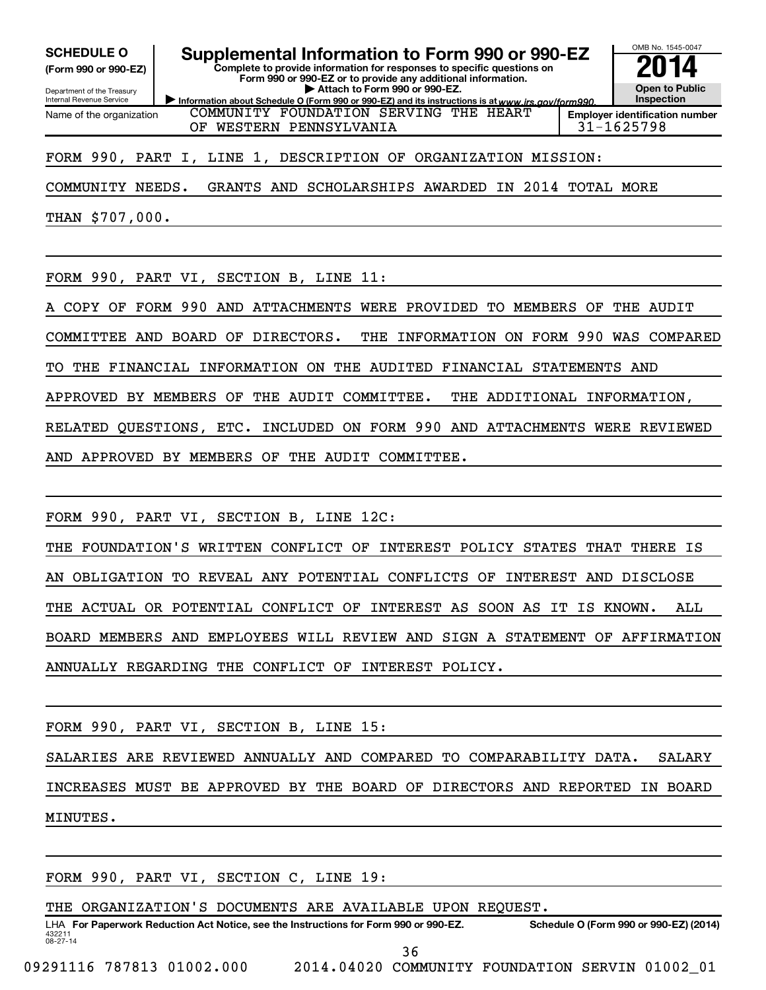**(Form 990 or 990-EZ)**

Department of the Treasury Internal Revenue Service Name of the organization

# SCHEDULE O **Supplemental Information to Form 990 or 990-EZ 2014**<br>(Form 990 or 990-EZ) **2014**

Information about Schedule O (Form 990 or 990-EZ) and its instructions is at www.irs.gov/form990. **Complete to provide information for responses to specific questions on Form 990 or 990-EZ or to provide any additional information. | Attach to Form 990 or 990-EZ.**

**Open to Public Inspection Employer identification number**

OMB No. 1545-0047

COMMUNITY FOUNDATION SERVING THE HEART OF WESTERN PENNSYLVANIA 31-1625798

### FORM 990, PART I, LINE 1, DESCRIPTION OF ORGANIZATION MISSION:

COMMUNITY NEEDS. GRANTS AND SCHOLARSHIPS AWARDED IN 2014 TOTAL MORE

THAN \$707,000.

FORM 990, PART VI, SECTION B, LINE 11:

COPY OF FORM 990 AND ATTACHMENTS WERE PROVIDED TO MEMBERS OF THE AUDIT

COMMITTEE AND BOARD OF DIRECTORS. THE INFORMATION ON FORM 990 WAS COMPARED

TO THE FINANCIAL INFORMATION ON THE AUDITED FINANCIAL STATEMENTS AND

APPROVED BY MEMBERS OF THE AUDIT COMMITTEE. THE ADDITIONAL INFORMATION,

RELATED QUESTIONS, ETC. INCLUDED ON FORM 990 AND ATTACHMENTS WERE REVIEWED

AND APPROVED BY MEMBERS OF THE AUDIT COMMITTEE.

FORM 990, PART VI, SECTION B, LINE 12C:

THE FOUNDATION'S WRITTEN CONFLICT OF INTEREST POLICY STATES THAT THERE IS AN OBLIGATION TO REVEAL ANY POTENTIAL CONFLICTS OF INTEREST AND DISCLOSE THE ACTUAL OR POTENTIAL CONFLICT OF INTEREST AS SOON AS IT IS KNOWN. ALL BOARD MEMBERS AND EMPLOYEES WILL REVIEW AND SIGN A STATEMENT OF AFFIRMATION ANNUALLY REGARDING THE CONFLICT OF INTEREST POLICY.

FORM 990, PART VI, SECTION B, LINE 15:

SALARIES ARE REVIEWED ANNUALLY AND COMPARED TO COMPARABILITY DATA. SALARY INCREASES MUST BE APPROVED BY THE BOARD OF DIRECTORS AND REPORTED IN BOARD MINUTES.

FORM 990, PART VI, SECTION C, LINE 19:

THE ORGANIZATION'S DOCUMENTS ARE AVAILABLE UPON REQUEST.

432211 08-27-14 LHA For Paperwork Reduction Act Notice, see the Instructions for Form 990 or 990-EZ. Schedule O (Form 990 or 990-EZ) (2014)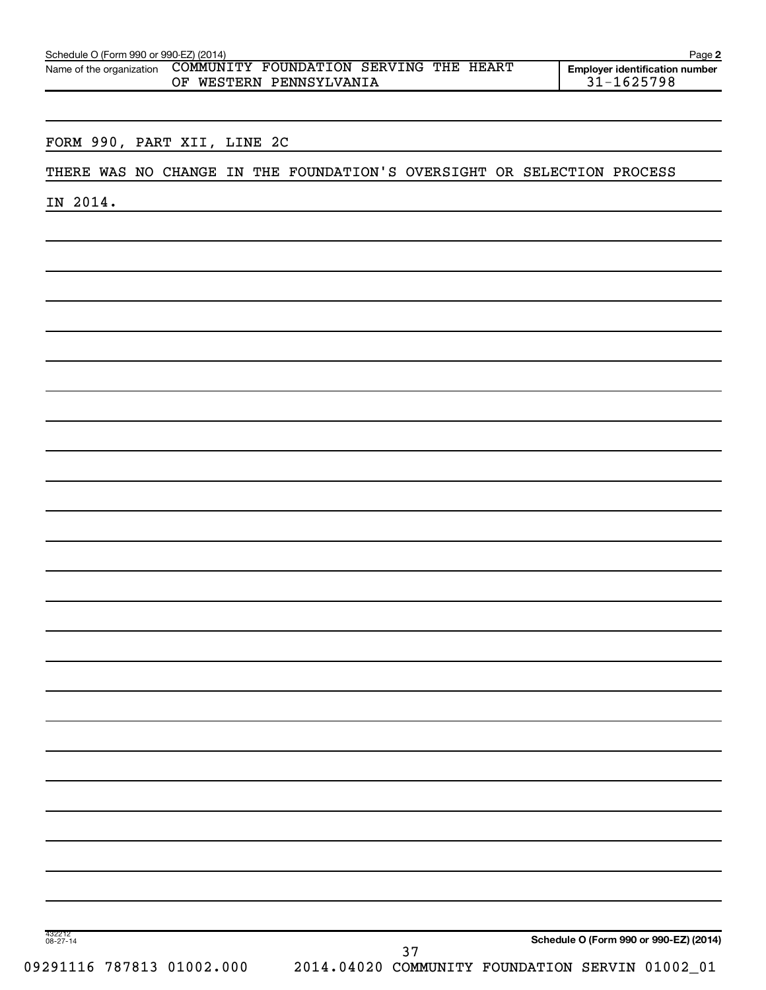| Name of the organization    |    | COMMUNITY FOUNDATION SERVING THE HEART                                 | <b>Employer identification number</b> |
|-----------------------------|----|------------------------------------------------------------------------|---------------------------------------|
|                             | ΟF | WESTERN PENNSYLVANIA                                                   | $31 - 1625798$                        |
|                             |    |                                                                        |                                       |
| FORM 990, PART XII, LINE 2C |    |                                                                        |                                       |
|                             |    | THERE WAS NO CHANGE IN THE FOUNDATION'S OVERSIGHT OR SELECTION PROCESS |                                       |